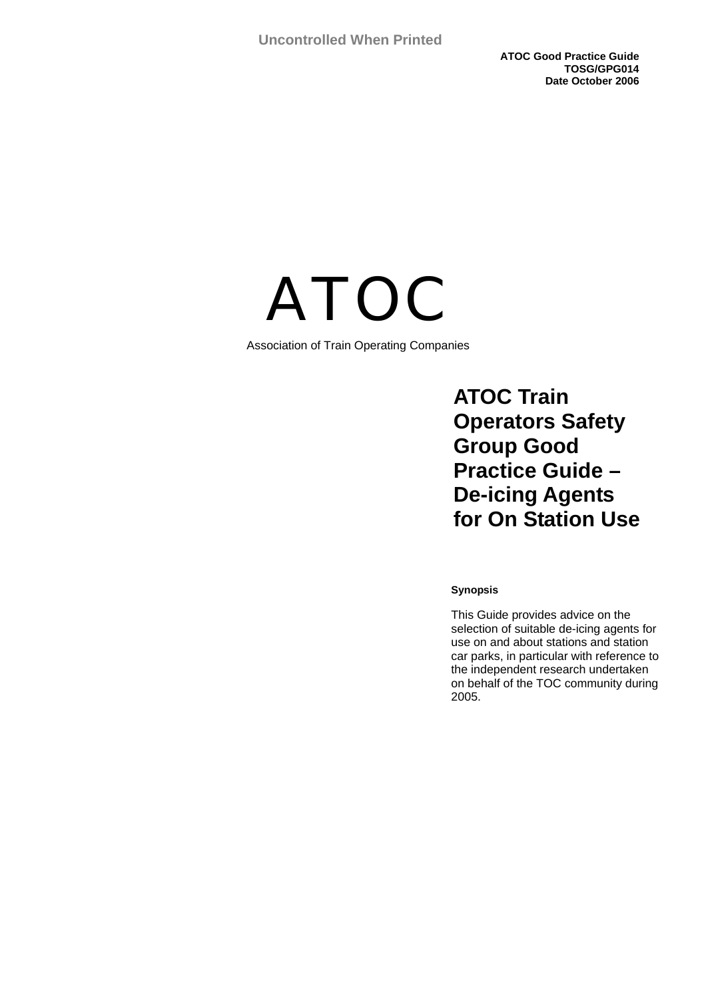**ATOC Good Practice Guide TOSG/GPG014 Date October 2006** 



Association of Train Operating Companies

 **ATOC Train Operators Safety Group Good Practice Guide – De-icing Agents for On Station Use** 

#### **Synopsis**

This Guide provides advice on the selection of suitable de-icing agents for use on and about stations and station car parks, in particular with reference to the independent research undertaken on behalf of the TOC community during 2005.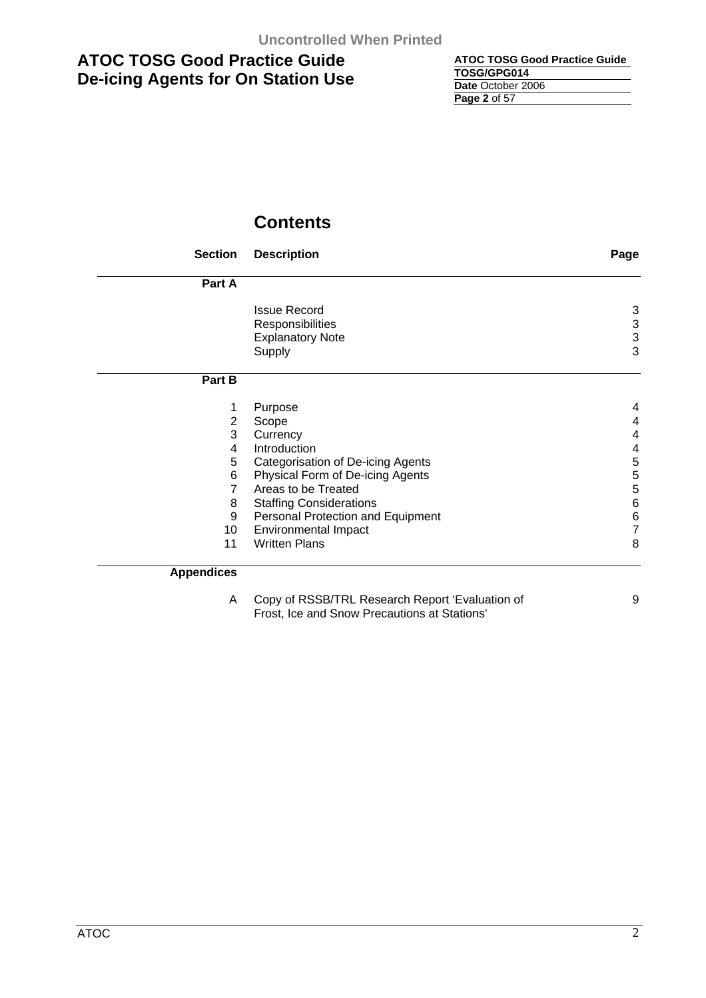| <b>ATOC TOSG Good Practice Guide</b> |
|--------------------------------------|
| TOSG/GPG014                          |
| Date October 2006                    |
| <b>Page 2 of 57</b>                  |

# **Contents**

| <b>Section</b>    | <b>Description</b>                | Page                      |
|-------------------|-----------------------------------|---------------------------|
| Part A            |                                   |                           |
|                   | <b>Issue Record</b>               | 3                         |
|                   | Responsibilities                  | $\ensuremath{\mathsf{3}}$ |
|                   | <b>Explanatory Note</b>           | 3                         |
|                   | Supply                            | 3                         |
| Part B            |                                   |                           |
| 1                 | Purpose                           | 4                         |
| 2                 | Scope                             | 4                         |
| 3                 | Currency                          | 4                         |
| 4                 | Introduction                      | $\overline{\mathbf{4}}$   |
| 5                 | Categorisation of De-icing Agents | 5                         |
| 6                 | Physical Form of De-icing Agents  | 5                         |
| 7                 | Areas to be Treated               | 5                         |
| 8                 | <b>Staffing Considerations</b>    | $\,6$                     |
| 9                 | Personal Protection and Equipment | $\,6$                     |
| 10                | Environmental Impact              | $\overline{7}$            |
| 11                | <b>Written Plans</b>              | 8                         |
| <b>Appendices</b> |                                   |                           |

| Copy of RSSB/TRL Research Report 'Evaluation of |  |
|-------------------------------------------------|--|
| Frost, Ice and Snow Precautions at Stations'    |  |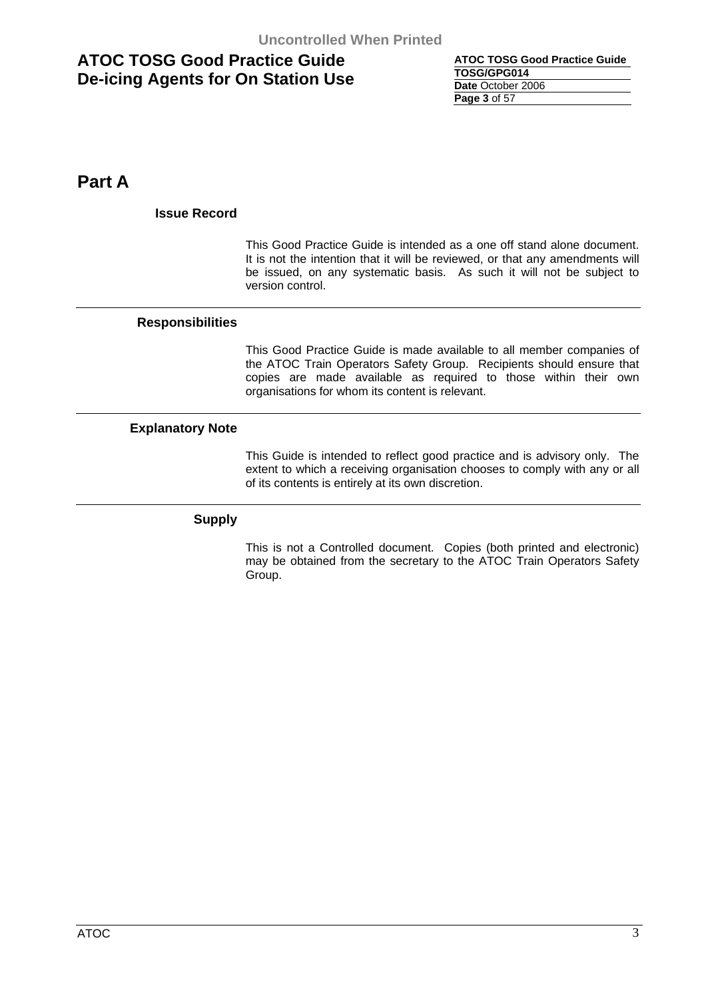| <b>ATOC TOSG Good Practice Guide</b> |
|--------------------------------------|
| TOSG/GPG014                          |
| Date October 2006                    |
| Page 3 of 57                         |

**Part A** 

### **Issue Record**

This Good Practice Guide is intended as a one off stand alone document. It is not the intention that it will be reviewed, or that any amendments will be issued, on any systematic basis. As such it will not be subject to version control.

### **Responsibilities**

This Good Practice Guide is made available to all member companies of the ATOC Train Operators Safety Group. Recipients should ensure that copies are made available as required to those within their own organisations for whom its content is relevant.

### **Explanatory Note**

This Guide is intended to reflect good practice and is advisory only. The extent to which a receiving organisation chooses to comply with any or all of its contents is entirely at its own discretion.

### **Supply**

This is not a Controlled document. Copies (both printed and electronic) may be obtained from the secretary to the ATOC Train Operators Safety Group.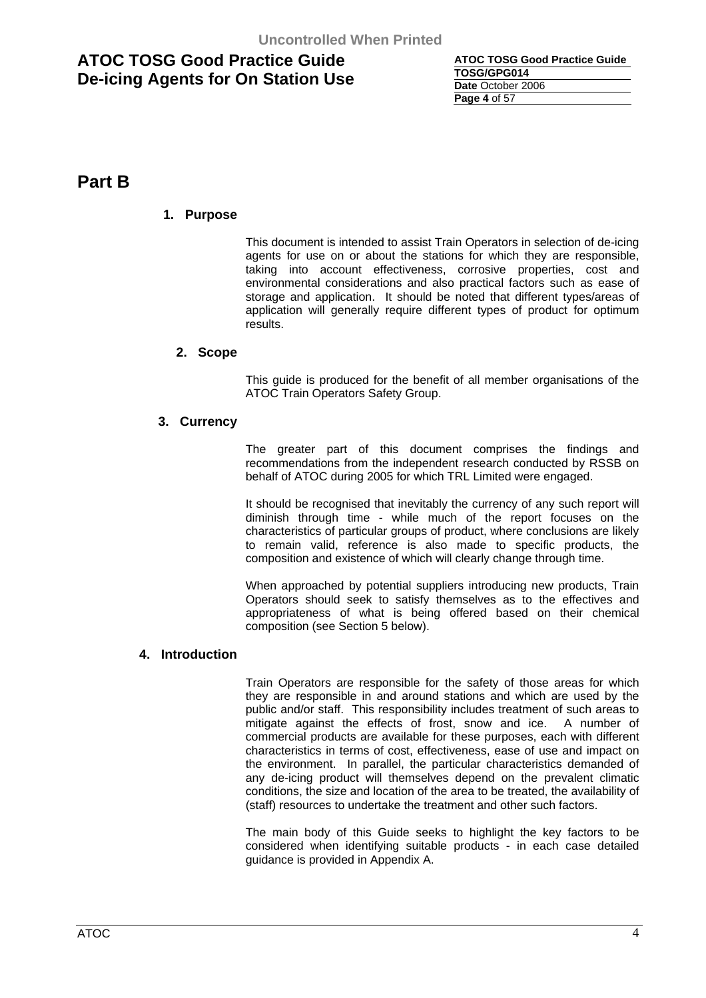| <b>ATOC TOSG Good Practice Guide</b> |
|--------------------------------------|
| TOSG/GPG014                          |
| Date October 2006                    |
| <b>Page 4 of 57</b>                  |

# **Part B**

### **1. Purpose**

This document is intended to assist Train Operators in selection of de-icing agents for use on or about the stations for which they are responsible, taking into account effectiveness, corrosive properties, cost and environmental considerations and also practical factors such as ease of storage and application. It should be noted that different types/areas of application will generally require different types of product for optimum results.

### **2. Scope**

This guide is produced for the benefit of all member organisations of the ATOC Train Operators Safety Group.

### **3. Currency**

The greater part of this document comprises the findings and recommendations from the independent research conducted by RSSB on behalf of ATOC during 2005 for which TRL Limited were engaged.

It should be recognised that inevitably the currency of any such report will diminish through time - while much of the report focuses on the characteristics of particular groups of product, where conclusions are likely to remain valid, reference is also made to specific products, the composition and existence of which will clearly change through time.

When approached by potential suppliers introducing new products, Train Operators should seek to satisfy themselves as to the effectives and appropriateness of what is being offered based on their chemical composition (see Section 5 below).

### **4. Introduction**

Train Operators are responsible for the safety of those areas for which they are responsible in and around stations and which are used by the public and/or staff. This responsibility includes treatment of such areas to mitigate against the effects of frost, snow and ice. A number of commercial products are available for these purposes, each with different characteristics in terms of cost, effectiveness, ease of use and impact on the environment. In parallel, the particular characteristics demanded of any de-icing product will themselves depend on the prevalent climatic conditions, the size and location of the area to be treated, the availability of (staff) resources to undertake the treatment and other such factors.

The main body of this Guide seeks to highlight the key factors to be considered when identifying suitable products - in each case detailed guidance is provided in Appendix A.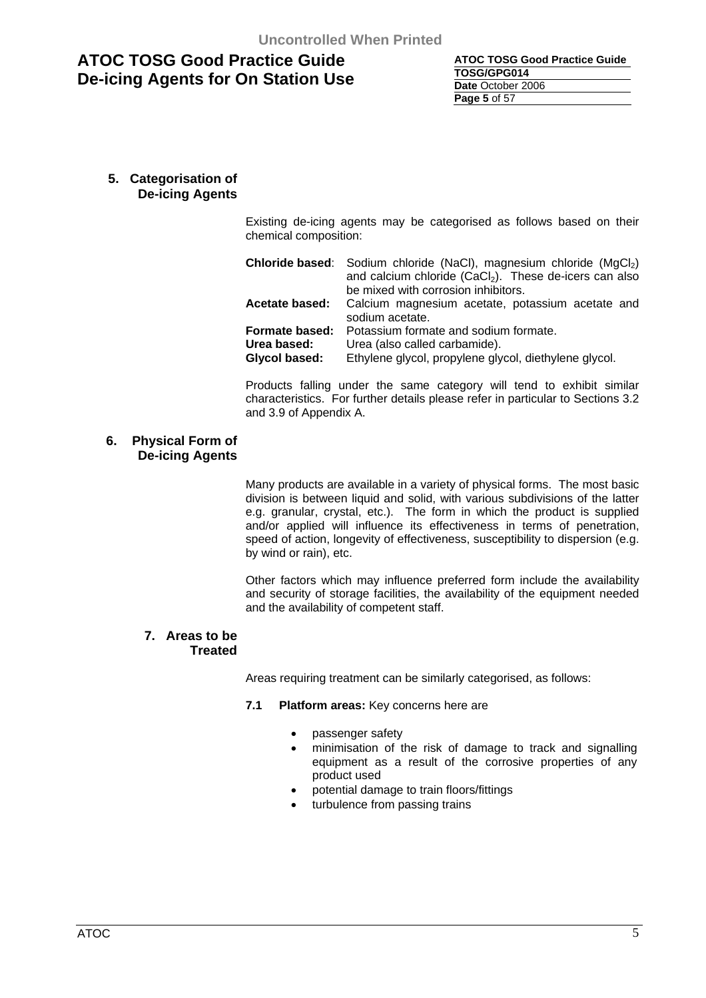| <b>ATOC TOSG Good Practice Guide</b> |
|--------------------------------------|
| TOSG/GPG014                          |
| Date October 2006                    |
| <b>Page 5 of 57</b>                  |

### **5. Categorisation of De-icing Agents**

Existing de-icing agents may be categorised as follows based on their chemical composition:

|                       | <b>Chloride based:</b> Sodium chloride (NaCl), magnesium chloride (MgCl <sub>2</sub> ) |  |  |
|-----------------------|----------------------------------------------------------------------------------------|--|--|
|                       | and calcium chloride (CaCl <sub>2</sub> ). These de-icers can also                     |  |  |
|                       | be mixed with corrosion inhibitors.                                                    |  |  |
| <b>Acetate based:</b> | Calcium magnesium acetate, potassium acetate and<br>sodium acetate.                    |  |  |
| Formate based:        | Potassium formate and sodium formate.                                                  |  |  |
| Urea based:           | Urea (also called carbamide).                                                          |  |  |
| Glycol based:         | Ethylene glycol, propylene glycol, diethylene glycol.                                  |  |  |

Products falling under the same category will tend to exhibit similar characteristics. For further details please refer in particular to Sections 3.2 and 3.9 of Appendix A.

### **6. Physical Form of De-icing Agents**

Many products are available in a variety of physical forms. The most basic division is between liquid and solid, with various subdivisions of the latter e.g. granular, crystal, etc.). The form in which the product is supplied and/or applied will influence its effectiveness in terms of penetration, speed of action, longevity of effectiveness, susceptibility to dispersion (e.g. by wind or rain), etc.

Other factors which may influence preferred form include the availability and security of storage facilities, the availability of the equipment needed and the availability of competent staff.

### **7. Areas to be Treated**

Areas requiring treatment can be similarly categorised, as follows:

#### **7.1 Platform areas:** Key concerns here are

- passenger safety
- minimisation of the risk of damage to track and signalling equipment as a result of the corrosive properties of any product used
- potential damage to train floors/fittings
- turbulence from passing trains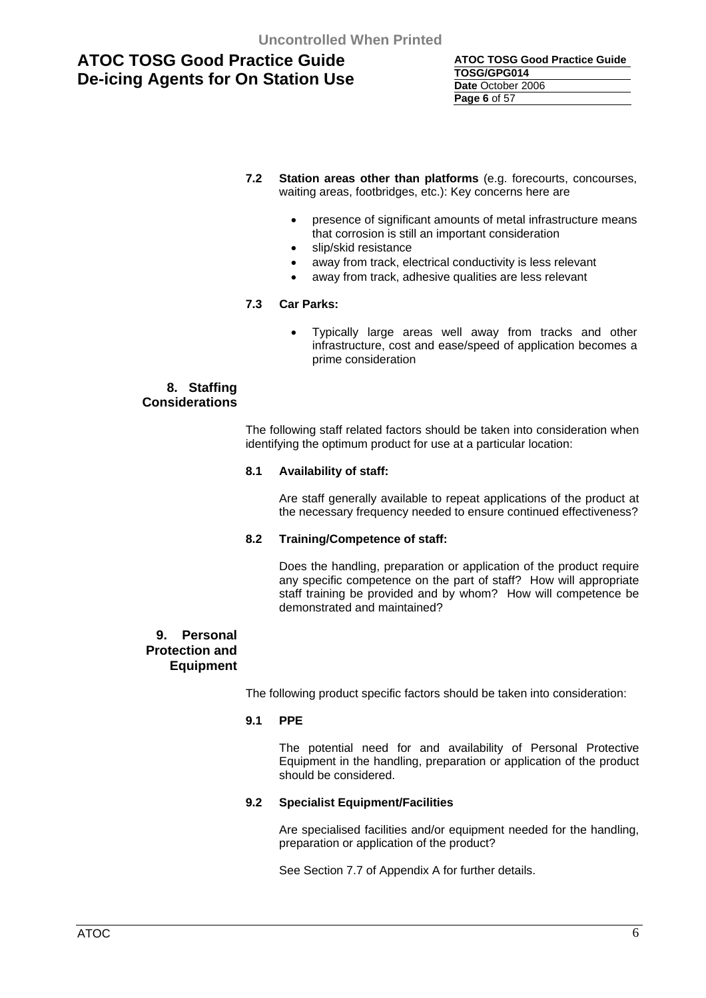| ATOC TOSG Good Practice Guide |
|-------------------------------|
| TOSG/GPG014                   |
| Date October 2006             |
| <b>Page 6 of 57</b>           |

- **7.2 Station areas other than platforms** (e.g. forecourts, concourses, waiting areas, footbridges, etc.): Key concerns here are
	- presence of significant amounts of metal infrastructure means that corrosion is still an important consideration
	- slip/skid resistance
	- away from track, electrical conductivity is less relevant
	- away from track, adhesive qualities are less relevant

### **7.3 Car Parks:**

• Typically large areas well away from tracks and other infrastructure, cost and ease/speed of application becomes a prime consideration

### **8. Staffing Considerations**

The following staff related factors should be taken into consideration when identifying the optimum product for use at a particular location:

#### **8.1 Availability of staff:**

 Are staff generally available to repeat applications of the product at the necessary frequency needed to ensure continued effectiveness?

#### **8.2 Training/Competence of staff:**

 Does the handling, preparation or application of the product require any specific competence on the part of staff? How will appropriate staff training be provided and by whom? How will competence be demonstrated and maintained?

### **9. Personal Protection and Equipment**

The following product specific factors should be taken into consideration:

#### **9.1 PPE**

 The potential need for and availability of Personal Protective Equipment in the handling, preparation or application of the product should be considered.

#### **9.2 Specialist Equipment/Facilities**

 Are specialised facilities and/or equipment needed for the handling, preparation or application of the product?

See Section 7.7 of Appendix A for further details.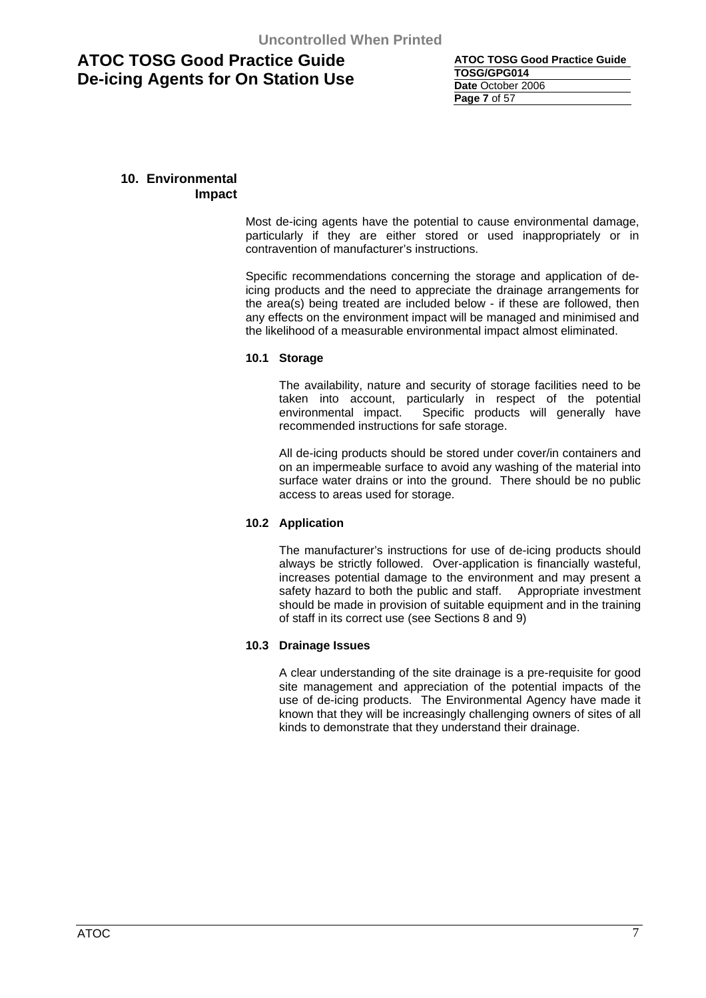| <b>ATOC TOSG Good Practice Guide</b> |
|--------------------------------------|
| TOSG/GPG014                          |
| Date October 2006                    |
| <b>Page 7 of 57</b>                  |

### **10. Environmental Impact**

Most de-icing agents have the potential to cause environmental damage, particularly if they are either stored or used inappropriately or in contravention of manufacturer's instructions.

Specific recommendations concerning the storage and application of deicing products and the need to appreciate the drainage arrangements for the area(s) being treated are included below - if these are followed, then any effects on the environment impact will be managed and minimised and the likelihood of a measurable environmental impact almost eliminated.

### **10.1 Storage**

The availability, nature and security of storage facilities need to be taken into account, particularly in respect of the potential environmental impact. Specific products will generally have recommended instructions for safe storage.

All de-icing products should be stored under cover/in containers and on an impermeable surface to avoid any washing of the material into surface water drains or into the ground. There should be no public access to areas used for storage.

### **10.2 Application**

The manufacturer's instructions for use of de-icing products should always be strictly followed. Over-application is financially wasteful, increases potential damage to the environment and may present a safety hazard to both the public and staff. Appropriate investment should be made in provision of suitable equipment and in the training of staff in its correct use (see Sections 8 and 9)

### **10.3 Drainage Issues**

A clear understanding of the site drainage is a pre-requisite for good site management and appreciation of the potential impacts of the use of de-icing products. The Environmental Agency have made it known that they will be increasingly challenging owners of sites of all kinds to demonstrate that they understand their drainage.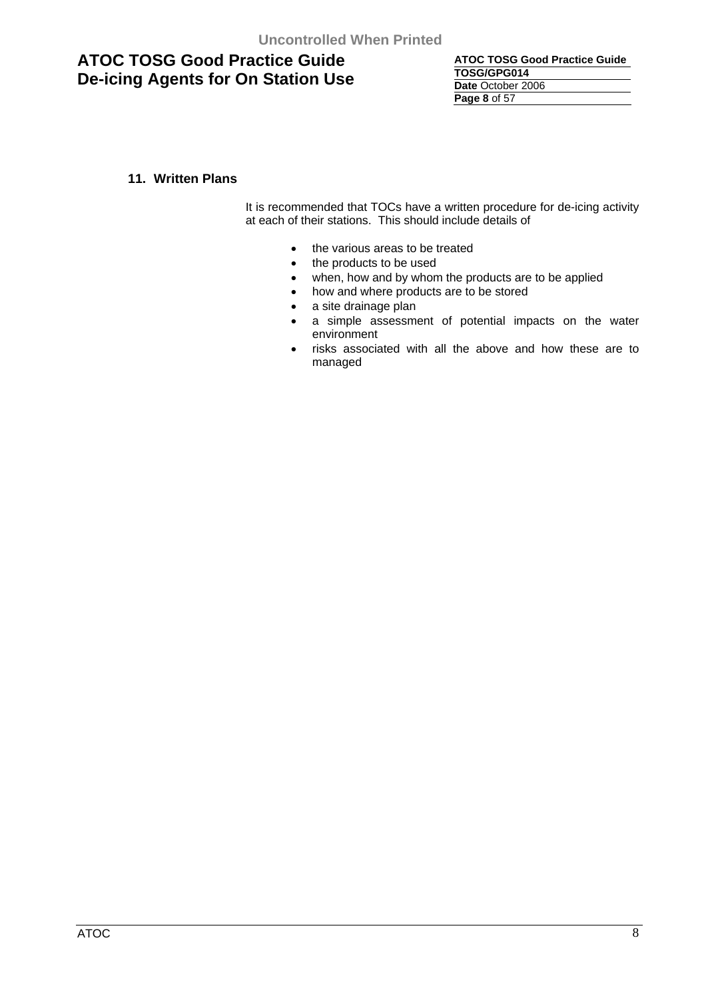**ATOC TOSG Good Practice Guide TOSG/GPG014 Date** October 2006 **Page 8** of 57

### **11. Written Plans**

It is recommended that TOCs have a written procedure for de-icing activity at each of their stations. This should include details of

- the various areas to be treated
- the products to be used
- when, how and by whom the products are to be applied
- how and where products are to be stored
- a site drainage plan
- a simple assessment of potential impacts on the water environment
- risks associated with all the above and how these are to managed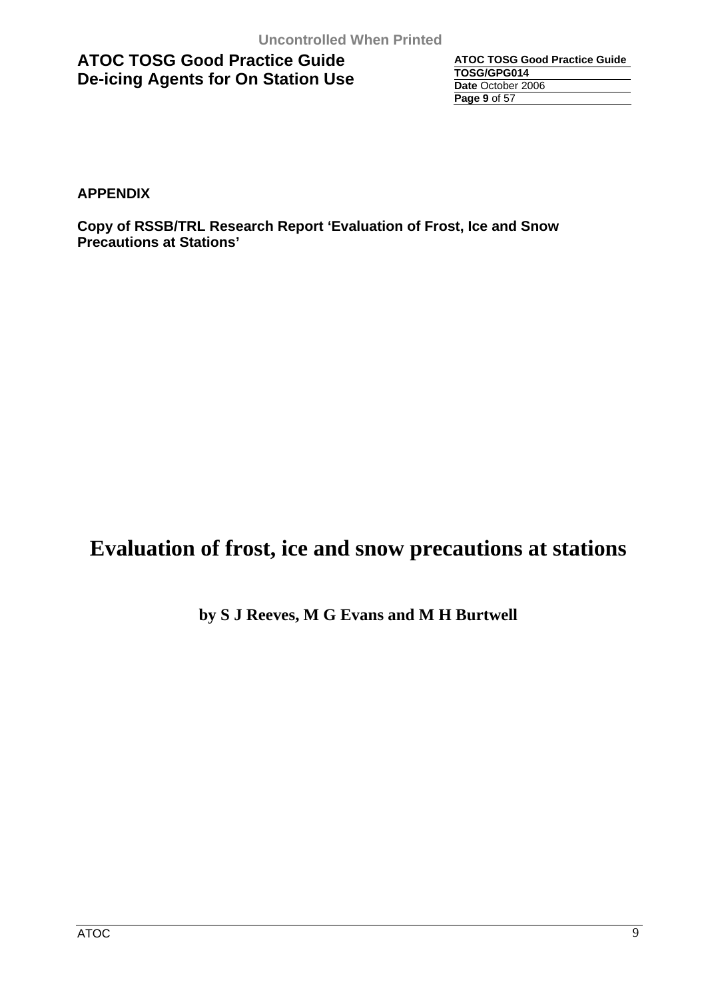| <b>ATOC TOSG Good Practice Guide</b> |
|--------------------------------------|
| TOSG/GPG014                          |
| Date October 2006                    |
| <b>Page 9 of 57</b>                  |

**APPENDIX** 

**Copy of RSSB/TRL Research Report 'Evaluation of Frost, Ice and Snow Precautions at Stations'** 

# **Evaluation of frost, ice and snow precautions at stations**

### **by S J Reeves, M G Evans and M H Burtwell**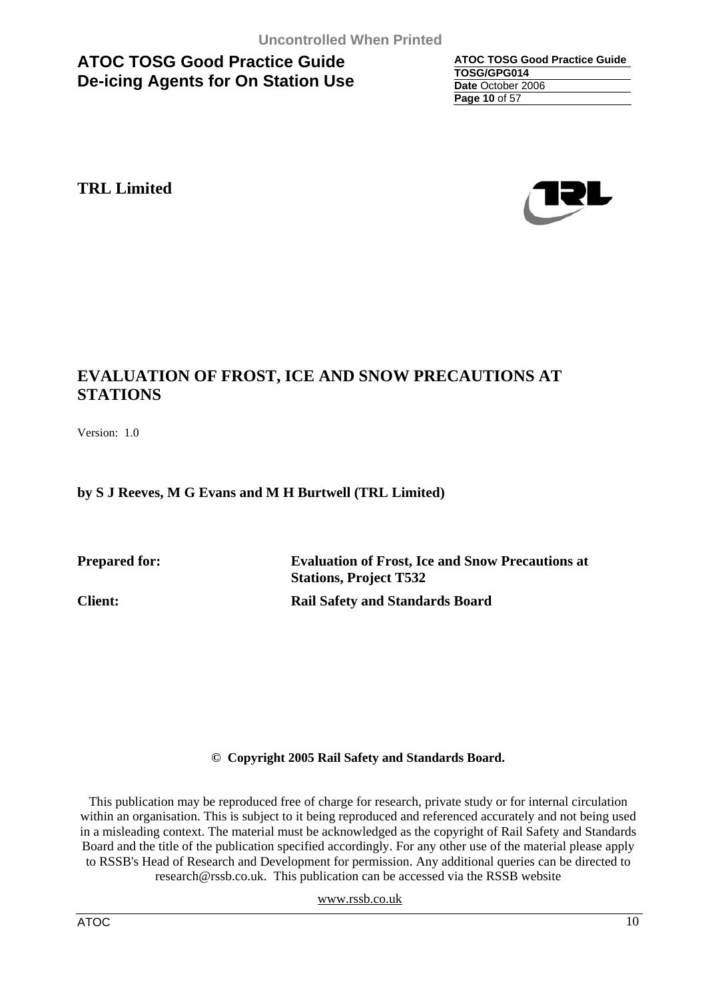**ATOC TOSG Good Practice Guide TOSG/GPG014 Date** October 2006 **Page 10** of 57

# **TRL Limited**



# **EVALUATION OF FROST, ICE AND SNOW PRECAUTIONS AT STATIONS**

Version: 1.0

### **by S J Reeves, M G Evans and M H Burtwell (TRL Limited)**

**Prepared for: Evaluation of Frost, Ice and Snow Precautions at Stations, Project T532 Client: Rail Safety and Standards Board** 

### **© Copyright 2005 Rail Safety and Standards Board.**

This publication may be reproduced free of charge for research, private study or for internal circulation within an organisation. This is subject to it being reproduced and referenced accurately and not being used in a misleading context. The material must be acknowledged as the copyright of Rail Safety and Standards Board and the title of the publication specified accordingly. For any other use of the material please apply to RSSB's Head of Research and Development for permission. Any additional queries can be directed to research@rssb.co.uk. This publication can be accessed via the RSSB website

www.rssb.co.uk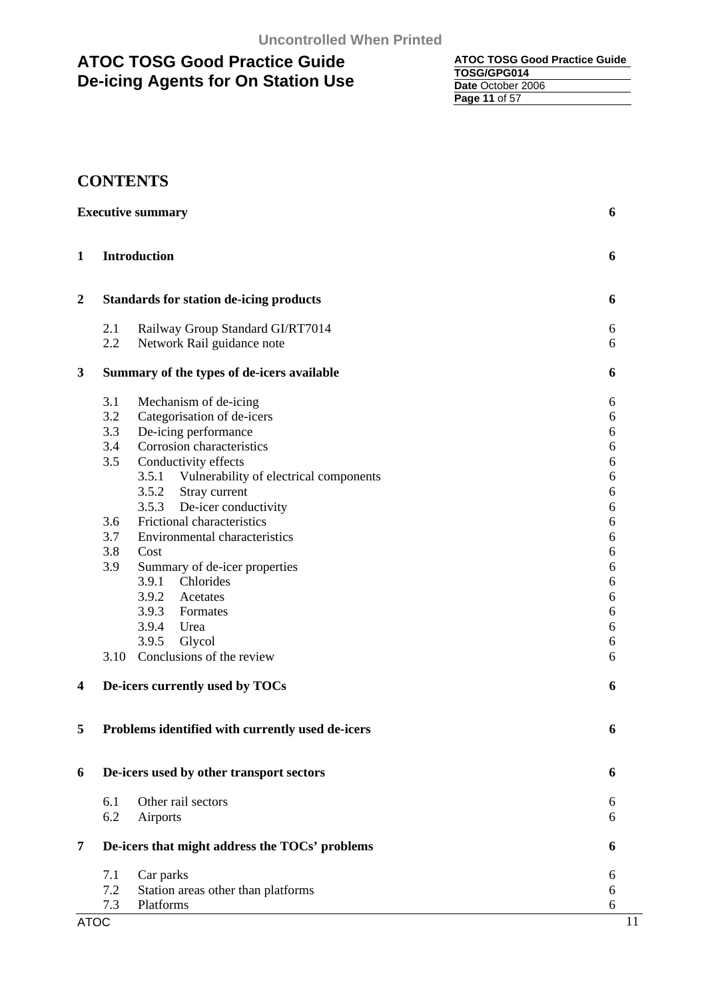| <b>ATOC TOSG Good Practice Guide</b> |
|--------------------------------------|
| TOSG/GPG014                          |
| Date October 2006                    |
| <b>Page 11 of 57</b>                 |

# **CONTENTS**

|                | <b>Executive summary</b> |                                                  | 6          |
|----------------|--------------------------|--------------------------------------------------|------------|
| 1              |                          | <b>Introduction</b>                              | 6          |
| $\overline{2}$ |                          | <b>Standards for station de-icing products</b>   | 6          |
|                | 2.1                      | Railway Group Standard GI/RT7014                 | 6          |
|                | 2.2                      | Network Rail guidance note                       | 6          |
| 3              |                          | Summary of the types of de-icers available       |            |
|                | 3.1                      | Mechanism of de-icing                            | 6          |
|                | 3.2                      | Categorisation of de-icers                       | 6          |
|                | 3.3                      | De-icing performance                             | 6          |
|                | 3.4                      | Corrosion characteristics                        | $\sqrt{6}$ |
|                | 3.5                      | Conductivity effects                             | $\sqrt{6}$ |
|                |                          | 3.5.1 Vulnerability of electrical components     | 6          |
|                |                          | 3.5.2<br>Stray current                           | 6          |
|                |                          | 3.5.3<br>De-icer conductivity                    | 6          |
|                | 3.6                      | Frictional characteristics                       | 6          |
|                | 3.7                      | Environmental characteristics                    | 6          |
|                | 3.8                      | Cost                                             | 6          |
|                | 3.9                      | Summary of de-icer properties                    | 6          |
|                |                          | 3.9.1<br>Chlorides                               | 6          |
|                |                          | 3.9.2<br>Acetates                                | 6          |
|                |                          | 3.9.3<br>Formates                                | 6          |
|                |                          | 3.9.4<br>Urea                                    | 6          |
|                |                          | 3.9.5<br>Glycol                                  | 6          |
|                | 3.10                     | Conclusions of the review                        | 6          |
| 4              |                          | De-icers currently used by TOCs                  | 6          |
| 5              |                          | Problems identified with currently used de-icers | 6          |
| 6              |                          | De-icers used by other transport sectors         | 6          |
|                | 6.1                      | Other rail sectors                               | 6          |
|                | 6.2                      | Airports                                         | 6          |
| 7              |                          | De-icers that might address the TOCs' problems   | 6          |
|                | 7.1                      | Car parks                                        | 6          |
|                | 7.2                      | Station areas other than platforms               | 6          |
|                | 7.3                      | Platforms                                        | 6          |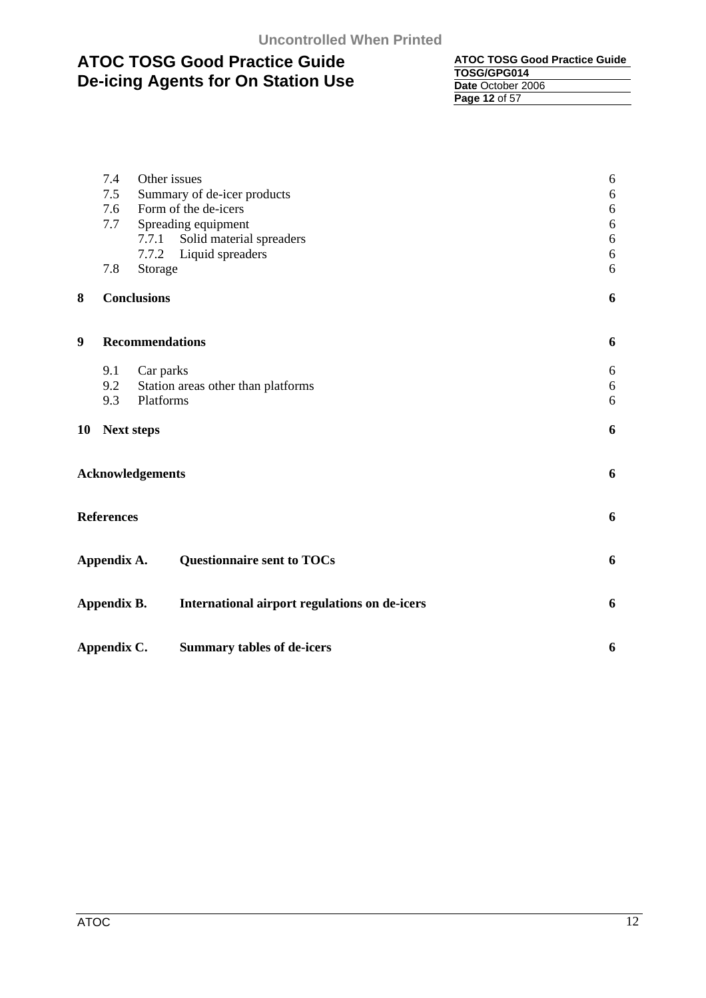| <b>ATOC TOSG Good Practice Guide</b> |
|--------------------------------------|
| TOSG/GPG014                          |
| Date October 2006                    |
| Page 12 of 57                        |

|    | 7.4                                                                                                                                                                                                                                                                                                                                                                                                                 | Other issues                       | 6          |
|----|---------------------------------------------------------------------------------------------------------------------------------------------------------------------------------------------------------------------------------------------------------------------------------------------------------------------------------------------------------------------------------------------------------------------|------------------------------------|------------|
|    | 7.5                                                                                                                                                                                                                                                                                                                                                                                                                 |                                    | $6\,$      |
|    | 7.6                                                                                                                                                                                                                                                                                                                                                                                                                 | Form of the de-icers               | $\sqrt{6}$ |
|    | 7.7                                                                                                                                                                                                                                                                                                                                                                                                                 | Spreading equipment                | 6          |
|    |                                                                                                                                                                                                                                                                                                                                                                                                                     | 7.7.1                              | $\sqrt{6}$ |
|    |                                                                                                                                                                                                                                                                                                                                                                                                                     | 7.7.2                              | $\sqrt{6}$ |
|    | 7.8                                                                                                                                                                                                                                                                                                                                                                                                                 | Storage                            | 6          |
| 8  |                                                                                                                                                                                                                                                                                                                                                                                                                     |                                    | 6          |
| 9  |                                                                                                                                                                                                                                                                                                                                                                                                                     |                                    | 6          |
|    | 9.1                                                                                                                                                                                                                                                                                                                                                                                                                 | Car parks                          | 6          |
|    | 9.2                                                                                                                                                                                                                                                                                                                                                                                                                 | Station areas other than platforms | $6\,$      |
|    | 9.3                                                                                                                                                                                                                                                                                                                                                                                                                 |                                    |            |
| 10 |                                                                                                                                                                                                                                                                                                                                                                                                                     |                                    | 6          |
|    | Summary of de-icer products<br>Solid material spreaders<br>Liquid spreaders<br><b>Conclusions</b><br><b>Recommendations</b><br>Platforms<br>6<br><b>Next steps</b><br><b>Acknowledgements</b><br>6<br><b>References</b><br>6<br><b>Questionnaire sent to TOCs</b><br>Appendix A.<br>6<br>Appendix B.<br>International airport regulations on de-icers<br>6<br>Appendix C.<br><b>Summary tables of de-icers</b><br>6 |                                    |            |
|    |                                                                                                                                                                                                                                                                                                                                                                                                                     |                                    |            |
|    |                                                                                                                                                                                                                                                                                                                                                                                                                     |                                    |            |
|    |                                                                                                                                                                                                                                                                                                                                                                                                                     |                                    |            |
|    |                                                                                                                                                                                                                                                                                                                                                                                                                     |                                    |            |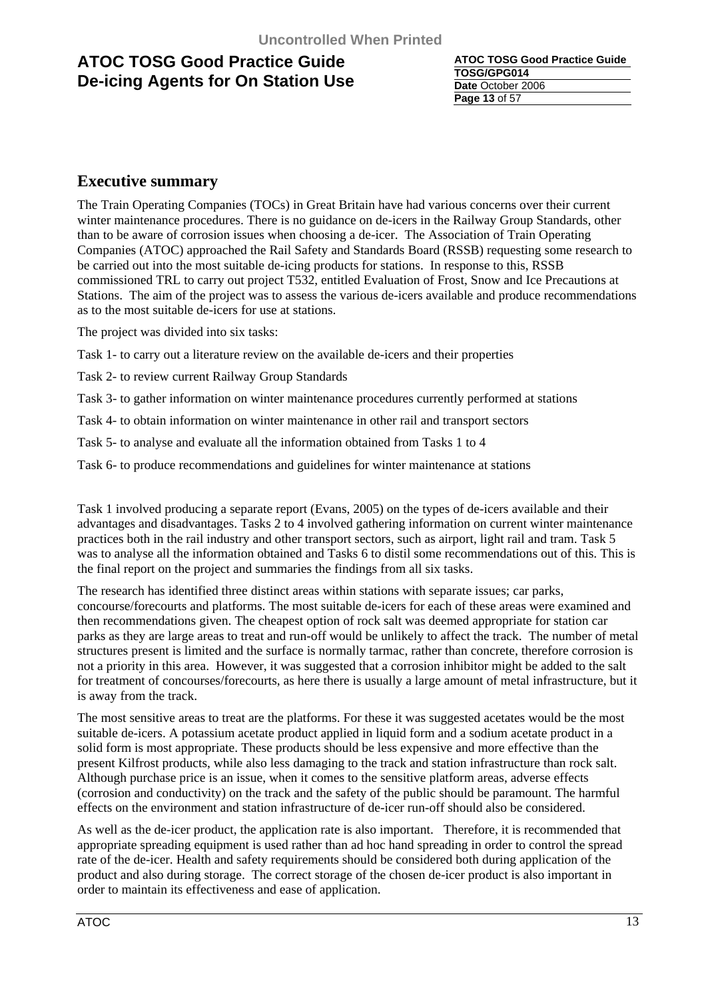**ATOC TOSG Good Practice Guide TOSG/GPG014 Date** October 2006 **Page 13** of 57

### **Executive summary**

The Train Operating Companies (TOCs) in Great Britain have had various concerns over their current winter maintenance procedures. There is no guidance on de-icers in the Railway Group Standards, other than to be aware of corrosion issues when choosing a de-icer. The Association of Train Operating Companies (ATOC) approached the Rail Safety and Standards Board (RSSB) requesting some research to be carried out into the most suitable de-icing products for stations. In response to this, RSSB commissioned TRL to carry out project T532, entitled Evaluation of Frost, Snow and Ice Precautions at Stations. The aim of the project was to assess the various de-icers available and produce recommendations as to the most suitable de-icers for use at stations.

The project was divided into six tasks:

Task 1- to carry out a literature review on the available de-icers and their properties

Task 2- to review current Railway Group Standards

Task 3- to gather information on winter maintenance procedures currently performed at stations

Task 4- to obtain information on winter maintenance in other rail and transport sectors

Task 5- to analyse and evaluate all the information obtained from Tasks 1 to 4

Task 6- to produce recommendations and guidelines for winter maintenance at stations

Task 1 involved producing a separate report (Evans, 2005) on the types of de-icers available and their advantages and disadvantages. Tasks 2 to 4 involved gathering information on current winter maintenance practices both in the rail industry and other transport sectors, such as airport, light rail and tram. Task 5 was to analyse all the information obtained and Tasks 6 to distil some recommendations out of this. This is the final report on the project and summaries the findings from all six tasks.

The research has identified three distinct areas within stations with separate issues; car parks, concourse/forecourts and platforms. The most suitable de-icers for each of these areas were examined and then recommendations given. The cheapest option of rock salt was deemed appropriate for station car parks as they are large areas to treat and run-off would be unlikely to affect the track. The number of metal structures present is limited and the surface is normally tarmac, rather than concrete, therefore corrosion is not a priority in this area. However, it was suggested that a corrosion inhibitor might be added to the salt for treatment of concourses/forecourts, as here there is usually a large amount of metal infrastructure, but it is away from the track.

The most sensitive areas to treat are the platforms. For these it was suggested acetates would be the most suitable de-icers. A potassium acetate product applied in liquid form and a sodium acetate product in a solid form is most appropriate. These products should be less expensive and more effective than the present Kilfrost products, while also less damaging to the track and station infrastructure than rock salt. Although purchase price is an issue, when it comes to the sensitive platform areas, adverse effects (corrosion and conductivity) on the track and the safety of the public should be paramount. The harmful effects on the environment and station infrastructure of de-icer run-off should also be considered.

As well as the de-icer product, the application rate is also important. Therefore, it is recommended that appropriate spreading equipment is used rather than ad hoc hand spreading in order to control the spread rate of the de-icer. Health and safety requirements should be considered both during application of the product and also during storage. The correct storage of the chosen de-icer product is also important in order to maintain its effectiveness and ease of application.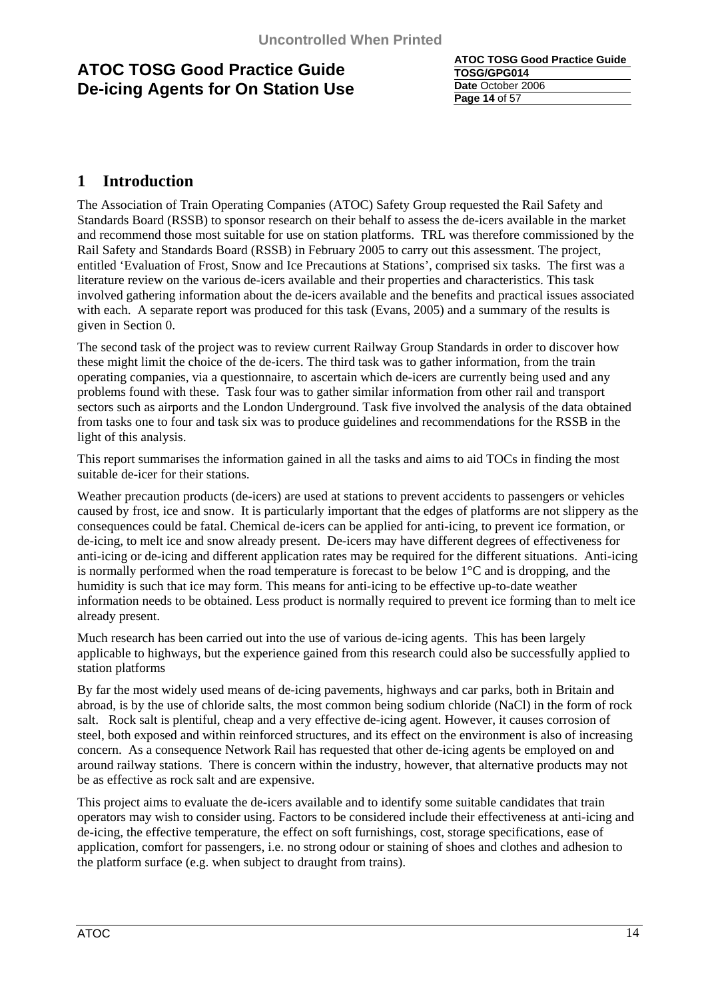**ATOC TOSG Good Practice Guide TOSG/GPG014 Date** October 2006 **Page 14** of 57

### **1 Introduction**

The Association of Train Operating Companies (ATOC) Safety Group requested the Rail Safety and Standards Board (RSSB) to sponsor research on their behalf to assess the de-icers available in the market and recommend those most suitable for use on station platforms. TRL was therefore commissioned by the Rail Safety and Standards Board (RSSB) in February 2005 to carry out this assessment. The project, entitled 'Evaluation of Frost, Snow and Ice Precautions at Stations', comprised six tasks. The first was a literature review on the various de-icers available and their properties and characteristics. This task involved gathering information about the de-icers available and the benefits and practical issues associated with each. A separate report was produced for this task (Evans, 2005) and a summary of the results is given in Section 0.

The second task of the project was to review current Railway Group Standards in order to discover how these might limit the choice of the de-icers. The third task was to gather information, from the train operating companies, via a questionnaire, to ascertain which de-icers are currently being used and any problems found with these. Task four was to gather similar information from other rail and transport sectors such as airports and the London Underground. Task five involved the analysis of the data obtained from tasks one to four and task six was to produce guidelines and recommendations for the RSSB in the light of this analysis.

This report summarises the information gained in all the tasks and aims to aid TOCs in finding the most suitable de-icer for their stations.

Weather precaution products (de-icers) are used at stations to prevent accidents to passengers or vehicles caused by frost, ice and snow. It is particularly important that the edges of platforms are not slippery as the consequences could be fatal. Chemical de-icers can be applied for anti-icing, to prevent ice formation, or de-icing, to melt ice and snow already present. De-icers may have different degrees of effectiveness for anti-icing or de-icing and different application rates may be required for the different situations. Anti-icing is normally performed when the road temperature is forecast to be below 1°C and is dropping, and the humidity is such that ice may form. This means for anti-icing to be effective up-to-date weather information needs to be obtained. Less product is normally required to prevent ice forming than to melt ice already present.

Much research has been carried out into the use of various de-icing agents. This has been largely applicable to highways, but the experience gained from this research could also be successfully applied to station platforms

By far the most widely used means of de-icing pavements, highways and car parks, both in Britain and abroad, is by the use of chloride salts, the most common being sodium chloride (NaCl) in the form of rock salt. Rock salt is plentiful, cheap and a very effective de-icing agent. However, it causes corrosion of steel, both exposed and within reinforced structures, and its effect on the environment is also of increasing concern. As a consequence Network Rail has requested that other de-icing agents be employed on and around railway stations. There is concern within the industry, however, that alternative products may not be as effective as rock salt and are expensive.

This project aims to evaluate the de-icers available and to identify some suitable candidates that train operators may wish to consider using. Factors to be considered include their effectiveness at anti-icing and de-icing, the effective temperature, the effect on soft furnishings, cost, storage specifications, ease of application, comfort for passengers, i.e. no strong odour or staining of shoes and clothes and adhesion to the platform surface (e.g. when subject to draught from trains).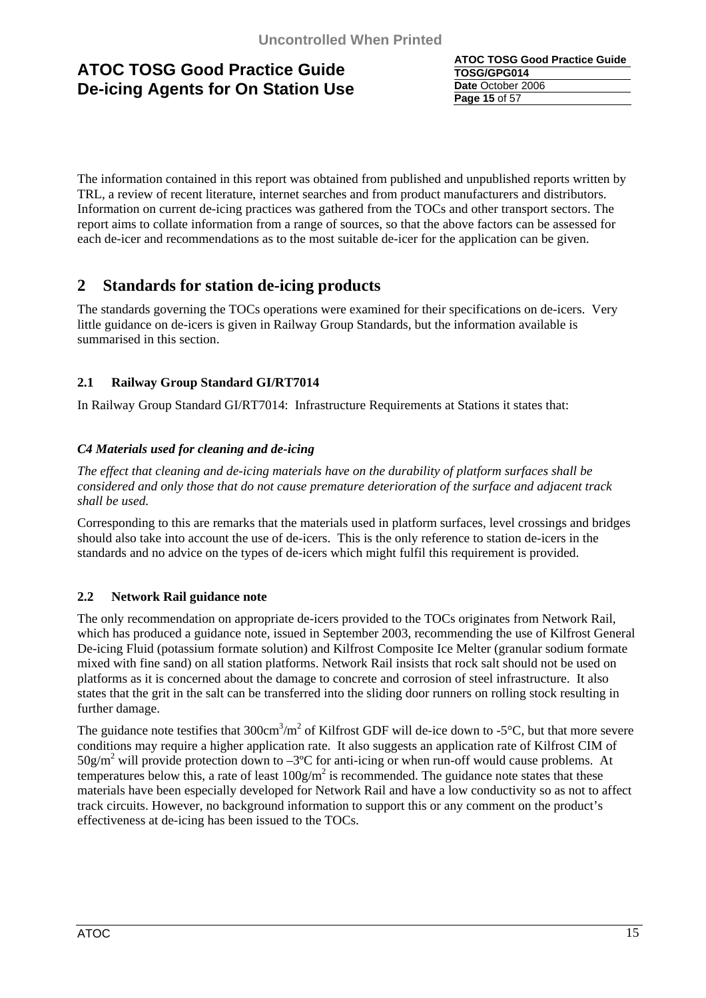**ATOC TOSG Good Practice Guide TOSG/GPG014 Date** October 2006 **Page 15** of 57

The information contained in this report was obtained from published and unpublished reports written by TRL, a review of recent literature, internet searches and from product manufacturers and distributors. Information on current de-icing practices was gathered from the TOCs and other transport sectors. The report aims to collate information from a range of sources, so that the above factors can be assessed for each de-icer and recommendations as to the most suitable de-icer for the application can be given.

### **2 Standards for station de-icing products**

The standards governing the TOCs operations were examined for their specifications on de-icers. Very little guidance on de-icers is given in Railway Group Standards, but the information available is summarised in this section.

### **2.1 Railway Group Standard GI/RT7014**

In Railway Group Standard GI/RT7014: Infrastructure Requirements at Stations it states that:

### *C4 Materials used for cleaning and de-icing*

*The effect that cleaning and de-icing materials have on the durability of platform surfaces shall be considered and only those that do not cause premature deterioration of the surface and adjacent track shall be used.* 

Corresponding to this are remarks that the materials used in platform surfaces, level crossings and bridges should also take into account the use of de-icers. This is the only reference to station de-icers in the standards and no advice on the types of de-icers which might fulfil this requirement is provided.

### **2.2 Network Rail guidance note**

The only recommendation on appropriate de-icers provided to the TOCs originates from Network Rail, which has produced a guidance note, issued in September 2003, recommending the use of Kilfrost General De-icing Fluid (potassium formate solution) and Kilfrost Composite Ice Melter (granular sodium formate mixed with fine sand) on all station platforms. Network Rail insists that rock salt should not be used on platforms as it is concerned about the damage to concrete and corrosion of steel infrastructure. It also states that the grit in the salt can be transferred into the sliding door runners on rolling stock resulting in further damage.

The guidance note testifies that  $300 \text{cm}^3/\text{m}^2$  of Kilfrost GDF will de-ice down to -5°C, but that more severe conditions may require a higher application rate. It also suggests an application rate of Kilfrost CIM of  $50g/m^2$  will provide protection down to  $-3^{\circ}$ C for anti-icing or when run-off would cause problems. At temperatures below this, a rate of least  $100g/m^2$  is recommended. The guidance note states that these materials have been especially developed for Network Rail and have a low conductivity so as not to affect track circuits. However, no background information to support this or any comment on the product's effectiveness at de-icing has been issued to the TOCs.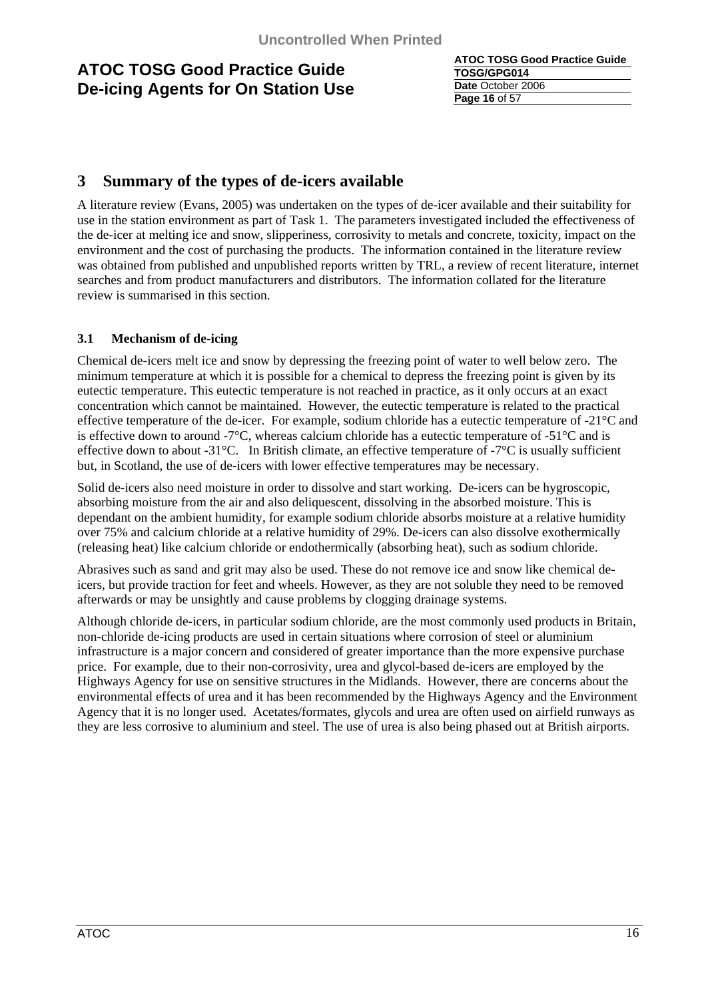**ATOC TOSG Good Practice Guide TOSG/GPG014 Date** October 2006 **Page 16** of 57

### **3 Summary of the types of de-icers available**

A literature review (Evans, 2005) was undertaken on the types of de-icer available and their suitability for use in the station environment as part of Task 1. The parameters investigated included the effectiveness of the de-icer at melting ice and snow, slipperiness, corrosivity to metals and concrete, toxicity, impact on the environment and the cost of purchasing the products. The information contained in the literature review was obtained from published and unpublished reports written by TRL, a review of recent literature, internet searches and from product manufacturers and distributors. The information collated for the literature review is summarised in this section.

### **3.1 Mechanism of de-icing**

Chemical de-icers melt ice and snow by depressing the freezing point of water to well below zero. The minimum temperature at which it is possible for a chemical to depress the freezing point is given by its eutectic temperature. This eutectic temperature is not reached in practice, as it only occurs at an exact concentration which cannot be maintained. However, the eutectic temperature is related to the practical effective temperature of the de-icer. For example, sodium chloride has a eutectic temperature of -21°C and is effective down to around -7 $\rm{^{\circ}C}$ , whereas calcium chloride has a eutectic temperature of -51 $\rm{^{\circ}C}$  and is effective down to about -31 $^{\circ}$ C. In British climate, an effective temperature of -7 $^{\circ}$ C is usually sufficient but, in Scotland, the use of de-icers with lower effective temperatures may be necessary.

Solid de-icers also need moisture in order to dissolve and start working. De-icers can be hygroscopic, absorbing moisture from the air and also deliquescent, dissolving in the absorbed moisture. This is dependant on the ambient humidity, for example sodium chloride absorbs moisture at a relative humidity over 75% and calcium chloride at a relative humidity of 29%. De-icers can also dissolve exothermically (releasing heat) like calcium chloride or endothermically (absorbing heat), such as sodium chloride.

Abrasives such as sand and grit may also be used. These do not remove ice and snow like chemical deicers, but provide traction for feet and wheels. However, as they are not soluble they need to be removed afterwards or may be unsightly and cause problems by clogging drainage systems.

Although chloride de-icers, in particular sodium chloride, are the most commonly used products in Britain, non-chloride de-icing products are used in certain situations where corrosion of steel or aluminium infrastructure is a major concern and considered of greater importance than the more expensive purchase price. For example, due to their non-corrosivity, urea and glycol-based de-icers are employed by the Highways Agency for use on sensitive structures in the Midlands. However, there are concerns about the environmental effects of urea and it has been recommended by the Highways Agency and the Environment Agency that it is no longer used. Acetates/formates, glycols and urea are often used on airfield runways as they are less corrosive to aluminium and steel. The use of urea is also being phased out at British airports.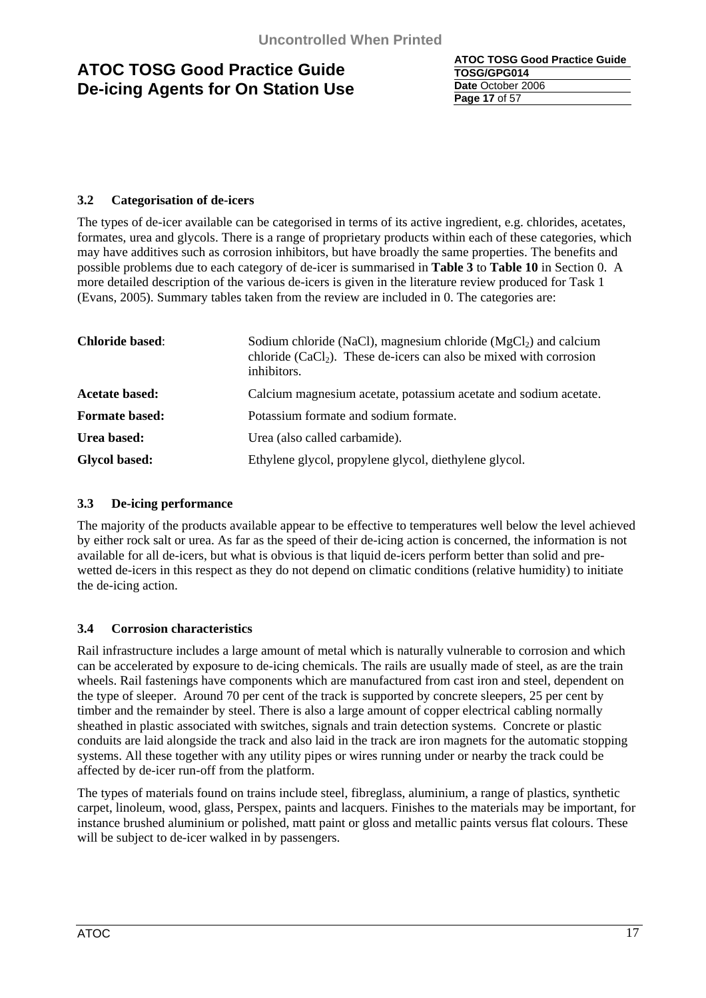**ATOC TOSG Good Practice Guide TOSG/GPG014 Date** October 2006 **Page 17** of 57

### **3.2 Categorisation of de-icers**

The types of de-icer available can be categorised in terms of its active ingredient, e.g. chlorides, acetates, formates, urea and glycols. There is a range of proprietary products within each of these categories, which may have additives such as corrosion inhibitors, but have broadly the same properties. The benefits and possible problems due to each category of de-icer is summarised in **Table 3** to **Table 10** in Section 0. A more detailed description of the various de-icers is given in the literature review produced for Task 1 (Evans, 2005). Summary tables taken from the review are included in 0. The categories are:

| <b>Chloride based:</b> | Sodium chloride (NaCl), magnesium chloride ( $MgCl2$ ) and calcium<br>chloride $(CaCl2)$ . These de-icers can also be mixed with corrosion<br>inhibitors. |  |
|------------------------|-----------------------------------------------------------------------------------------------------------------------------------------------------------|--|
| <b>Acetate based:</b>  | Calcium magnesium acetate, potassium acetate and sodium acetate.                                                                                          |  |
| <b>Formate based:</b>  | Potassium formate and sodium formate.                                                                                                                     |  |
| Urea based:            | Urea (also called carbamide).                                                                                                                             |  |
| <b>Glycol based:</b>   | Ethylene glycol, propylene glycol, diethylene glycol.                                                                                                     |  |

### **3.3 De-icing performance**

The majority of the products available appear to be effective to temperatures well below the level achieved by either rock salt or urea. As far as the speed of their de-icing action is concerned, the information is not available for all de-icers, but what is obvious is that liquid de-icers perform better than solid and prewetted de-icers in this respect as they do not depend on climatic conditions (relative humidity) to initiate the de-icing action.

### **3.4 Corrosion characteristics**

Rail infrastructure includes a large amount of metal which is naturally vulnerable to corrosion and which can be accelerated by exposure to de-icing chemicals. The rails are usually made of steel, as are the train wheels. Rail fastenings have components which are manufactured from cast iron and steel, dependent on the type of sleeper. Around 70 per cent of the track is supported by concrete sleepers, 25 per cent by timber and the remainder by steel. There is also a large amount of copper electrical cabling normally sheathed in plastic associated with switches, signals and train detection systems. Concrete or plastic conduits are laid alongside the track and also laid in the track are iron magnets for the automatic stopping systems. All these together with any utility pipes or wires running under or nearby the track could be affected by de-icer run-off from the platform.

The types of materials found on trains include steel, fibreglass, aluminium, a range of plastics, synthetic carpet, linoleum, wood, glass, Perspex, paints and lacquers. Finishes to the materials may be important, for instance brushed aluminium or polished, matt paint or gloss and metallic paints versus flat colours. These will be subject to de-icer walked in by passengers.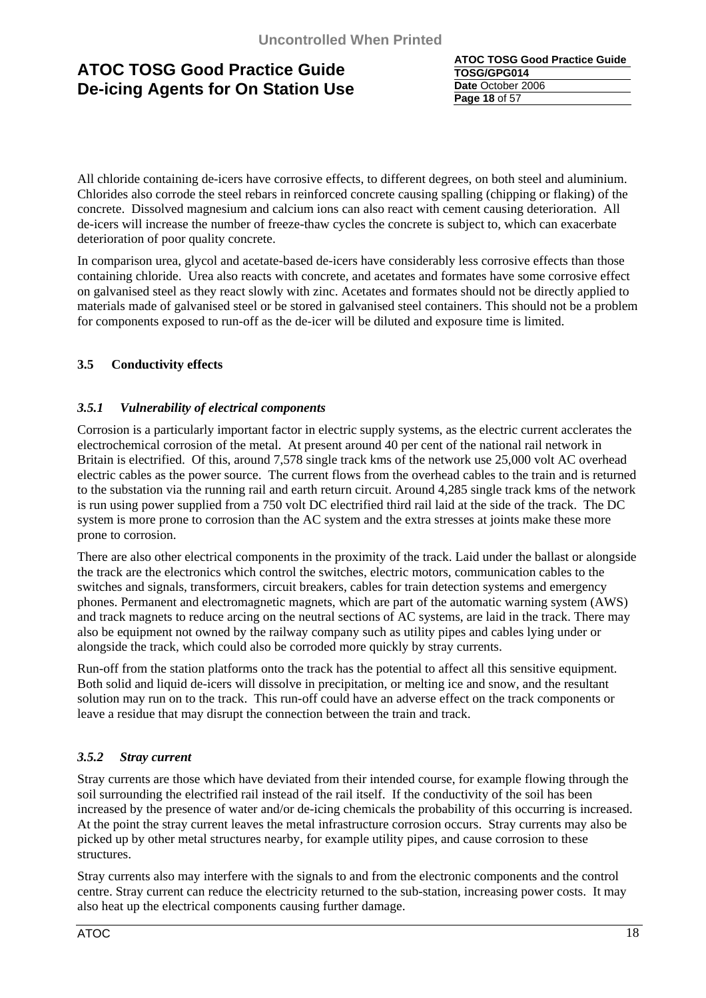**ATOC TOSG Good Practice Guide TOSG/GPG014 Date** October 2006 **Page 18** of 57

All chloride containing de-icers have corrosive effects, to different degrees, on both steel and aluminium. Chlorides also corrode the steel rebars in reinforced concrete causing spalling (chipping or flaking) of the concrete. Dissolved magnesium and calcium ions can also react with cement causing deterioration. All de-icers will increase the number of freeze-thaw cycles the concrete is subject to, which can exacerbate deterioration of poor quality concrete.

In comparison urea, glycol and acetate-based de-icers have considerably less corrosive effects than those containing chloride. Urea also reacts with concrete, and acetates and formates have some corrosive effect on galvanised steel as they react slowly with zinc. Acetates and formates should not be directly applied to materials made of galvanised steel or be stored in galvanised steel containers. This should not be a problem for components exposed to run-off as the de-icer will be diluted and exposure time is limited.

### **3.5 Conductivity effects**

### *3.5.1 Vulnerability of electrical components*

Corrosion is a particularly important factor in electric supply systems, as the electric current acclerates the electrochemical corrosion of the metal. At present around 40 per cent of the national rail network in Britain is electrified. Of this, around 7,578 single track kms of the network use 25,000 volt AC overhead electric cables as the power source. The current flows from the overhead cables to the train and is returned to the substation via the running rail and earth return circuit. Around 4,285 single track kms of the network is run using power supplied from a 750 volt DC electrified third rail laid at the side of the track. The DC system is more prone to corrosion than the AC system and the extra stresses at joints make these more prone to corrosion.

There are also other electrical components in the proximity of the track. Laid under the ballast or alongside the track are the electronics which control the switches, electric motors, communication cables to the switches and signals, transformers, circuit breakers, cables for train detection systems and emergency phones. Permanent and electromagnetic magnets, which are part of the automatic warning system (AWS) and track magnets to reduce arcing on the neutral sections of AC systems, are laid in the track. There may also be equipment not owned by the railway company such as utility pipes and cables lying under or alongside the track, which could also be corroded more quickly by stray currents.

Run-off from the station platforms onto the track has the potential to affect all this sensitive equipment. Both solid and liquid de-icers will dissolve in precipitation, or melting ice and snow, and the resultant solution may run on to the track. This run-off could have an adverse effect on the track components or leave a residue that may disrupt the connection between the train and track.

### *3.5.2 Stray current*

Stray currents are those which have deviated from their intended course, for example flowing through the soil surrounding the electrified rail instead of the rail itself. If the conductivity of the soil has been increased by the presence of water and/or de-icing chemicals the probability of this occurring is increased. At the point the stray current leaves the metal infrastructure corrosion occurs. Stray currents may also be picked up by other metal structures nearby, for example utility pipes, and cause corrosion to these structures.

Stray currents also may interfere with the signals to and from the electronic components and the control centre. Stray current can reduce the electricity returned to the sub-station, increasing power costs. It may also heat up the electrical components causing further damage.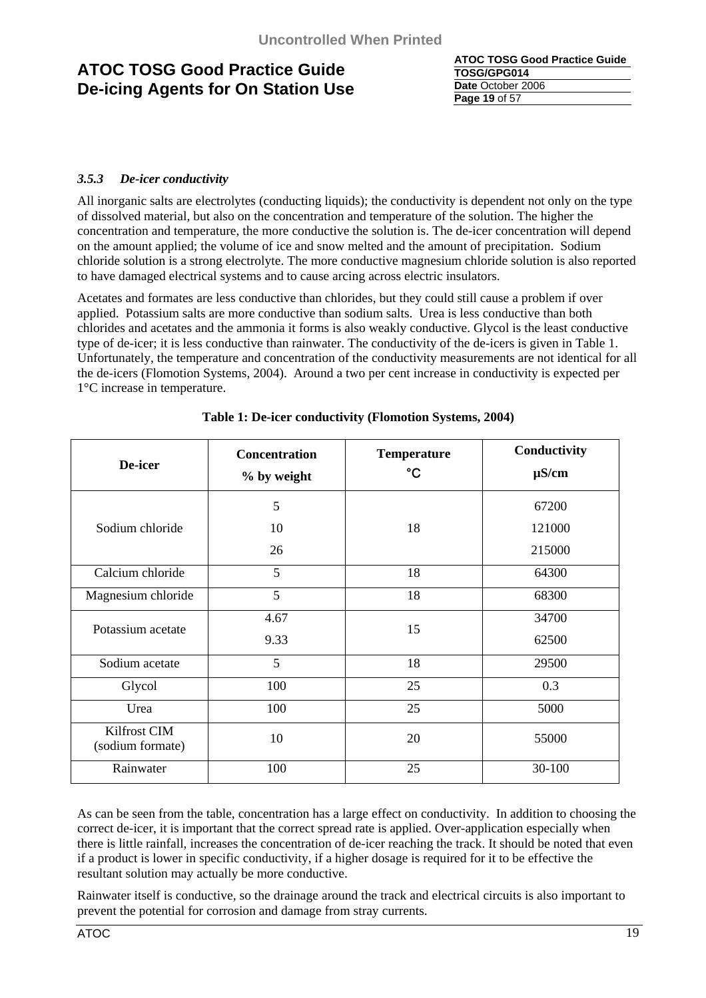**ATOC TOSG Good Practice Guide TOSG/GPG014 Date** October 2006 **Page 19** of 57

### *3.5.3 De-icer conductivity*

All inorganic salts are electrolytes (conducting liquids); the conductivity is dependent not only on the type of dissolved material, but also on the concentration and temperature of the solution. The higher the concentration and temperature, the more conductive the solution is. The de-icer concentration will depend on the amount applied; the volume of ice and snow melted and the amount of precipitation. Sodium chloride solution is a strong electrolyte. The more conductive magnesium chloride solution is also reported to have damaged electrical systems and to cause arcing across electric insulators.

Acetates and formates are less conductive than chlorides, but they could still cause a problem if over applied. Potassium salts are more conductive than sodium salts. Urea is less conductive than both chlorides and acetates and the ammonia it forms is also weakly conductive. Glycol is the least conductive type of de-icer; it is less conductive than rainwater. The conductivity of the de-icers is given in Table 1. Unfortunately, the temperature and concentration of the conductivity measurements are not identical for all the de-icers (Flomotion Systems, 2004). Around a two per cent increase in conductivity is expected per 1°C increase in temperature.

| De-icer                          | <b>Concentration</b><br>% by weight | <b>Temperature</b><br>$\rm ^{\circ}C$ | Conductivity<br>$\mu$ S/cm |
|----------------------------------|-------------------------------------|---------------------------------------|----------------------------|
|                                  | 5                                   |                                       | 67200                      |
| Sodium chloride                  | 10                                  | 18                                    | 121000                     |
|                                  | 26                                  |                                       | 215000                     |
| Calcium chloride                 | 5                                   | 18                                    | 64300                      |
| Magnesium chloride               | 5                                   | 18                                    | 68300                      |
| Potassium acetate                | 4.67<br>9.33                        | 15                                    | 34700<br>62500             |
| Sodium acetate                   | 5                                   | 18                                    | 29500                      |
| Glycol                           | 100                                 | 25                                    | 0.3                        |
| Urea                             | 100                                 | 25                                    | 5000                       |
| Kilfrost CIM<br>(sodium formate) | 10                                  | 20                                    | 55000                      |
| Rainwater                        | 100                                 | 25                                    | 30-100                     |

### **Table 1: De-icer conductivity (Flomotion Systems, 2004)**

As can be seen from the table, concentration has a large effect on conductivity. In addition to choosing the correct de-icer, it is important that the correct spread rate is applied. Over-application especially when there is little rainfall, increases the concentration of de-icer reaching the track. It should be noted that even if a product is lower in specific conductivity, if a higher dosage is required for it to be effective the resultant solution may actually be more conductive.

Rainwater itself is conductive, so the drainage around the track and electrical circuits is also important to prevent the potential for corrosion and damage from stray currents.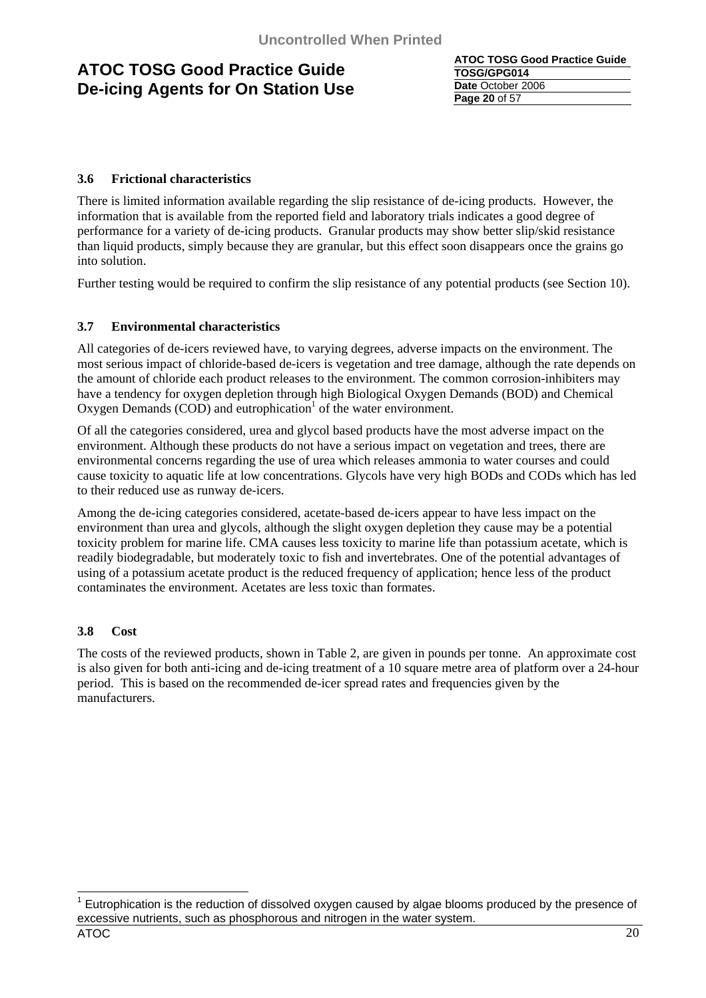**ATOC TOSG Good Practice Guide TOSG/GPG014 Date** October 2006 **Page 20** of 57

### **3.6 Frictional characteristics**

There is limited information available regarding the slip resistance of de-icing products. However, the information that is available from the reported field and laboratory trials indicates a good degree of performance for a variety of de-icing products. Granular products may show better slip/skid resistance than liquid products, simply because they are granular, but this effect soon disappears once the grains go into solution.

Further testing would be required to confirm the slip resistance of any potential products (see Section 10).

### **3.7 Environmental characteristics**

All categories of de-icers reviewed have, to varying degrees, adverse impacts on the environment. The most serious impact of chloride-based de-icers is vegetation and tree damage, although the rate depends on the amount of chloride each product releases to the environment. The common corrosion-inhibiters may have a tendency for oxygen depletion through high Biological Oxygen Demands (BOD) and Chemical Oxygen Demands  $(COD)$  and eutrophication<sup>1</sup> of the water environment.

Of all the categories considered, urea and glycol based products have the most adverse impact on the environment. Although these products do not have a serious impact on vegetation and trees, there are environmental concerns regarding the use of urea which releases ammonia to water courses and could cause toxicity to aquatic life at low concentrations. Glycols have very high BODs and CODs which has led to their reduced use as runway de-icers.

Among the de-icing categories considered, acetate-based de-icers appear to have less impact on the environment than urea and glycols, although the slight oxygen depletion they cause may be a potential toxicity problem for marine life. CMA causes less toxicity to marine life than potassium acetate, which is readily biodegradable, but moderately toxic to fish and invertebrates. One of the potential advantages of using of a potassium acetate product is the reduced frequency of application; hence less of the product contaminates the environment. Acetates are less toxic than formates.

### **3.8 Cost**

The costs of the reviewed products, shown in Table 2, are given in pounds per tonne. An approximate cost is also given for both anti-icing and de-icing treatment of a 10 square metre area of platform over a 24-hour period. This is based on the recommended de-icer spread rates and frequencies given by the manufacturers.

 $\overline{a}$ 

 $1$  Eutrophication is the reduction of dissolved oxygen caused by algae blooms produced by the presence of excessive nutrients, such as phosphorous and nitrogen in the water system.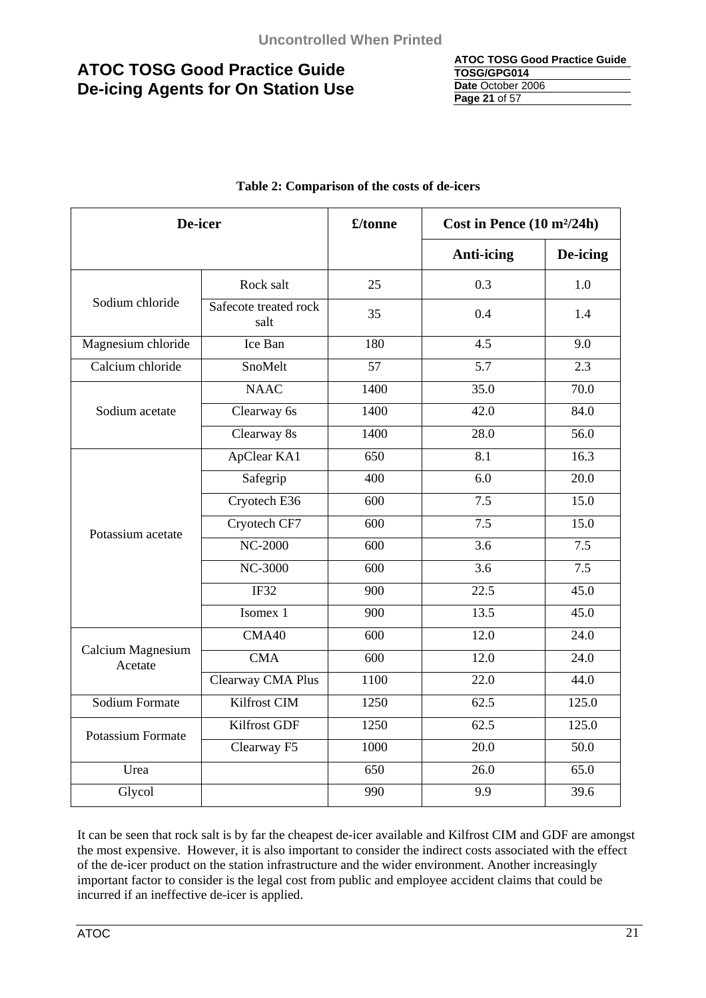| <b>ATOC TOSG Good Practice Guide</b> |
|--------------------------------------|
| TOSG/GPG014                          |
| Date October 2006                    |
| <b>Page 21 of 57</b>                 |

| De-icer                      |                               | £/tonne | Cost in Pence (10 m <sup>2</sup> /24h) |                  |
|------------------------------|-------------------------------|---------|----------------------------------------|------------------|
|                              |                               |         | <b>Anti-icing</b>                      | De-icing         |
|                              | Rock salt                     | 25      | 0.3                                    | 1.0              |
| Sodium chloride              | Safecote treated rock<br>salt | 35      | 0.4                                    | 1.4              |
| Magnesium chloride           | Ice Ban                       | 180     | 4.5                                    | 9.0              |
| Calcium chloride             | SnoMelt                       | 57      | 5.7                                    | 2.3              |
|                              | <b>NAAC</b>                   | 1400    | 35.0                                   | 70.0             |
| Sodium acetate               | Clearway 6s                   | 1400    | 42.0                                   | 84.0             |
|                              | Clearway 8s                   | 1400    | 28.0                                   | 56.0             |
|                              | ApClear KA1                   | 650     | $\overline{8.1}$                       | 16.3             |
|                              | Safegrip                      | 400     | 6.0                                    | 20.0             |
|                              | Cryotech E36                  | 600     | 7.5                                    | 15.0             |
| Potassium acetate            | Cryotech CF7                  | 600     | 7.5                                    | 15.0             |
|                              | <b>NC-2000</b>                | 600     | 3.6                                    | 7.5              |
|                              | <b>NC-3000</b>                | 600     | $\overline{3.6}$                       | $\overline{7.5}$ |
|                              | IF32                          | 900     | 22.5                                   | 45.0             |
|                              | Isomex 1                      | 900     | 13.5                                   | 45.0             |
|                              | CMA40                         | 600     | 12.0                                   | 24.0             |
| Calcium Magnesium<br>Acetate | <b>CMA</b>                    | 600     | 12.0                                   | 24.0             |
|                              | Clearway CMA Plus             | 1100    | 22.0                                   | 44.0             |
| Sodium Formate               | Kilfrost CIM                  | 1250    | 62.5                                   | 125.0            |
| <b>Potassium Formate</b>     | Kilfrost GDF                  | 1250    | 62.5                                   | 125.0            |
|                              | Clearway F5                   | 1000    | 20.0                                   | 50.0             |
| Urea                         |                               | 650     | 26.0                                   | 65.0             |
| Glycol                       |                               | 990     | 9.9                                    | 39.6             |

### **Table 2: Comparison of the costs of de-icers**

It can be seen that rock salt is by far the cheapest de-icer available and Kilfrost CIM and GDF are amongst the most expensive. However, it is also important to consider the indirect costs associated with the effect of the de-icer product on the station infrastructure and the wider environment. Another increasingly important factor to consider is the legal cost from public and employee accident claims that could be incurred if an ineffective de-icer is applied.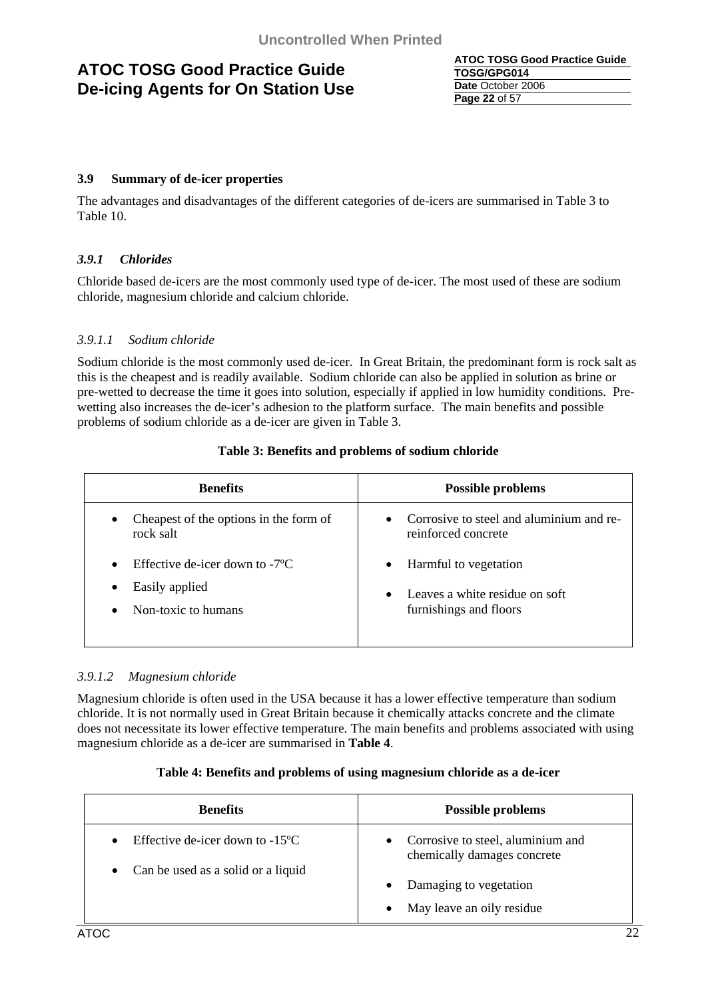**ATOC TOSG Good Practice Guide TOSG/GPG014 Date** October 2006 **Page 22** of 57

### **3.9 Summary of de-icer properties**

The advantages and disadvantages of the different categories of de-icers are summarised in Table 3 to Table 10.

### *3.9.1 Chlorides*

Chloride based de-icers are the most commonly used type of de-icer. The most used of these are sodium chloride, magnesium chloride and calcium chloride.

### *3.9.1.1 Sodium chloride*

Sodium chloride is the most commonly used de-icer. In Great Britain, the predominant form is rock salt as this is the cheapest and is readily available. Sodium chloride can also be applied in solution as brine or pre-wetted to decrease the time it goes into solution, especially if applied in low humidity conditions. Prewetting also increases the de-icer's adhesion to the platform surface. The main benefits and possible problems of sodium chloride as a de-icer are given in Table 3.

| <b>Benefits</b>                                                                                                          | <b>Possible problems</b>                                                                                    |
|--------------------------------------------------------------------------------------------------------------------------|-------------------------------------------------------------------------------------------------------------|
| Cheapest of the options in the form of<br>$\bullet$<br>rock salt                                                         | Corrosive to steel and aluminium and re-<br>$\bullet$<br>reinforced concrete                                |
| Effective de-icer down to $-7^{\circ}$ C<br>$\bullet$<br>Easily applied<br>$\bullet$<br>Non-toxic to humans<br>$\bullet$ | Harmful to vegetation<br>$\bullet$<br>Leaves a white residue on soft<br>$\bullet$<br>furnishings and floors |

### **Table 3: Benefits and problems of sodium chloride**

### *3.9.1.2 Magnesium chloride*

Magnesium chloride is often used in the USA because it has a lower effective temperature than sodium chloride. It is not normally used in Great Britain because it chemically attacks concrete and the climate does not necessitate its lower effective temperature. The main benefits and problems associated with using magnesium chloride as a de-icer are summarised in **Table 4**.

### **Table 4: Benefits and problems of using magnesium chloride as a de-icer**

| <b>Benefits</b>                                 | <b>Possible problems</b>                                                      |
|-------------------------------------------------|-------------------------------------------------------------------------------|
| Effective de-icer down to $-15^{\circ}$ C       | Corrosive to steel, aluminium and<br>$\bullet$<br>chemically damages concrete |
| Can be used as a solid or a liquid<br>$\bullet$ | Damaging to vegetation                                                        |
|                                                 | May leave an oily residue<br>$\bullet$                                        |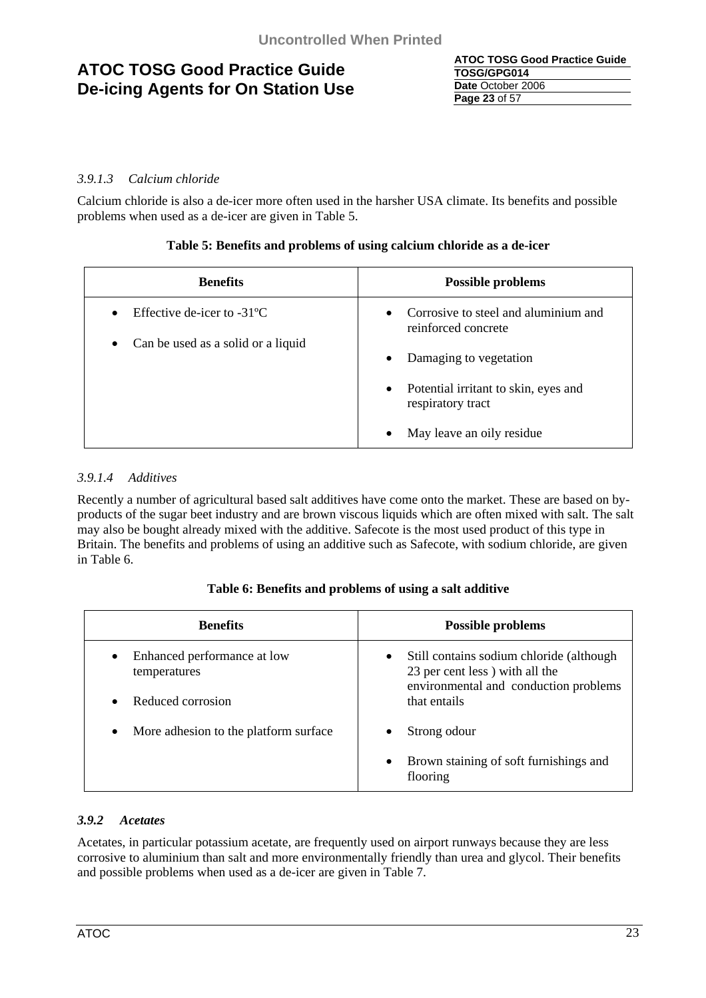| <b>ATOC TOSG Good Practice Guide</b> |
|--------------------------------------|
| TOSG/GPG014                          |
| Date October 2006                    |
| <b>Page 23 of 57</b>                 |

### *3.9.1.3 Calcium chloride*

Calcium chloride is also a de-icer more often used in the harsher USA climate. Its benefits and possible problems when used as a de-icer are given in Table 5.

### **Table 5: Benefits and problems of using calcium chloride as a de-icer**

| <b>Benefits</b>                                                                                      | <b>Possible problems</b>                                                 |
|------------------------------------------------------------------------------------------------------|--------------------------------------------------------------------------|
| Effective de-icer to $-31^{\circ}$ C<br>$\bullet$<br>Can be used as a solid or a liquid<br>$\bullet$ | Corrosive to steel and aluminium and<br>$\bullet$<br>reinforced concrete |
|                                                                                                      | Damaging to vegetation<br>$\bullet$                                      |
|                                                                                                      | Potential irritant to skin, eyes and<br>$\bullet$<br>respiratory tract   |
|                                                                                                      | May leave an oily residue<br>$\bullet$                                   |

### *3.9.1.4 Additives*

Recently a number of agricultural based salt additives have come onto the market. These are based on byproducts of the sugar beet industry and are brown viscous liquids which are often mixed with salt. The salt may also be bought already mixed with the additive. Safecote is the most used product of this type in Britain. The benefits and problems of using an additive such as Safecote, with sodium chloride, are given in Table 6.

| Table 6: Benefits and problems of using a salt additive |  |
|---------------------------------------------------------|--|
|                                                         |  |

| <b>Benefits</b>                                          | <b>Possible problems</b>                                                                                                         |
|----------------------------------------------------------|----------------------------------------------------------------------------------------------------------------------------------|
| Enhanced performance at low<br>$\bullet$<br>temperatures | Still contains sodium chloride (although<br>$\bullet$<br>23 per cent less) with all the<br>environmental and conduction problems |
| Reduced corrosion<br>$\bullet$                           | that entails                                                                                                                     |
| More adhesion to the platform surface.<br>$\bullet$      | Strong odour<br>٠                                                                                                                |
|                                                          | Brown staining of soft furnishings and<br>$\bullet$<br>flooring                                                                  |

### *3.9.2 Acetates*

Acetates, in particular potassium acetate, are frequently used on airport runways because they are less corrosive to aluminium than salt and more environmentally friendly than urea and glycol. Their benefits and possible problems when used as a de-icer are given in Table 7.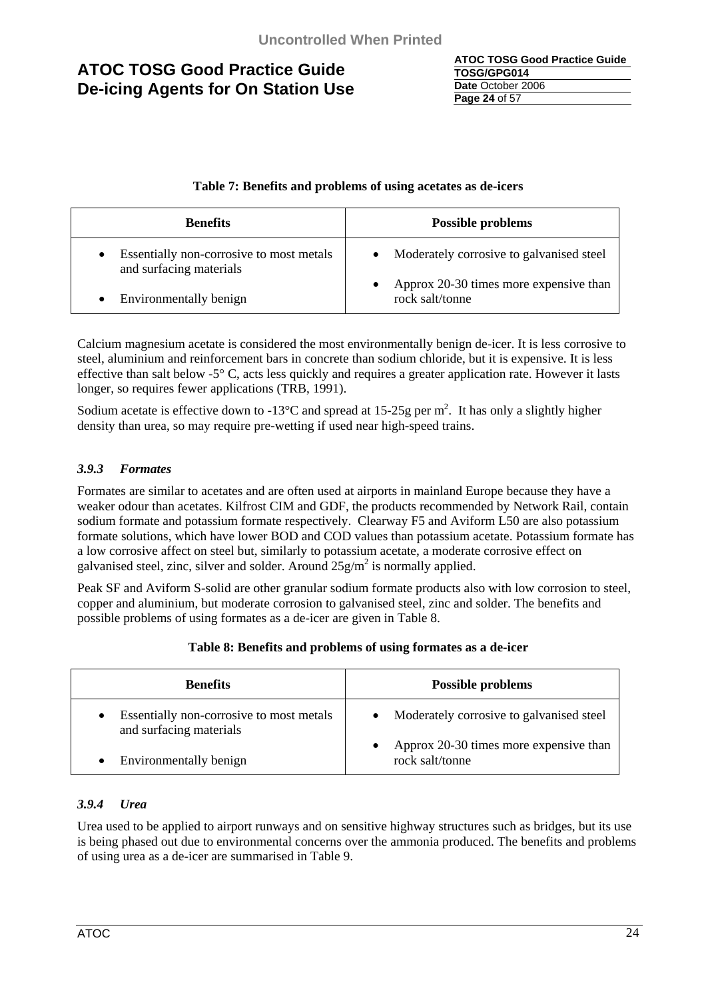| ATOC TOSG Good Practice Guide |
|-------------------------------|
| TOSG/GPG014                   |
| Date October 2006             |
| Page 24 of 57                 |

### **Table 7: Benefits and problems of using acetates as de-icers**

| <b>Benefits</b>                                                     | <b>Possible problems</b>                                  |
|---------------------------------------------------------------------|-----------------------------------------------------------|
| Essentially non-corrosive to most metals<br>and surfacing materials | • Moderately corrosive to galvanised steel                |
| Environmentally benign                                              | Approx 20-30 times more expensive than<br>rock salt/tonne |

Calcium magnesium acetate is considered the most environmentally benign de-icer. It is less corrosive to steel, aluminium and reinforcement bars in concrete than sodium chloride, but it is expensive. It is less effective than salt below -5° C, acts less quickly and requires a greater application rate. However it lasts longer, so requires fewer applications (TRB, 1991).

Sodium acetate is effective down to -13 $^{\circ}$ C and spread at 15-25g per m<sup>2</sup>. It has only a slightly higher density than urea, so may require pre-wetting if used near high-speed trains.

### *3.9.3 Formates*

Formates are similar to acetates and are often used at airports in mainland Europe because they have a weaker odour than acetates. Kilfrost CIM and GDF, the products recommended by Network Rail, contain sodium formate and potassium formate respectively. Clearway F5 and Aviform L50 are also potassium formate solutions, which have lower BOD and COD values than potassium acetate. Potassium formate has a low corrosive affect on steel but, similarly to potassium acetate, a moderate corrosive effect on galvanised steel, zinc, silver and solder. Around  $25g/m^2$  is normally applied.

Peak SF and Aviform S-solid are other granular sodium formate products also with low corrosion to steel, copper and aluminium, but moderate corrosion to galvanised steel, zinc and solder. The benefits and possible problems of using formates as a de-icer are given in Table 8.

| <b>Benefits</b>                                                                  | <b>Possible problems</b>                                  |
|----------------------------------------------------------------------------------|-----------------------------------------------------------|
| Essentially non-corrosive to most metals<br>$\bullet$<br>and surfacing materials | • Moderately corrosive to galvanised steel                |
| Environmentally benign<br>$\bullet$                                              | Approx 20-30 times more expensive than<br>rock salt/tonne |

### **Table 8: Benefits and problems of using formates as a de-icer**

### *3.9.4 Urea*

Urea used to be applied to airport runways and on sensitive highway structures such as bridges, but its use is being phased out due to environmental concerns over the ammonia produced. The benefits and problems of using urea as a de-icer are summarised in Table 9.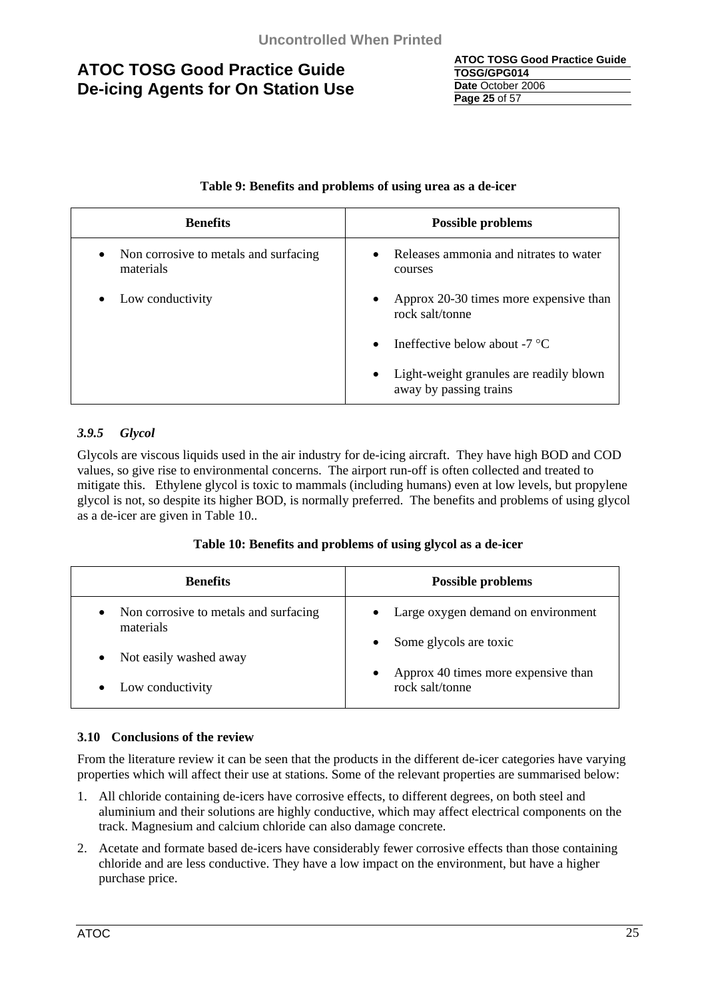| <b>ATOC TOSG Good Practice Guide</b> |
|--------------------------------------|
| TOSG/GPG014                          |
| Date October 2006                    |
| <b>Page 25 of 57</b>                 |

### **Table 9: Benefits and problems of using urea as a de-icer**

| <b>Benefits</b>                                                 | <b>Possible problems</b>                                                       |
|-----------------------------------------------------------------|--------------------------------------------------------------------------------|
| Non corrosive to metals and surfacing<br>$\bullet$<br>materials | Releases ammonia and nitrates to water<br>$\bullet$<br>courses                 |
| Low conductivity<br>٠                                           | Approx 20-30 times more expensive than<br>$\bullet$<br>rock salt/tonne         |
|                                                                 | Ineffective below about -7 $^{\circ}C$<br>$\bullet$                            |
|                                                                 | Light-weight granules are readily blown<br>$\bullet$<br>away by passing trains |

### *3.9.5 Glycol*

Glycols are viscous liquids used in the air industry for de-icing aircraft. They have high BOD and COD values, so give rise to environmental concerns. The airport run-off is often collected and treated to mitigate this. Ethylene glycol is toxic to mammals (including humans) even at low levels, but propylene glycol is not, so despite its higher BOD, is normally preferred. The benefits and problems of using glycol as a de-icer are given in Table 10..

### **Table 10: Benefits and problems of using glycol as a de-icer**

| <b>Benefits</b>                                    | <b>Possible problems</b>                               |
|----------------------------------------------------|--------------------------------------------------------|
| Non corrosive to metals and surfacing<br>materials | • Large oxygen demand on environment                   |
| Not easily washed away                             | Some glycols are toxic                                 |
| Low conductivity                                   | Approx 40 times more expensive than<br>rock salt/tonne |

### **3.10 Conclusions of the review**

From the literature review it can be seen that the products in the different de-icer categories have varying properties which will affect their use at stations. Some of the relevant properties are summarised below:

- 1. All chloride containing de-icers have corrosive effects, to different degrees, on both steel and aluminium and their solutions are highly conductive, which may affect electrical components on the track. Magnesium and calcium chloride can also damage concrete.
- 2. Acetate and formate based de-icers have considerably fewer corrosive effects than those containing chloride and are less conductive. They have a low impact on the environment, but have a higher purchase price.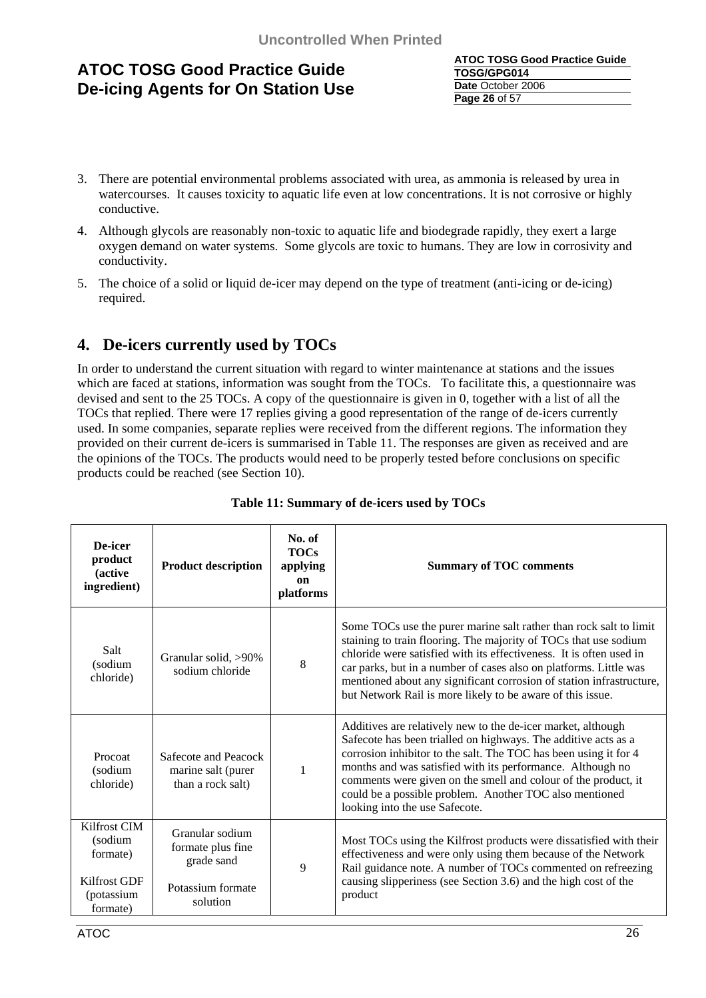| <b>ATOC TOSG Good Practice Guide</b> |
|--------------------------------------|
| TOSG/GPG014                          |
| Date October 2006                    |
| <b>Page 26 of 57</b>                 |

- 3. There are potential environmental problems associated with urea, as ammonia is released by urea in watercourses. It causes toxicity to aquatic life even at low concentrations. It is not corrosive or highly conductive.
- 4. Although glycols are reasonably non-toxic to aquatic life and biodegrade rapidly, they exert a large oxygen demand on water systems. Some glycols are toxic to humans. They are low in corrosivity and conductivity.
- 5. The choice of a solid or liquid de-icer may depend on the type of treatment (anti-icing or de-icing) required.

### **4. De-icers currently used by TOCs**

In order to understand the current situation with regard to winter maintenance at stations and the issues which are faced at stations, information was sought from the TOCs. To facilitate this, a questionnaire was devised and sent to the 25 TOCs. A copy of the questionnaire is given in 0, together with a list of all the TOCs that replied. There were 17 replies giving a good representation of the range of de-icers currently used. In some companies, separate replies were received from the different regions. The information they provided on their current de-icers is summarised in Table 11. The responses are given as received and are the opinions of the TOCs. The products would need to be properly tested before conclusions on specific products could be reached (see Section 10).

| De-icer<br>product<br><i>(active)</i><br>ingredient)                                 | <b>Product description</b>                                                          | No. of<br><b>TOCs</b><br>applying<br>on<br>platforms | <b>Summary of TOC comments</b>                                                                                                                                                                                                                                                                                                                                                                                                  |
|--------------------------------------------------------------------------------------|-------------------------------------------------------------------------------------|------------------------------------------------------|---------------------------------------------------------------------------------------------------------------------------------------------------------------------------------------------------------------------------------------------------------------------------------------------------------------------------------------------------------------------------------------------------------------------------------|
| Salt<br>(sodium<br>chloride)                                                         | Granular solid, >90%<br>sodium chloride                                             | 8                                                    | Some TOCs use the purer marine salt rather than rock salt to limit<br>staining to train flooring. The majority of TOCs that use sodium<br>chloride were satisfied with its effectiveness. It is often used in<br>car parks, but in a number of cases also on platforms. Little was<br>mentioned about any significant corrosion of station infrastructure,<br>but Network Rail is more likely to be aware of this issue.        |
| Procoat<br>(sodium<br>chloride)                                                      | Safecote and Peacock<br>marine salt (purer<br>than a rock salt)                     | 1                                                    | Additives are relatively new to the de-icer market, although<br>Safecote has been trialled on highways. The additive acts as a<br>corrosion inhibitor to the salt. The TOC has been using it for 4<br>months and was satisfied with its performance. Although no<br>comments were given on the smell and colour of the product, it<br>could be a possible problem. Another TOC also mentioned<br>looking into the use Safecote. |
| <b>Kilfrost CIM</b><br>(sodium<br>formate)<br>Kilfrost GDF<br>(potassium<br>formate) | Granular sodium<br>formate plus fine<br>grade sand<br>Potassium formate<br>solution | 9                                                    | Most TOCs using the Kilfrost products were dissatisfied with their<br>effectiveness and were only using them because of the Network<br>Rail guidance note. A number of TOCs commented on refreezing<br>causing slipperiness (see Section 3.6) and the high cost of the<br>product                                                                                                                                               |

**Table 11: Summary of de-icers used by TOCs**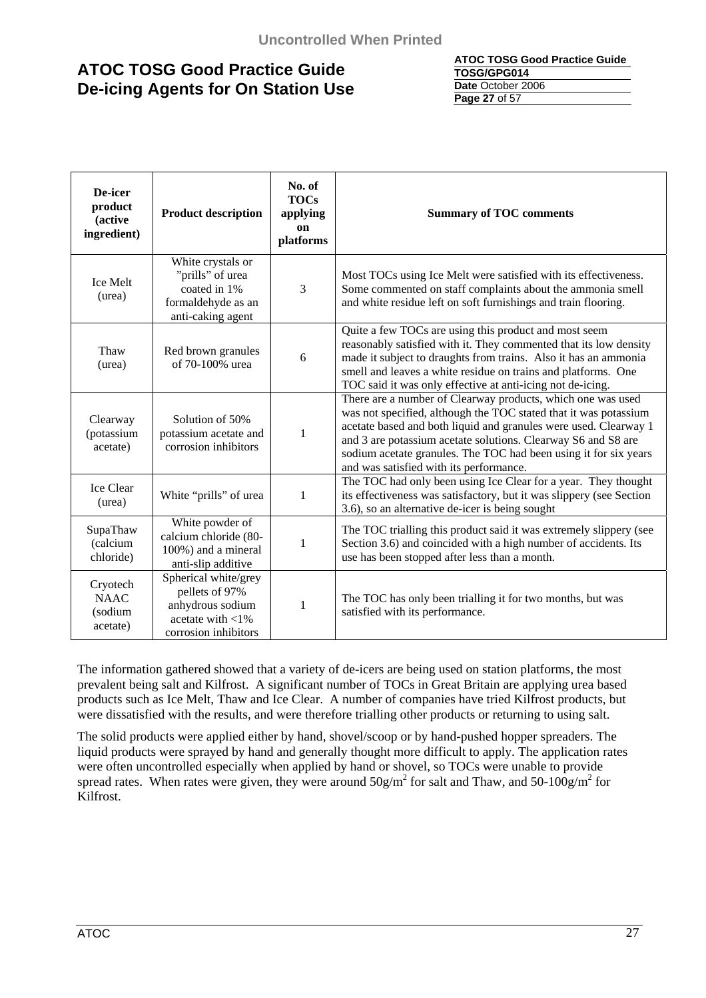#### **ATOC TOSG Good Practice Guide TOSG/GPG014 Date** October 2006 **Page 27** of 57

| De-icer<br>product<br>(active<br>ingredient)   | <b>Product description</b>                                                                                | No. of<br><b>TOCs</b><br>applying<br>on<br>platforms | <b>Summary of TOC comments</b>                                                                                                                                                                                                                                                                                                                                                      |
|------------------------------------------------|-----------------------------------------------------------------------------------------------------------|------------------------------------------------------|-------------------------------------------------------------------------------------------------------------------------------------------------------------------------------------------------------------------------------------------------------------------------------------------------------------------------------------------------------------------------------------|
| <b>Ice Melt</b><br>(urea)                      | White crystals or<br>"prills" of urea<br>coated in 1%<br>formaldehyde as an<br>anti-caking agent          | 3                                                    | Most TOCs using Ice Melt were satisfied with its effectiveness.<br>Some commented on staff complaints about the ammonia smell<br>and white residue left on soft furnishings and train flooring.                                                                                                                                                                                     |
| Thaw<br>(urea)                                 | Red brown granules<br>of 70-100% urea                                                                     | 6                                                    | Quite a few TOCs are using this product and most seem<br>reasonably satisfied with it. They commented that its low density<br>made it subject to draughts from trains. Also it has an ammonia<br>smell and leaves a white residue on trains and platforms. One<br>TOC said it was only effective at anti-icing not de-icing.                                                        |
| Clearway<br>(potassium<br>acetate)             | Solution of 50%<br>potassium acetate and<br>corrosion inhibitors                                          | 1                                                    | There are a number of Clearway products, which one was used<br>was not specified, although the TOC stated that it was potassium<br>acetate based and both liquid and granules were used. Clearway 1<br>and 3 are potassium acetate solutions. Clearway S6 and S8 are<br>sodium acetate granules. The TOC had been using it for six years<br>and was satisfied with its performance. |
| Ice Clear<br>(urea)                            | White "prills" of urea                                                                                    | $\mathbf{1}$                                         | The TOC had only been using Ice Clear for a year. They thought<br>its effectiveness was satisfactory, but it was slippery (see Section<br>3.6), so an alternative de-icer is being sought                                                                                                                                                                                           |
| SupaThaw<br>(calcium<br>chloride)              | White powder of<br>calcium chloride (80-<br>100%) and a mineral<br>anti-slip additive                     | 1                                                    | The TOC trialling this product said it was extremely slippery (see<br>Section 3.6) and coincided with a high number of accidents. Its<br>use has been stopped after less than a month.                                                                                                                                                                                              |
| Cryotech<br><b>NAAC</b><br>(sodium<br>acetate) | Spherical white/grey<br>pellets of 97%<br>anhydrous sodium<br>acetate with $<$ 1%<br>corrosion inhibitors | 1                                                    | The TOC has only been trialling it for two months, but was<br>satisfied with its performance.                                                                                                                                                                                                                                                                                       |

The information gathered showed that a variety of de-icers are being used on station platforms, the most prevalent being salt and Kilfrost. A significant number of TOCs in Great Britain are applying urea based products such as Ice Melt, Thaw and Ice Clear. A number of companies have tried Kilfrost products, but were dissatisfied with the results, and were therefore trialling other products or returning to using salt.

The solid products were applied either by hand, shovel/scoop or by hand-pushed hopper spreaders. The liquid products were sprayed by hand and generally thought more difficult to apply. The application rates were often uncontrolled especially when applied by hand or shovel, so TOCs were unable to provide spread rates. When rates were given, they were around  $50g/m^2$  for salt and Thaw, and  $50-100g/m^2$  for Kilfrost.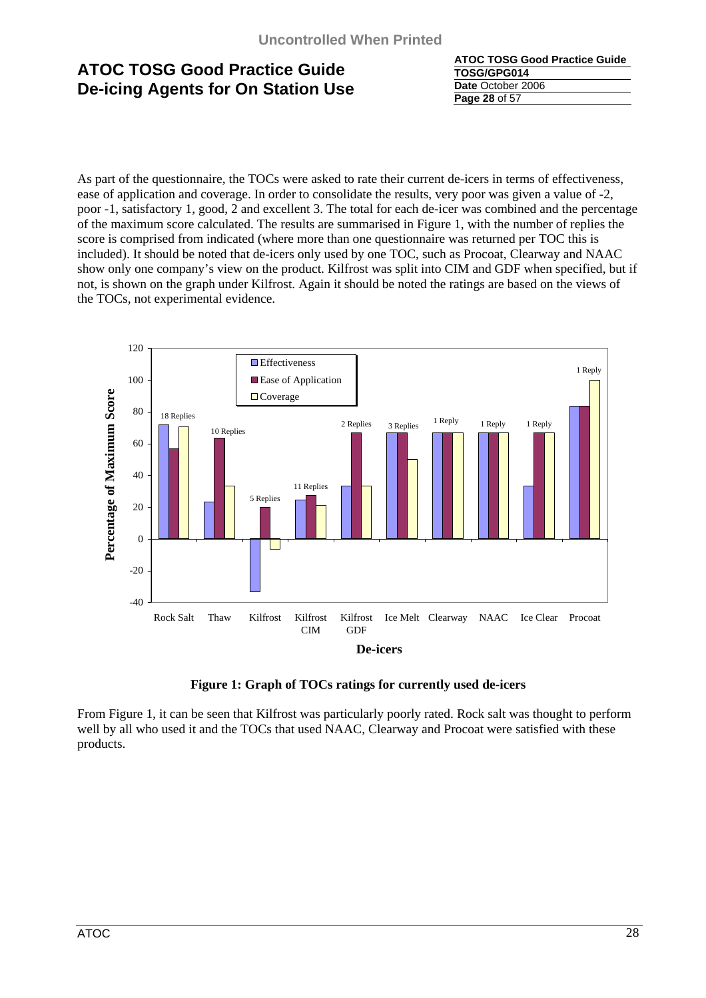| <b>ATOC TOSG Good Practice Guide</b> |
|--------------------------------------|
| TOSG/GPG014                          |
| Date October 2006                    |
| <b>Page 28 of 57</b>                 |

As part of the questionnaire, the TOCs were asked to rate their current de-icers in terms of effectiveness, ease of application and coverage. In order to consolidate the results, very poor was given a value of -2, poor -1, satisfactory 1, good, 2 and excellent 3. The total for each de-icer was combined and the percentage of the maximum score calculated. The results are summarised in Figure 1, with the number of replies the score is comprised from indicated (where more than one questionnaire was returned per TOC this is included). It should be noted that de-icers only used by one TOC, such as Procoat, Clearway and NAAC show only one company's view on the product. Kilfrost was split into CIM and GDF when specified, but if not, is shown on the graph under Kilfrost. Again it should be noted the ratings are based on the views of the TOCs, not experimental evidence.





From Figure 1, it can be seen that Kilfrost was particularly poorly rated. Rock salt was thought to perform well by all who used it and the TOCs that used NAAC, Clearway and Procoat were satisfied with these products.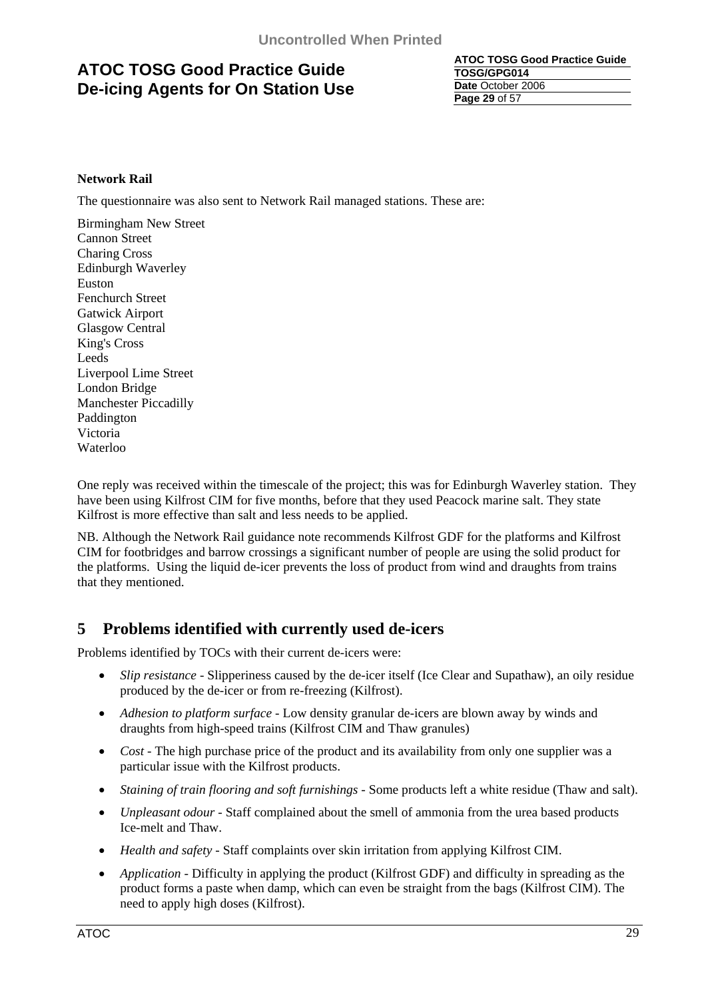| <b>ATOC TOSG Good Practice Guide</b> |
|--------------------------------------|
| TOSG/GPG014                          |
| Date October 2006                    |
| <b>Page 29 of 57</b>                 |

### **Network Rail**

The questionnaire was also sent to Network Rail managed stations. These are:

Birmingham New Street Cannon Street Charing Cross Edinburgh Waverley Euston Fenchurch Street Gatwick Airport Glasgow Central King's Cross Leeds Liverpool Lime Street London Bridge Manchester Piccadilly Paddington Victoria Waterloo

One reply was received within the timescale of the project; this was for Edinburgh Waverley station. They have been using Kilfrost CIM for five months, before that they used Peacock marine salt. They state Kilfrost is more effective than salt and less needs to be applied.

NB. Although the Network Rail guidance note recommends Kilfrost GDF for the platforms and Kilfrost CIM for footbridges and barrow crossings a significant number of people are using the solid product for the platforms. Using the liquid de-icer prevents the loss of product from wind and draughts from trains that they mentioned.

### **5 Problems identified with currently used de-icers**

Problems identified by TOCs with their current de-icers were:

- *Slip resistance*  Slipperiness caused by the de-icer itself (Ice Clear and Supathaw), an oily residue produced by the de-icer or from re-freezing (Kilfrost).
- *Adhesion to platform surface*  Low density granular de-icers are blown away by winds and draughts from high-speed trains (Kilfrost CIM and Thaw granules)
- *Cost* The high purchase price of the product and its availability from only one supplier was a particular issue with the Kilfrost products.
- *Staining of train flooring and soft furnishings*  Some products left a white residue (Thaw and salt).
- *Unpleasant odour*  Staff complained about the smell of ammonia from the urea based products Ice-melt and Thaw.
- *Health and safety*  Staff complaints over skin irritation from applying Kilfrost CIM.
- *Application* Difficulty in applying the product (Kilfrost GDF) and difficulty in spreading as the product forms a paste when damp, which can even be straight from the bags (Kilfrost CIM). The need to apply high doses (Kilfrost).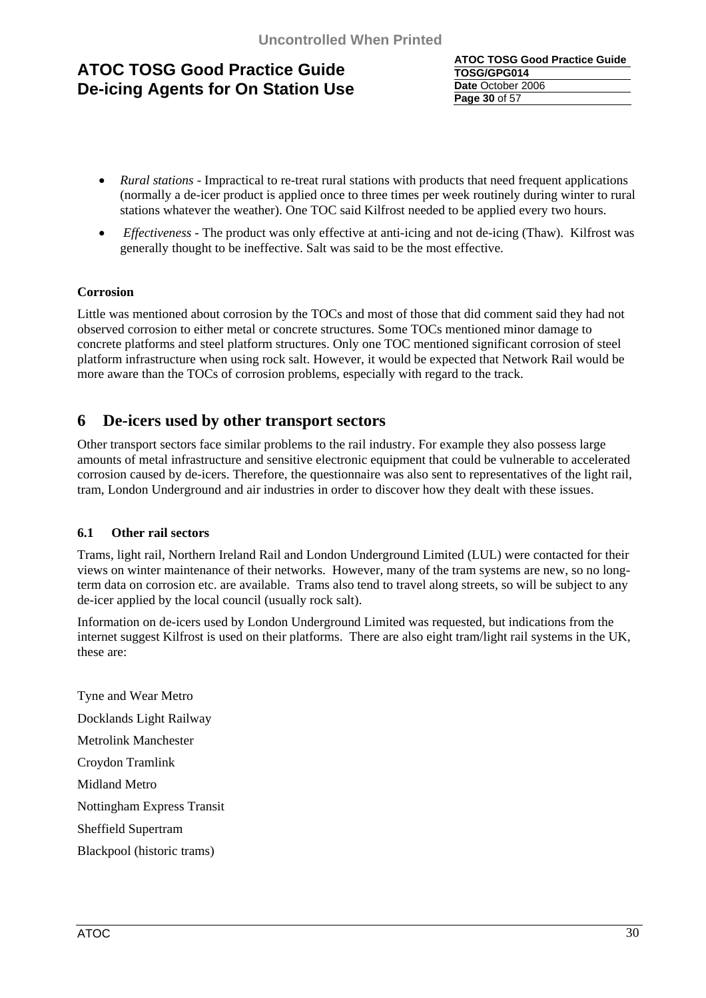| <b>ATOC TOSG Good Practice Guide</b> |
|--------------------------------------|
| TOSG/GPG014                          |
| Date October 2006                    |
| Page 30 of 57                        |

- *Rural stations* Impractical to re-treat rural stations with products that need frequent applications (normally a de-icer product is applied once to three times per week routinely during winter to rural stations whatever the weather). One TOC said Kilfrost needed to be applied every two hours.
- *Effectiveness*  The product was only effective at anti-icing and not de-icing (Thaw). Kilfrost was generally thought to be ineffective. Salt was said to be the most effective.

### **Corrosion**

Little was mentioned about corrosion by the TOCs and most of those that did comment said they had not observed corrosion to either metal or concrete structures. Some TOCs mentioned minor damage to concrete platforms and steel platform structures. Only one TOC mentioned significant corrosion of steel platform infrastructure when using rock salt. However, it would be expected that Network Rail would be more aware than the TOCs of corrosion problems, especially with regard to the track.

### **6 De-icers used by other transport sectors**

Other transport sectors face similar problems to the rail industry. For example they also possess large amounts of metal infrastructure and sensitive electronic equipment that could be vulnerable to accelerated corrosion caused by de-icers. Therefore, the questionnaire was also sent to representatives of the light rail, tram, London Underground and air industries in order to discover how they dealt with these issues.

### **6.1 Other rail sectors**

Trams, light rail, Northern Ireland Rail and London Underground Limited (LUL) were contacted for their views on winter maintenance of their networks. However, many of the tram systems are new, so no longterm data on corrosion etc. are available. Trams also tend to travel along streets, so will be subject to any de-icer applied by the local council (usually rock salt).

Information on de-icers used by London Underground Limited was requested, but indications from the internet suggest Kilfrost is used on their platforms. There are also eight tram/light rail systems in the UK, these are:

Tyne and Wear Metro Docklands Light Railway Metrolink Manchester Croydon Tramlink Midland Metro Nottingham Express Transit Sheffield Supertram Blackpool (historic trams)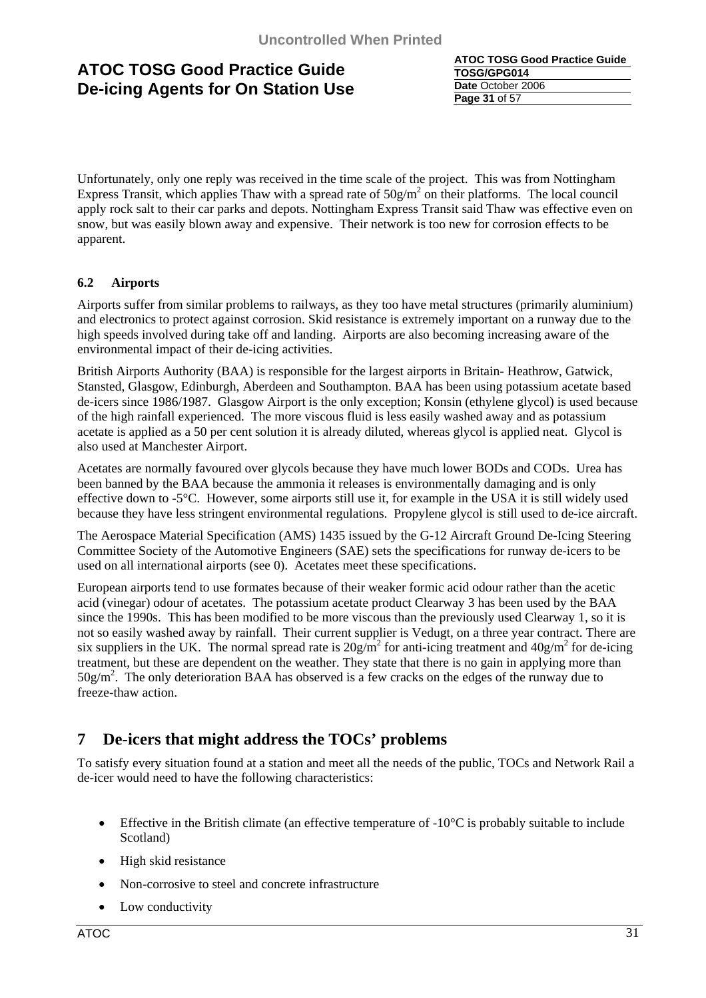**ATOC TOSG Good Practice Guide TOSG/GPG014 Date** October 2006 **Page 31** of 57

Unfortunately, only one reply was received in the time scale of the project. This was from Nottingham Express Transit, which applies Thaw with a spread rate of  $50g/m^2$  on their platforms. The local council apply rock salt to their car parks and depots. Nottingham Express Transit said Thaw was effective even on snow, but was easily blown away and expensive. Their network is too new for corrosion effects to be apparent.

### **6.2 Airports**

Airports suffer from similar problems to railways, as they too have metal structures (primarily aluminium) and electronics to protect against corrosion. Skid resistance is extremely important on a runway due to the high speeds involved during take off and landing. Airports are also becoming increasing aware of the environmental impact of their de-icing activities.

British Airports Authority (BAA) is responsible for the largest airports in Britain- Heathrow, Gatwick, Stansted, Glasgow, Edinburgh, Aberdeen and Southampton. BAA has been using potassium acetate based de-icers since 1986/1987. Glasgow Airport is the only exception; Konsin (ethylene glycol) is used because of the high rainfall experienced. The more viscous fluid is less easily washed away and as potassium acetate is applied as a 50 per cent solution it is already diluted, whereas glycol is applied neat. Glycol is also used at Manchester Airport.

Acetates are normally favoured over glycols because they have much lower BODs and CODs. Urea has been banned by the BAA because the ammonia it releases is environmentally damaging and is only effective down to -5°C. However, some airports still use it, for example in the USA it is still widely used because they have less stringent environmental regulations. Propylene glycol is still used to de-ice aircraft.

The Aerospace Material Specification (AMS) 1435 issued by the G-12 Aircraft Ground De-Icing Steering Committee Society of the Automotive Engineers (SAE) sets the specifications for runway de-icers to be used on all international airports (see 0). Acetates meet these specifications.

European airports tend to use formates because of their weaker formic acid odour rather than the acetic acid (vinegar) odour of acetates. The potassium acetate product Clearway 3 has been used by the BAA since the 1990s. This has been modified to be more viscous than the previously used Clearway 1, so it is not so easily washed away by rainfall. Their current supplier is Vedugt, on a three year contract. There are six suppliers in the UK. The normal spread rate is  $20g/m^2$  for anti-icing treatment and  $40g/m^2$  for de-icing treatment, but these are dependent on the weather. They state that there is no gain in applying more than  $50g/m<sup>2</sup>$ . The only deterioration BAA has observed is a few cracks on the edges of the runway due to freeze-thaw action.

### **7 De-icers that might address the TOCs' problems**

To satisfy every situation found at a station and meet all the needs of the public, TOCs and Network Rail a de-icer would need to have the following characteristics:

- Effective in the British climate (an effective temperature of  $-10^{\circ}$ C is probably suitable to include Scotland)
- High skid resistance
- Non-corrosive to steel and concrete infrastructure
- Low conductivity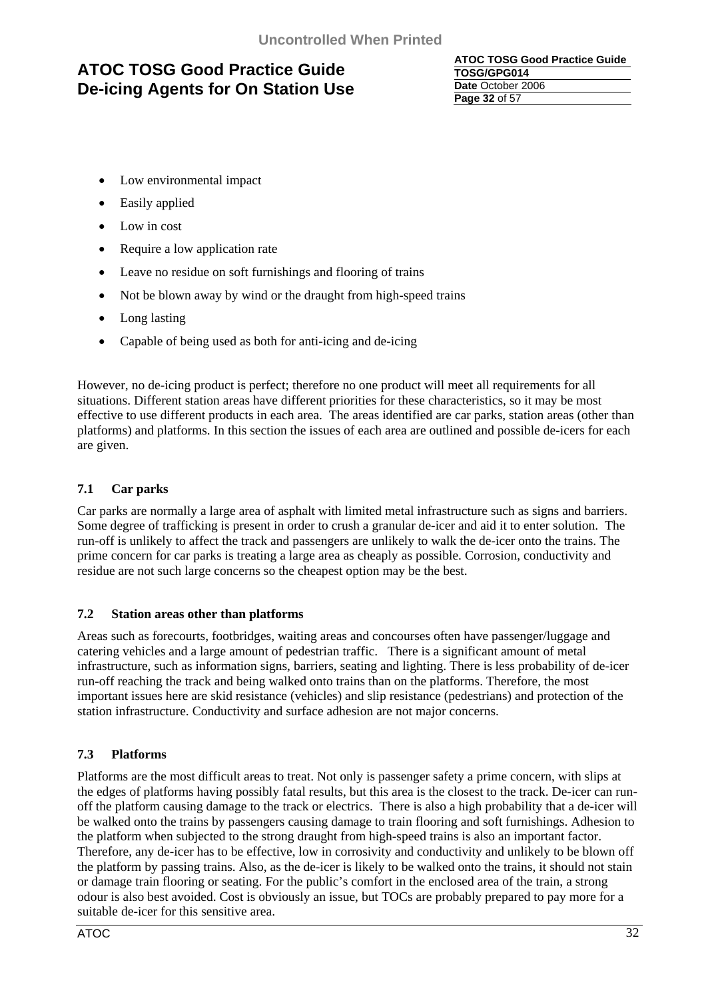**ATOC TOSG Good Practice Guide TOSG/GPG014 Date** October 2006 **Page 32** of 57

- Low environmental impact
- Easily applied
- Low in cost
- Require a low application rate
- Leave no residue on soft furnishings and flooring of trains
- Not be blown away by wind or the draught from high-speed trains
- Long lasting
- Capable of being used as both for anti-icing and de-icing

However, no de-icing product is perfect; therefore no one product will meet all requirements for all situations. Different station areas have different priorities for these characteristics, so it may be most effective to use different products in each area. The areas identified are car parks, station areas (other than platforms) and platforms. In this section the issues of each area are outlined and possible de-icers for each are given.

### **7.1 Car parks**

Car parks are normally a large area of asphalt with limited metal infrastructure such as signs and barriers. Some degree of trafficking is present in order to crush a granular de-icer and aid it to enter solution. The run-off is unlikely to affect the track and passengers are unlikely to walk the de-icer onto the trains. The prime concern for car parks is treating a large area as cheaply as possible. Corrosion, conductivity and residue are not such large concerns so the cheapest option may be the best.

### **7.2 Station areas other than platforms**

Areas such as forecourts, footbridges, waiting areas and concourses often have passenger/luggage and catering vehicles and a large amount of pedestrian traffic. There is a significant amount of metal infrastructure, such as information signs, barriers, seating and lighting. There is less probability of de-icer run-off reaching the track and being walked onto trains than on the platforms. Therefore, the most important issues here are skid resistance (vehicles) and slip resistance (pedestrians) and protection of the station infrastructure. Conductivity and surface adhesion are not major concerns.

### **7.3 Platforms**

Platforms are the most difficult areas to treat. Not only is passenger safety a prime concern, with slips at the edges of platforms having possibly fatal results, but this area is the closest to the track. De-icer can runoff the platform causing damage to the track or electrics. There is also a high probability that a de-icer will be walked onto the trains by passengers causing damage to train flooring and soft furnishings. Adhesion to the platform when subjected to the strong draught from high-speed trains is also an important factor. Therefore, any de-icer has to be effective, low in corrosivity and conductivity and unlikely to be blown off the platform by passing trains. Also, as the de-icer is likely to be walked onto the trains, it should not stain or damage train flooring or seating. For the public's comfort in the enclosed area of the train, a strong odour is also best avoided. Cost is obviously an issue, but TOCs are probably prepared to pay more for a suitable de-icer for this sensitive area.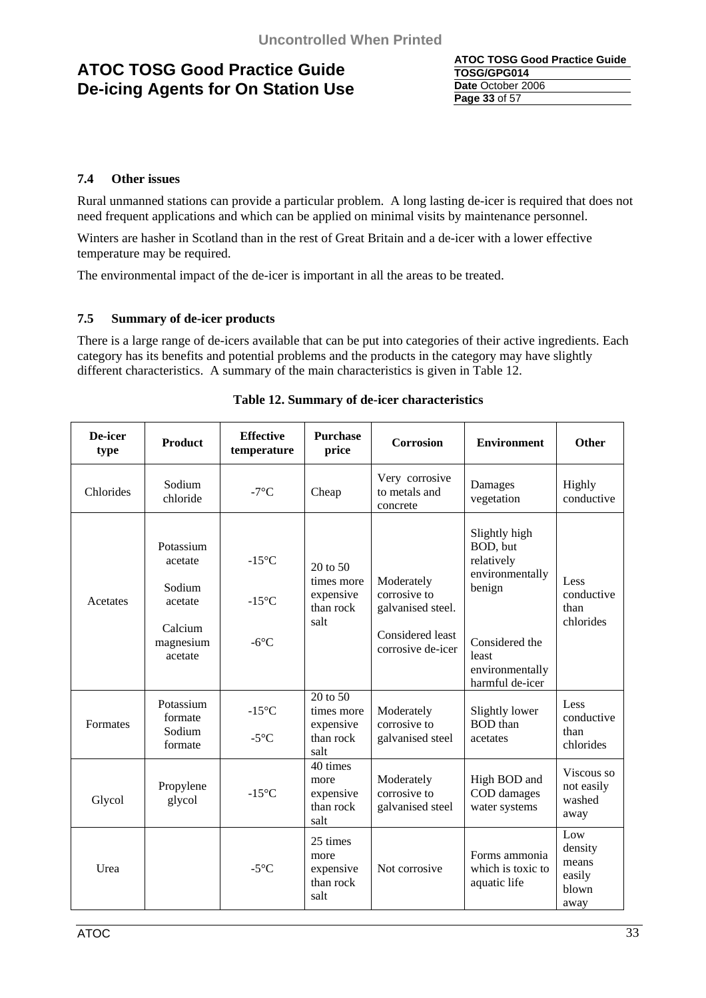| ATOC TOSG Good Practice Guide |
|-------------------------------|
| TOSG/GPG014                   |
| Date October 2006             |
| <b>Page 33 of 57</b>          |

### **7.4 Other issues**

Rural unmanned stations can provide a particular problem. A long lasting de-icer is required that does not need frequent applications and which can be applied on minimal visits by maintenance personnel.

Winters are hasher in Scotland than in the rest of Great Britain and a de-icer with a lower effective temperature may be required.

The environmental impact of the de-icer is important in all the areas to be treated.

### **7.5 Summary of de-icer products**

There is a large range of de-icers available that can be put into categories of their active ingredients. Each category has its benefits and potential problems and the products in the category may have slightly different characteristics. A summary of the main characteristics is given in Table 12.

| De-icer<br>type | <b>Product</b>                                                               | <b>Effective</b><br>temperature                      | <b>Purchase</b><br>price                                     | <b>Corrosion</b>                                                                         | <b>Environment</b>                                                                                                                    | Other                                              |
|-----------------|------------------------------------------------------------------------------|------------------------------------------------------|--------------------------------------------------------------|------------------------------------------------------------------------------------------|---------------------------------------------------------------------------------------------------------------------------------------|----------------------------------------------------|
| Chlorides       | Sodium<br>chloride                                                           | $-7^{\circ}$ C                                       | Cheap                                                        | Very corrosive<br>to metals and<br>concrete                                              | Damages<br>vegetation                                                                                                                 | Highly<br>conductive                               |
| Acetates        | Potassium<br>acetate<br>Sodium<br>acetate<br>Calcium<br>magnesium<br>acetate | $-15^{\circ}$ C<br>$-15^{\circ}$ C<br>$-6^{\circ}$ C | $20$ to $50$<br>times more<br>expensive<br>than rock<br>salt | Moderately<br>corrosive to<br>galvanised steel.<br>Considered least<br>corrosive de-icer | Slightly high<br>BOD, but<br>relatively<br>environmentally<br>benign<br>Considered the<br>least<br>environmentally<br>harmful de-icer | Less<br>conductive<br>than<br>chlorides            |
| Formates        | Potassium<br>formate<br>Sodium<br>formate                                    | $-15^{\circ}$ C<br>$-5^{\circ}$ C                    | 20 to 50<br>times more<br>expensive<br>than rock<br>salt     | Moderately<br>corrosive to<br>galvanised steel                                           | Slightly lower<br><b>BOD</b> than<br>acetates                                                                                         | Less<br>conductive<br>than<br>chlorides            |
| Glycol          | Propylene<br>glycol                                                          | $-15^{\circ}$ C                                      | 40 times<br>more<br>expensive<br>than rock<br>salt           | Moderately<br>corrosive to<br>galvanised steel                                           | High BOD and<br>COD damages<br>water systems                                                                                          | Viscous so<br>not easily<br>washed<br>away         |
| Urea            |                                                                              | $-5^{\circ}C$                                        | 25 times<br>more<br>expensive<br>than rock<br>salt           | Not corrosive                                                                            | Forms ammonia<br>which is toxic to<br>aquatic life                                                                                    | Low<br>density<br>means<br>easily<br>blown<br>away |

### **Table 12. Summary of de-icer characteristics**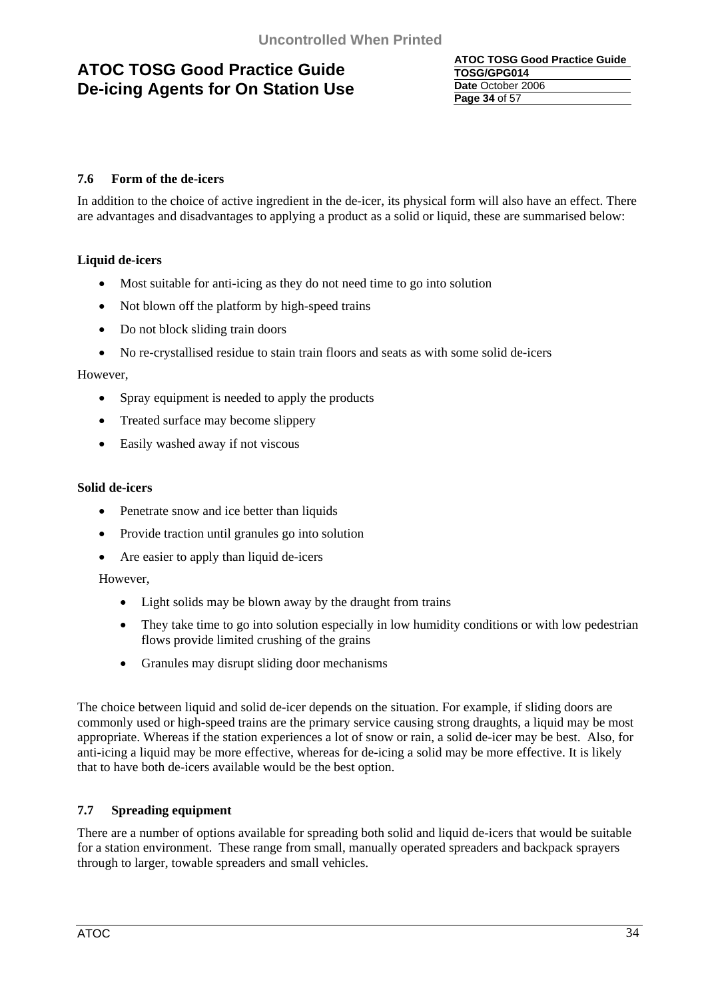**ATOC TOSG Good Practice Guide TOSG/GPG014 Date** October 2006 **Page 34** of 57

### **7.6 Form of the de-icers**

In addition to the choice of active ingredient in the de-icer, its physical form will also have an effect. There are advantages and disadvantages to applying a product as a solid or liquid, these are summarised below:

### **Liquid de-icers**

- Most suitable for anti-icing as they do not need time to go into solution
- Not blown off the platform by high-speed trains
- Do not block sliding train doors
- No re-crystallised residue to stain train floors and seats as with some solid de-icers

### However,

- Spray equipment is needed to apply the products
- Treated surface may become slippery
- Easily washed away if not viscous

### **Solid de-icers**

- Penetrate snow and ice better than liquids
- Provide traction until granules go into solution
- Are easier to apply than liquid de-icers

However,

- Light solids may be blown away by the draught from trains
- They take time to go into solution especially in low humidity conditions or with low pedestrian flows provide limited crushing of the grains
- Granules may disrupt sliding door mechanisms

The choice between liquid and solid de-icer depends on the situation. For example, if sliding doors are commonly used or high-speed trains are the primary service causing strong draughts, a liquid may be most appropriate. Whereas if the station experiences a lot of snow or rain, a solid de-icer may be best. Also, for anti-icing a liquid may be more effective, whereas for de-icing a solid may be more effective. It is likely that to have both de-icers available would be the best option.

### **7.7 Spreading equipment**

There are a number of options available for spreading both solid and liquid de-icers that would be suitable for a station environment. These range from small, manually operated spreaders and backpack sprayers through to larger, towable spreaders and small vehicles.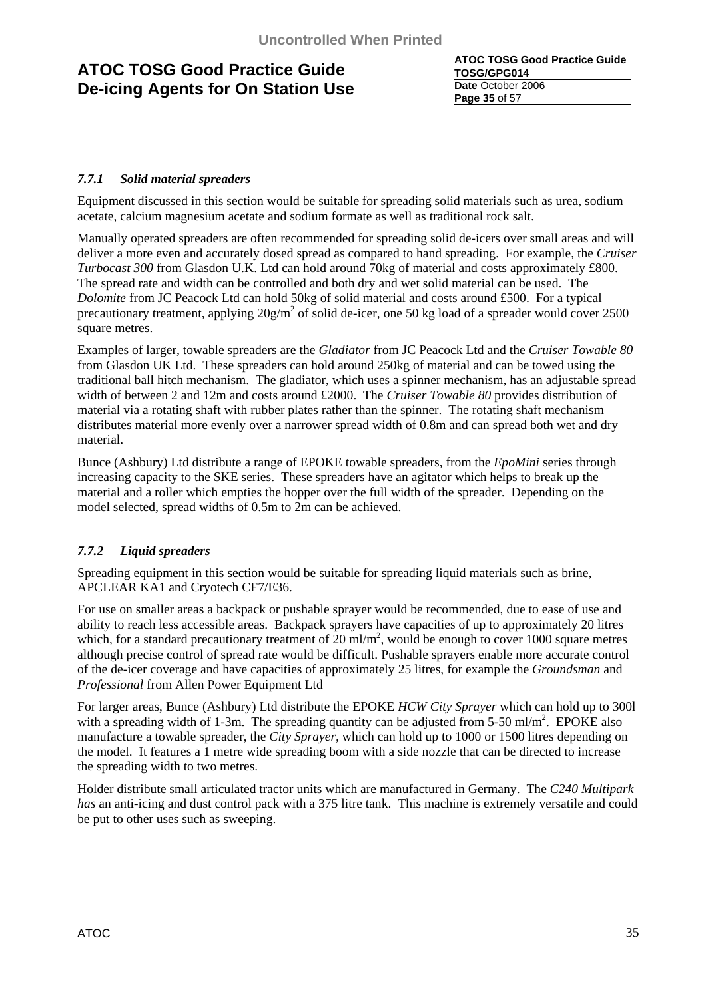**ATOC TOSG Good Practice Guide TOSG/GPG014 Date** October 2006 **Page 35** of 57

### *7.7.1 Solid material spreaders*

Equipment discussed in this section would be suitable for spreading solid materials such as urea, sodium acetate, calcium magnesium acetate and sodium formate as well as traditional rock salt.

Manually operated spreaders are often recommended for spreading solid de-icers over small areas and will deliver a more even and accurately dosed spread as compared to hand spreading. For example, the *Cruiser Turbocast 300* from Glasdon U.K. Ltd can hold around 70kg of material and costs approximately £800. The spread rate and width can be controlled and both dry and wet solid material can be used. The *Dolomite* from JC Peacock Ltd can hold 50kg of solid material and costs around £500. For a typical precautionary treatment, applying  $20g/m^2$  of solid de-icer, one 50 kg load of a spreader would cover 2500 square metres.

Examples of larger, towable spreaders are the *Gladiator* from JC Peacock Ltd and the *Cruiser Towable 80* from Glasdon UK Ltd. These spreaders can hold around 250kg of material and can be towed using the traditional ball hitch mechanism. The gladiator, which uses a spinner mechanism, has an adjustable spread width of between 2 and 12m and costs around £2000. The *Cruiser Towable 80* provides distribution of material via a rotating shaft with rubber plates rather than the spinner. The rotating shaft mechanism distributes material more evenly over a narrower spread width of 0.8m and can spread both wet and dry material.

Bunce (Ashbury) Ltd distribute a range of EPOKE towable spreaders, from the *EpoMini* series through increasing capacity to the SKE series. These spreaders have an agitator which helps to break up the material and a roller which empties the hopper over the full width of the spreader. Depending on the model selected, spread widths of 0.5m to 2m can be achieved.

### *7.7.2 Liquid spreaders*

Spreading equipment in this section would be suitable for spreading liquid materials such as brine, APCLEAR KA1 and Cryotech CF7/E36.

For use on smaller areas a backpack or pushable sprayer would be recommended, due to ease of use and ability to reach less accessible areas. Backpack sprayers have capacities of up to approximately 20 litres which, for a standard precautionary treatment of  $20 \text{ ml/m}^2$ , would be enough to cover 1000 square metres although precise control of spread rate would be difficult. Pushable sprayers enable more accurate control of the de-icer coverage and have capacities of approximately 25 litres, for example the *Groundsman* and *Professional* from Allen Power Equipment Ltd

For larger areas, Bunce (Ashbury) Ltd distribute the EPOKE *HCW City Sprayer* which can hold up to 300l with a spreading width of 1-3m. The spreading quantity can be adjusted from  $5-50$  ml/m<sup>2</sup>. EPOKE also manufacture a towable spreader, the *City Sprayer,* which can hold up to 1000 or 1500 litres depending on the model. It features a 1 metre wide spreading boom with a side nozzle that can be directed to increase the spreading width to two metres.

Holder distribute small articulated tractor units which are manufactured in Germany. The *C240 Multipark has* an anti-icing and dust control pack with a 375 litre tank. This machine is extremely versatile and could be put to other uses such as sweeping.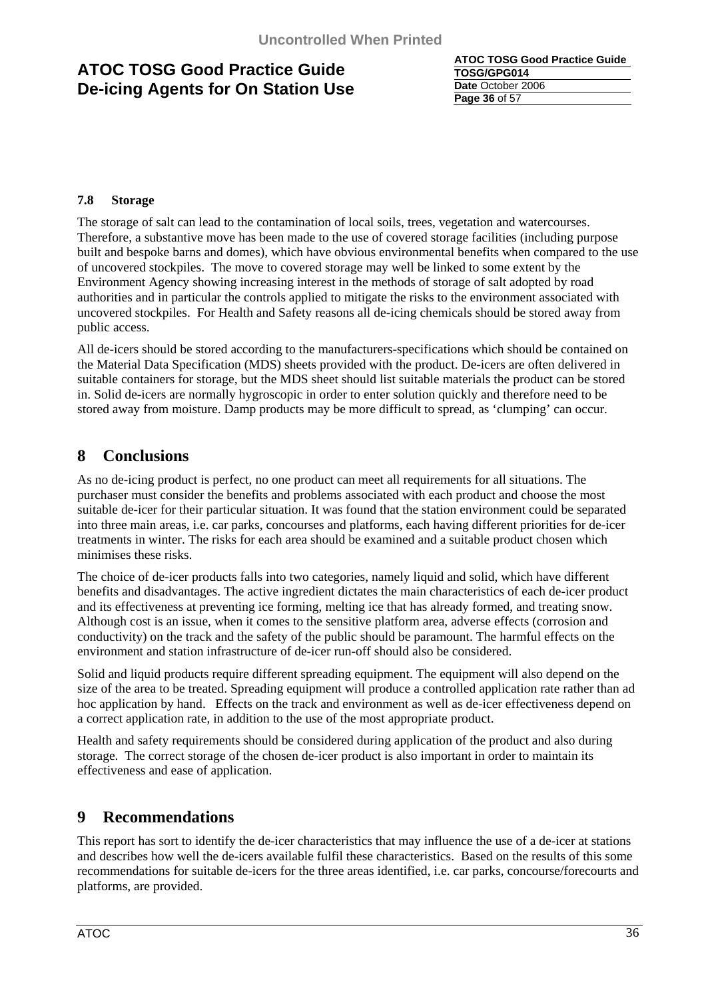**ATOC TOSG Good Practice Guide TOSG/GPG014 Date** October 2006 **Page 36** of 57

### **7.8 Storage**

The storage of salt can lead to the contamination of local soils, trees, vegetation and watercourses. Therefore, a substantive move has been made to the use of covered storage facilities (including purpose built and bespoke barns and domes), which have obvious environmental benefits when compared to the use of uncovered stockpiles. The move to covered storage may well be linked to some extent by the Environment Agency showing increasing interest in the methods of storage of salt adopted by road authorities and in particular the controls applied to mitigate the risks to the environment associated with uncovered stockpiles. For Health and Safety reasons all de-icing chemicals should be stored away from public access.

All de-icers should be stored according to the manufacturers-specifications which should be contained on the Material Data Specification (MDS) sheets provided with the product. De-icers are often delivered in suitable containers for storage, but the MDS sheet should list suitable materials the product can be stored in. Solid de-icers are normally hygroscopic in order to enter solution quickly and therefore need to be stored away from moisture. Damp products may be more difficult to spread, as 'clumping' can occur.

### **8 Conclusions**

As no de-icing product is perfect, no one product can meet all requirements for all situations. The purchaser must consider the benefits and problems associated with each product and choose the most suitable de-icer for their particular situation. It was found that the station environment could be separated into three main areas, i.e. car parks, concourses and platforms, each having different priorities for de-icer treatments in winter. The risks for each area should be examined and a suitable product chosen which minimises these risks.

The choice of de-icer products falls into two categories, namely liquid and solid, which have different benefits and disadvantages. The active ingredient dictates the main characteristics of each de-icer product and its effectiveness at preventing ice forming, melting ice that has already formed, and treating snow. Although cost is an issue, when it comes to the sensitive platform area, adverse effects (corrosion and conductivity) on the track and the safety of the public should be paramount. The harmful effects on the environment and station infrastructure of de-icer run-off should also be considered.

Solid and liquid products require different spreading equipment. The equipment will also depend on the size of the area to be treated. Spreading equipment will produce a controlled application rate rather than ad hoc application by hand. Effects on the track and environment as well as de-icer effectiveness depend on a correct application rate, in addition to the use of the most appropriate product.

Health and safety requirements should be considered during application of the product and also during storage. The correct storage of the chosen de-icer product is also important in order to maintain its effectiveness and ease of application.

### **9 Recommendations**

This report has sort to identify the de-icer characteristics that may influence the use of a de-icer at stations and describes how well the de-icers available fulfil these characteristics. Based on the results of this some recommendations for suitable de-icers for the three areas identified, i.e. car parks, concourse/forecourts and platforms, are provided.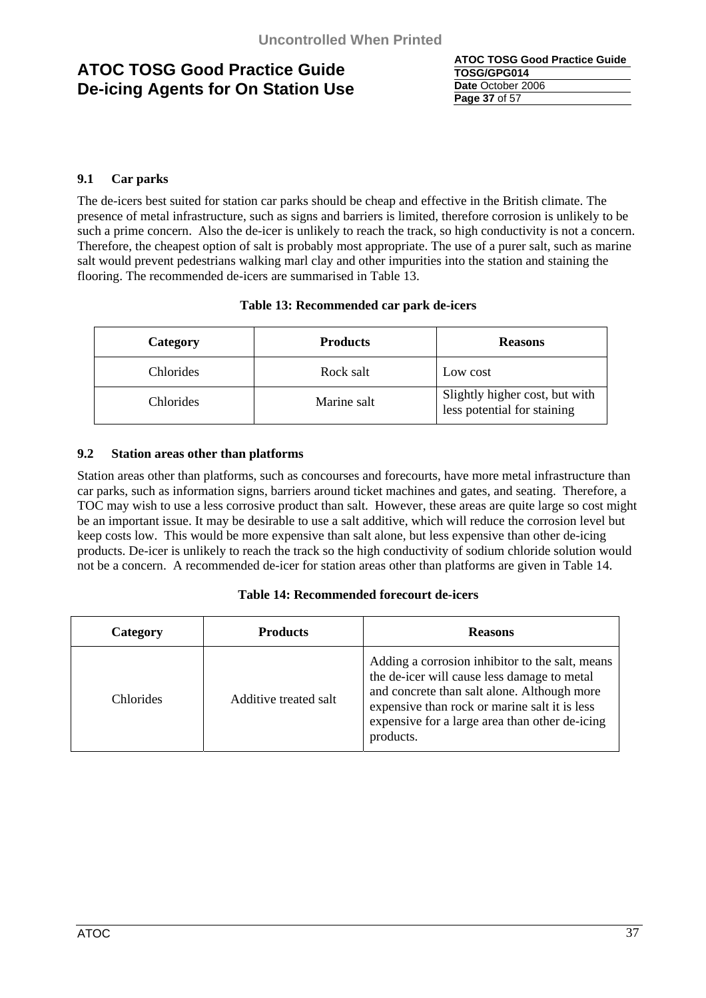| <b>ATOC TOSG Good Practice Guide</b> |
|--------------------------------------|
| TOSG/GPG014                          |
| Date October 2006                    |
| <b>Page 37 of 57</b>                 |

### **9.1 Car parks**

The de-icers best suited for station car parks should be cheap and effective in the British climate. The presence of metal infrastructure, such as signs and barriers is limited, therefore corrosion is unlikely to be such a prime concern. Also the de-icer is unlikely to reach the track, so high conductivity is not a concern. Therefore, the cheapest option of salt is probably most appropriate. The use of a purer salt, such as marine salt would prevent pedestrians walking marl clay and other impurities into the station and staining the flooring. The recommended de-icers are summarised in Table 13.

### **Table 13: Recommended car park de-icers**

| Category         | <b>Products</b> | <b>Reasons</b>                                                |
|------------------|-----------------|---------------------------------------------------------------|
| Chlorides        | Rock salt       | Low cost                                                      |
| <b>Chlorides</b> | Marine salt     | Slightly higher cost, but with<br>less potential for staining |

### **9.2 Station areas other than platforms**

Station areas other than platforms, such as concourses and forecourts, have more metal infrastructure than car parks, such as information signs, barriers around ticket machines and gates, and seating. Therefore, a TOC may wish to use a less corrosive product than salt. However, these areas are quite large so cost might be an important issue. It may be desirable to use a salt additive, which will reduce the corrosion level but keep costs low. This would be more expensive than salt alone, but less expensive than other de-icing products. De-icer is unlikely to reach the track so the high conductivity of sodium chloride solution would not be a concern. A recommended de-icer for station areas other than platforms are given in Table 14.

### **Table 14: Recommended forecourt de-icers**

| Category         | <b>Products</b>       | <b>Reasons</b>                                                                                                                                                                                                                                                |
|------------------|-----------------------|---------------------------------------------------------------------------------------------------------------------------------------------------------------------------------------------------------------------------------------------------------------|
| <b>Chlorides</b> | Additive treated salt | Adding a corrosion inhibitor to the salt, means<br>the de-icer will cause less damage to metal<br>and concrete than salt alone. Although more<br>expensive than rock or marine salt it is less<br>expensive for a large area than other de-icing<br>products. |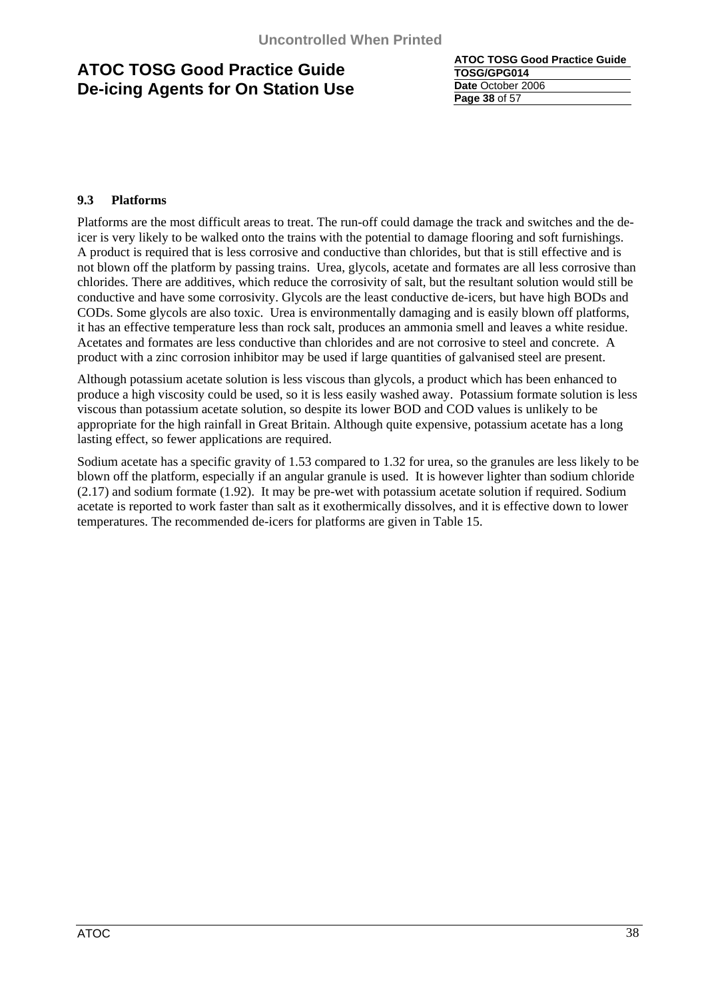**ATOC TOSG Good Practice Guide TOSG/GPG014 Date** October 2006 **Page 38** of 57

### **9.3 Platforms**

Platforms are the most difficult areas to treat. The run-off could damage the track and switches and the deicer is very likely to be walked onto the trains with the potential to damage flooring and soft furnishings. A product is required that is less corrosive and conductive than chlorides, but that is still effective and is not blown off the platform by passing trains. Urea, glycols, acetate and formates are all less corrosive than chlorides. There are additives, which reduce the corrosivity of salt, but the resultant solution would still be conductive and have some corrosivity. Glycols are the least conductive de-icers, but have high BODs and CODs. Some glycols are also toxic. Urea is environmentally damaging and is easily blown off platforms, it has an effective temperature less than rock salt, produces an ammonia smell and leaves a white residue. Acetates and formates are less conductive than chlorides and are not corrosive to steel and concrete. A product with a zinc corrosion inhibitor may be used if large quantities of galvanised steel are present.

Although potassium acetate solution is less viscous than glycols, a product which has been enhanced to produce a high viscosity could be used, so it is less easily washed away. Potassium formate solution is less viscous than potassium acetate solution, so despite its lower BOD and COD values is unlikely to be appropriate for the high rainfall in Great Britain. Although quite expensive, potassium acetate has a long lasting effect, so fewer applications are required.

Sodium acetate has a specific gravity of 1.53 compared to 1.32 for urea, so the granules are less likely to be blown off the platform, especially if an angular granule is used. It is however lighter than sodium chloride (2.17) and sodium formate (1.92). It may be pre-wet with potassium acetate solution if required. Sodium acetate is reported to work faster than salt as it exothermically dissolves, and it is effective down to lower temperatures. The recommended de-icers for platforms are given in Table 15.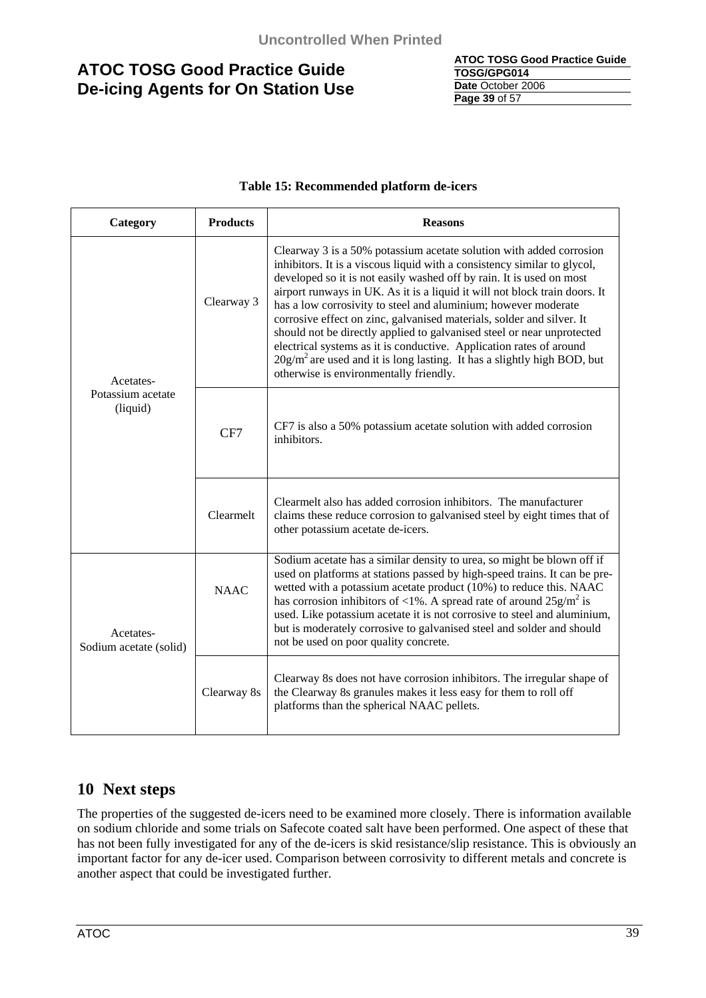| <b>ATOC TOSG Good Practice Guide</b> |
|--------------------------------------|
| TOSG/GPG014                          |
| Date October 2006                    |
| <b>Page 39 of 57</b>                 |

### **Table 15: Recommended platform de-icers**

| Category                            | <b>Products</b> | <b>Reasons</b>                                                                                                                                                                                                                                                                                                                                                                                                                                                                                                                                                                                                                                                                                                           |  |  |  |  |
|-------------------------------------|-----------------|--------------------------------------------------------------------------------------------------------------------------------------------------------------------------------------------------------------------------------------------------------------------------------------------------------------------------------------------------------------------------------------------------------------------------------------------------------------------------------------------------------------------------------------------------------------------------------------------------------------------------------------------------------------------------------------------------------------------------|--|--|--|--|
| Acetates-                           | Clearway 3      | Clearway 3 is a 50% potassium acetate solution with added corrosion<br>inhibitors. It is a viscous liquid with a consistency similar to glycol,<br>developed so it is not easily washed off by rain. It is used on most<br>airport runways in UK. As it is a liquid it will not block train doors. It<br>has a low corrosivity to steel and aluminium; however moderate<br>corrosive effect on zinc, galvanised materials, solder and silver. It<br>should not be directly applied to galvanised steel or near unprotected<br>electrical systems as it is conductive. Application rates of around<br>$20g/m2$ are used and it is long lasting. It has a slightly high BOD, but<br>otherwise is environmentally friendly. |  |  |  |  |
| Potassium acetate<br>(liquid)       | CF7             | CF7 is also a 50% potassium acetate solution with added corrosion<br>inhibitors.                                                                                                                                                                                                                                                                                                                                                                                                                                                                                                                                                                                                                                         |  |  |  |  |
|                                     | Clearmelt       | Clearmelt also has added corrosion inhibitors. The manufacturer<br>claims these reduce corrosion to galvanised steel by eight times that of<br>other potassium acetate de-icers.                                                                                                                                                                                                                                                                                                                                                                                                                                                                                                                                         |  |  |  |  |
| Acetates-<br>Sodium acetate (solid) | <b>NAAC</b>     | Sodium acetate has a similar density to urea, so might be blown off if<br>used on platforms at stations passed by high-speed trains. It can be pre-<br>wetted with a potassium acetate product (10%) to reduce this. NAAC<br>has corrosion inhibitors of <1%. A spread rate of around $25 \text{g/m}^2$ is<br>used. Like potassium acetate it is not corrosive to steel and aluminium,<br>but is moderately corrosive to galvanised steel and solder and should<br>not be used on poor quality concrete.                                                                                                                                                                                                                 |  |  |  |  |
|                                     | Clearway 8s     | Clearway 8s does not have corrosion inhibitors. The irregular shape of<br>the Clearway 8s granules makes it less easy for them to roll off<br>platforms than the spherical NAAC pellets.                                                                                                                                                                                                                                                                                                                                                                                                                                                                                                                                 |  |  |  |  |

### **10 Next steps**

The properties of the suggested de-icers need to be examined more closely. There is information available on sodium chloride and some trials on Safecote coated salt have been performed. One aspect of these that has not been fully investigated for any of the de-icers is skid resistance/slip resistance. This is obviously an important factor for any de-icer used. Comparison between corrosivity to different metals and concrete is another aspect that could be investigated further.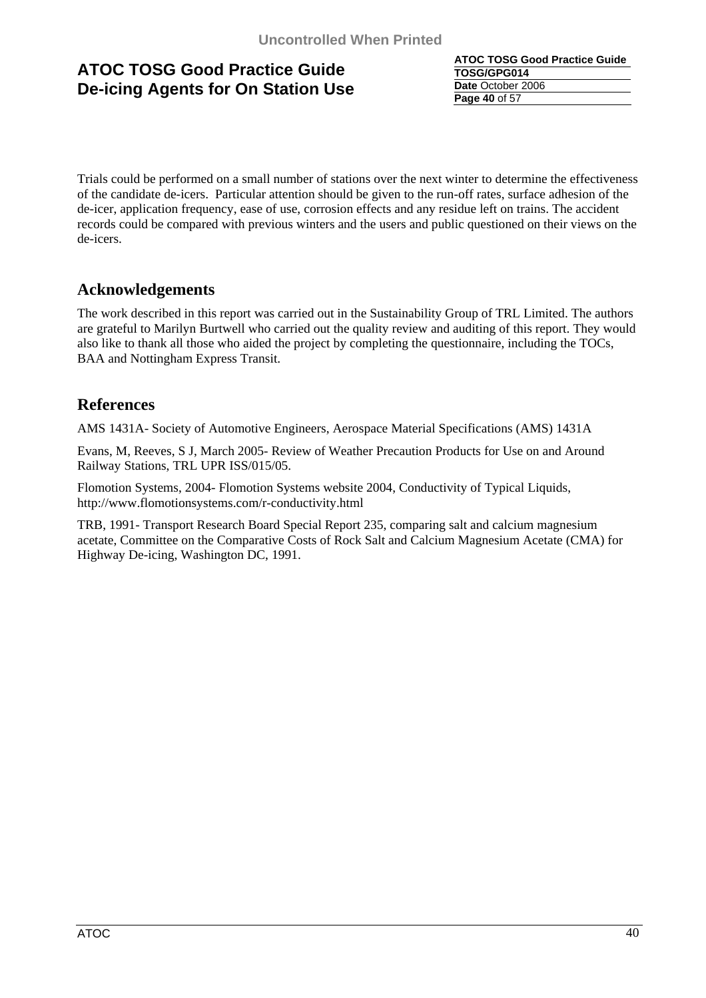**ATOC TOSG Good Practice Guide TOSG/GPG014 Date** October 2006 **Page 40** of 57

Trials could be performed on a small number of stations over the next winter to determine the effectiveness of the candidate de-icers. Particular attention should be given to the run-off rates, surface adhesion of the de-icer, application frequency, ease of use, corrosion effects and any residue left on trains. The accident records could be compared with previous winters and the users and public questioned on their views on the de-icers.

# **Acknowledgements**

The work described in this report was carried out in the Sustainability Group of TRL Limited. The authors are grateful to Marilyn Burtwell who carried out the quality review and auditing of this report. They would also like to thank all those who aided the project by completing the questionnaire, including the TOCs, BAA and Nottingham Express Transit.

### **References**

AMS 1431A- Society of Automotive Engineers, Aerospace Material Specifications (AMS) 1431A

Evans, M, Reeves, S J, March 2005- Review of Weather Precaution Products for Use on and Around Railway Stations, TRL UPR ISS/015/05.

Flomotion Systems, 2004- Flomotion Systems website 2004, Conductivity of Typical Liquids, http://www.flomotionsystems.com/r-conductivity.html

TRB, 1991- Transport Research Board Special Report 235, comparing salt and calcium magnesium acetate, Committee on the Comparative Costs of Rock Salt and Calcium Magnesium Acetate (CMA) for Highway De-icing, Washington DC, 1991.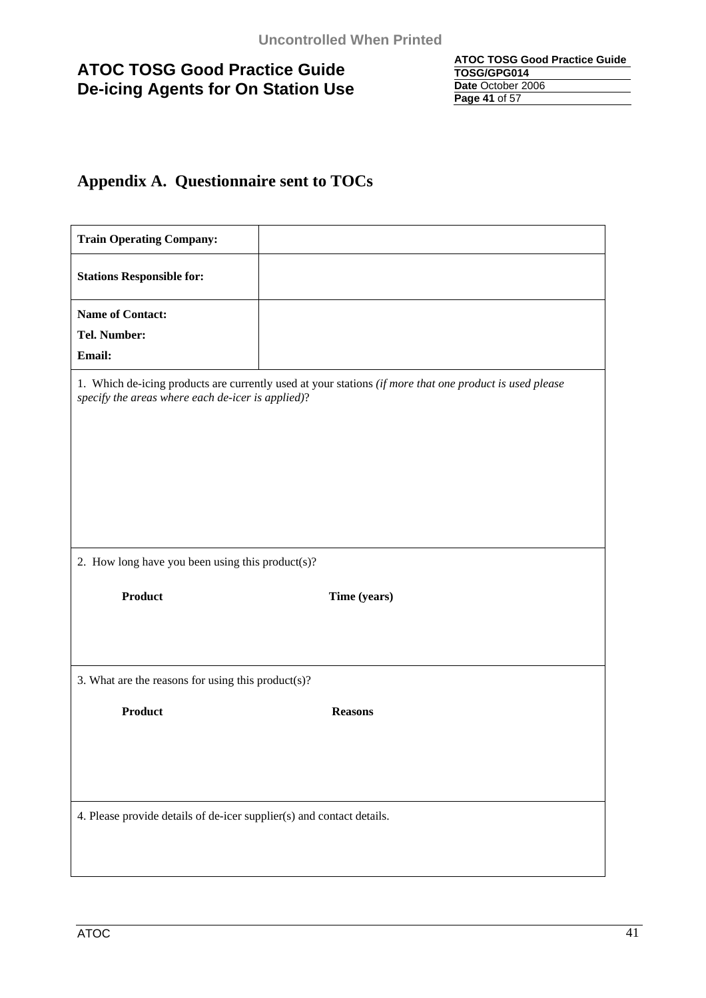| <b>ATOC TOSG Good Practice Guide</b> |
|--------------------------------------|
| TOSG/GPG014                          |
| Date October 2006                    |
| Page 41 of 57                        |

# **Appendix A. Questionnaire sent to TOCs**

| <b>Train Operating Company:</b>                                                                                                                              |                |  |  |  |
|--------------------------------------------------------------------------------------------------------------------------------------------------------------|----------------|--|--|--|
| <b>Stations Responsible for:</b>                                                                                                                             |                |  |  |  |
| <b>Name of Contact:</b>                                                                                                                                      |                |  |  |  |
| Tel. Number:                                                                                                                                                 |                |  |  |  |
| Email:                                                                                                                                                       |                |  |  |  |
| 1. Which de-icing products are currently used at your stations (if more that one product is used please<br>specify the areas where each de-icer is applied)? |                |  |  |  |
|                                                                                                                                                              |                |  |  |  |
| 2. How long have you been using this product(s)?                                                                                                             |                |  |  |  |
| <b>Product</b>                                                                                                                                               | Time (years)   |  |  |  |
| 3. What are the reasons for using this product(s)?                                                                                                           |                |  |  |  |
| <b>Product</b>                                                                                                                                               | <b>Reasons</b> |  |  |  |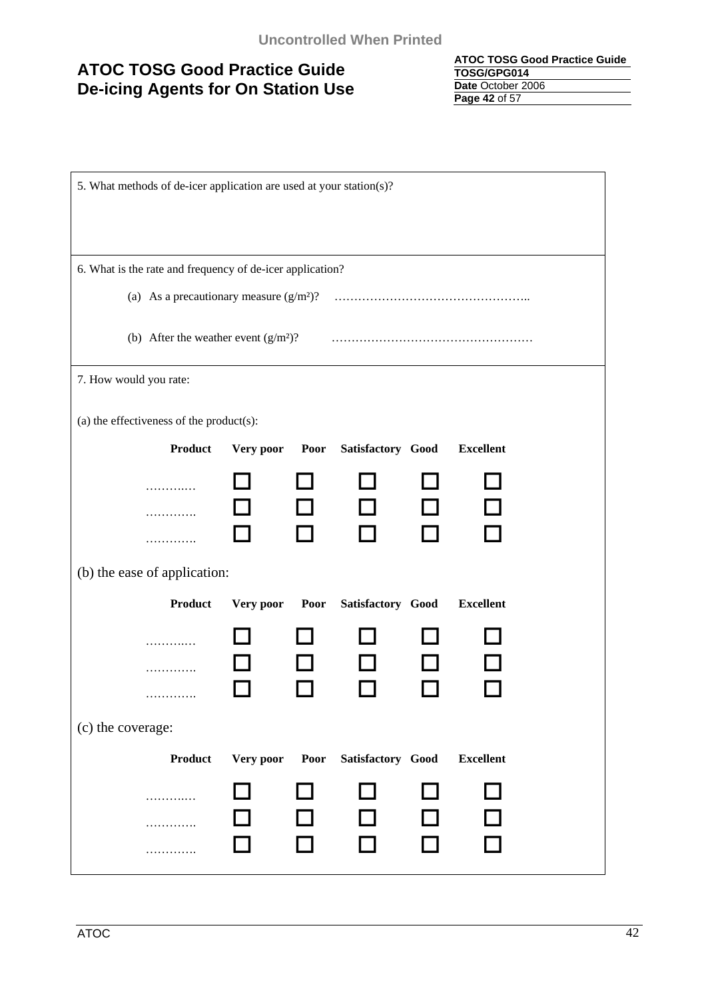**ATOC TOSG Good Practice Guide TOSG/GPG014 Date** October 2006 **Page 42** of 57

| 5. What methods of de-icer application are used at your station(s)? |           |      |                   |  |                  |  |
|---------------------------------------------------------------------|-----------|------|-------------------|--|------------------|--|
|                                                                     |           |      |                   |  |                  |  |
|                                                                     |           |      |                   |  |                  |  |
| 6. What is the rate and frequency of de-icer application?           |           |      |                   |  |                  |  |
|                                                                     |           |      |                   |  |                  |  |
| (b) After the weather event $(g/m2)$ ?                              |           |      |                   |  |                  |  |
| 7. How would you rate:                                              |           |      |                   |  |                  |  |
|                                                                     |           |      |                   |  |                  |  |
| (a) the effectiveness of the product(s):<br><b>Product</b>          | Very poor | Poor | Satisfactory Good |  | <b>Excellent</b> |  |
|                                                                     |           |      |                   |  |                  |  |
| .                                                                   |           |      |                   |  |                  |  |
| .                                                                   |           |      |                   |  |                  |  |
| .                                                                   |           |      |                   |  |                  |  |
| (b) the ease of application:                                        |           |      |                   |  |                  |  |
| <b>Product</b>                                                      | Very poor | Poor | Satisfactory Good |  | <b>Excellent</b> |  |
| .                                                                   |           |      |                   |  |                  |  |
| .                                                                   |           |      |                   |  |                  |  |
| .                                                                   |           |      |                   |  |                  |  |
| (c) the coverage:                                                   |           |      |                   |  |                  |  |
| Product                                                             | Very poor | Poor | Satisfactory Good |  | <b>Excellent</b> |  |
| .                                                                   |           |      |                   |  |                  |  |
| .                                                                   |           |      |                   |  |                  |  |
| .                                                                   |           |      |                   |  |                  |  |
|                                                                     |           |      |                   |  |                  |  |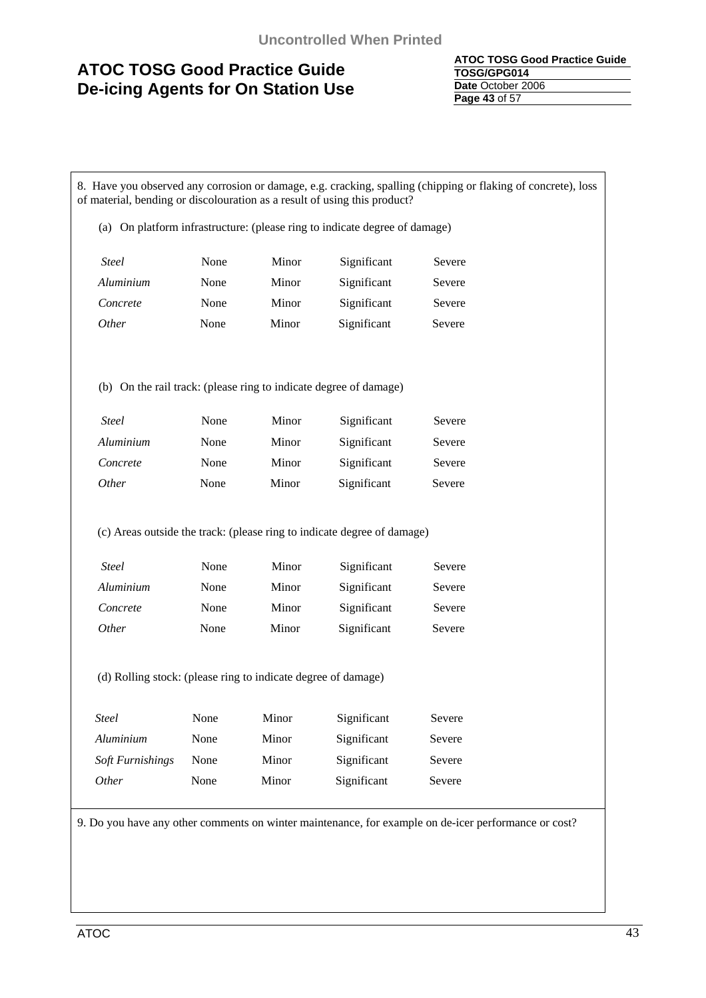| <b>ATOC TOSG Good Practice Guide</b> |
|--------------------------------------|
| TOSG/GPG014                          |
| Date October 2006                    |
| <b>Page 43 of 57</b>                 |

8. Have you observed any corrosion or damage, e.g. cracking, spalling (chipping or flaking of concrete), loss of material, bending or discolouration as a result of using this product? (a) On platform infrastructure: (please ring to indicate degree of damage) *Steel* **None Minor** Significant Severe *Aluminium* None Minor Significant Severe **Concrete** None Minor Significant Severe *Other* **None Minor** Significant Severe (b) On the rail track: (please ring to indicate degree of damage) *Steel* **None Minor** Significant Severe *Aluminium* None Minor Significant Severe *Concrete* None Minor Significant Severe *Other* None Minor Significant Severe (c) Areas outside the track: (please ring to indicate degree of damage) *Steel* **None Minor Significant Severe** *Aluminium* None Minor Significant Severe *Concrete* None Minor Significant Severe *Other* **None Minor** Significant Severe (d) Rolling stock: (please ring to indicate degree of damage) *Steel* **None Minor Significant Severe** *Aluminium* None Minor Significant Severe  *Soft Furnishings* None Minor Significant Severe *Other* None Minor Significant Severe 9. Do you have any other comments on winter maintenance, for example on de-icer performance or cost?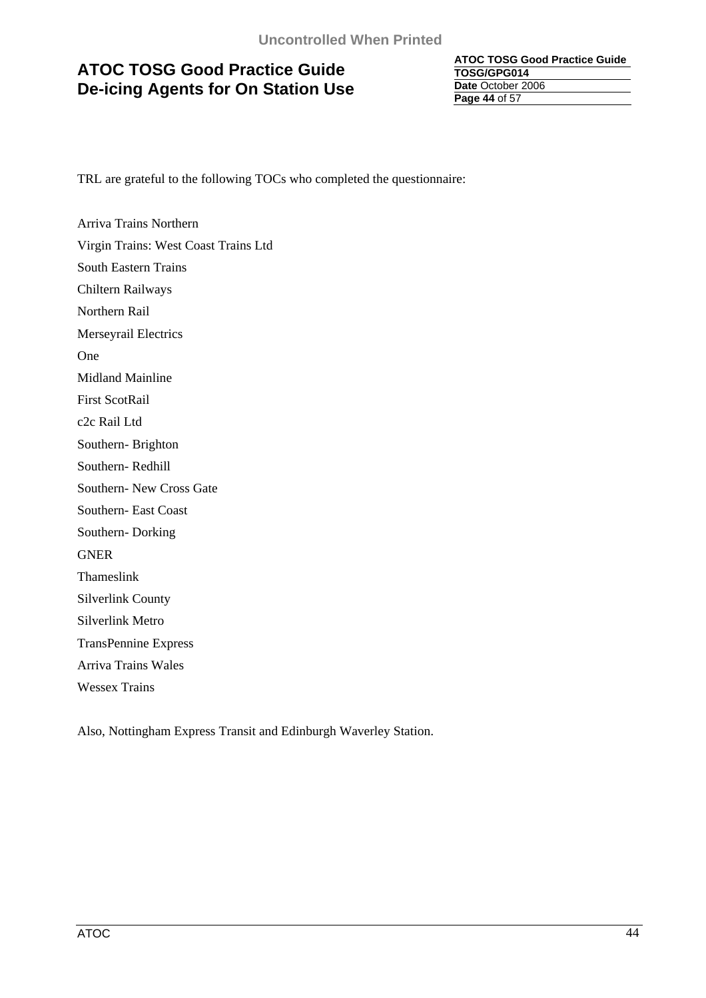**ATOC TOSG Good Practice Guide TOSG/GPG014 Date** October 2006 **Page 44** of 57

TRL are grateful to the following TOCs who completed the questionnaire:

Arriva Trains Northern Virgin Trains: West Coast Trains Ltd South Eastern Trains Chiltern Railways Northern Rail Merseyrail Electrics One Midland Mainline First ScotRail c2c Rail Ltd Southern- Brighton Southern- Redhill Southern- New Cross Gate Southern- East Coast Southern- Dorking GNER Thameslink Silverlink County Silverlink Metro TransPennine Express Arriva Trains Wales Wessex Trains

Also, Nottingham Express Transit and Edinburgh Waverley Station.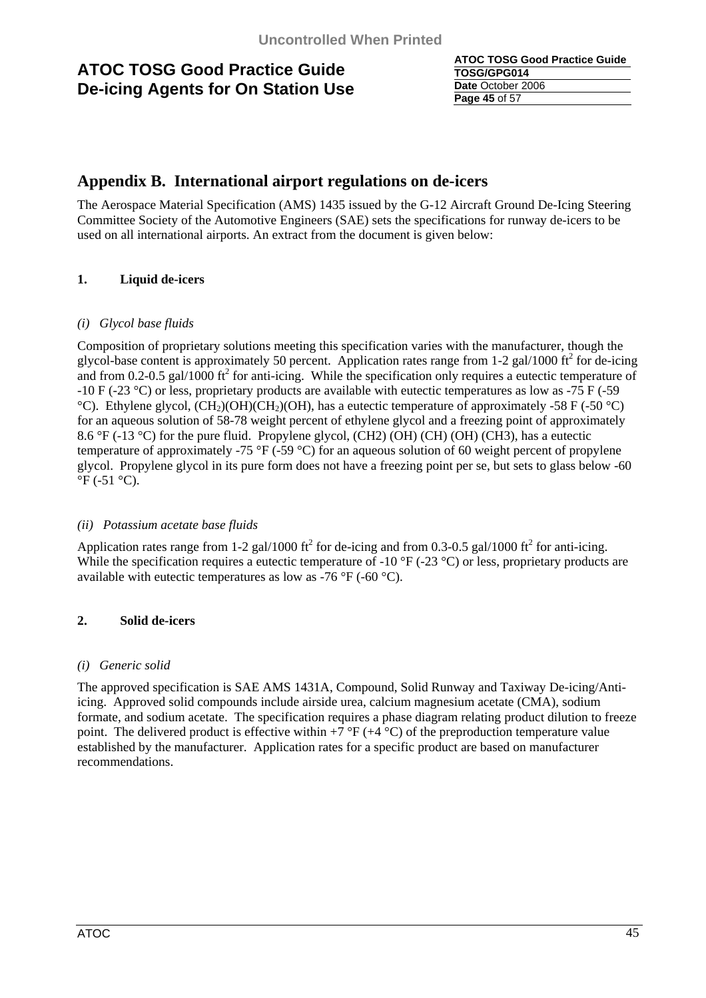| <b>ATOC TOSG Good Practice Guide</b> |
|--------------------------------------|
| TOSG/GPG014                          |
| Date October 2006                    |
| Page 45 of 57                        |

### **Appendix B. International airport regulations on de-icers**

The Aerospace Material Specification (AMS) 1435 issued by the G-12 Aircraft Ground De-Icing Steering Committee Society of the Automotive Engineers (SAE) sets the specifications for runway de-icers to be used on all international airports. An extract from the document is given below:

### **1. Liquid de-icers**

### *(i) Glycol base fluids*

Composition of proprietary solutions meeting this specification varies with the manufacturer, though the glycol-base content is approximately 50 percent. Application rates range from 1-2 gal/1000 ft<sup>2</sup> for de-icing and from 0.2-0.5 gal/1000  $\text{ft}^2$  for anti-icing. While the specification only requires a eutectic temperature of -10 F (-23 °C) or less, proprietary products are available with eutectic temperatures as low as -75 F (-59 °C). Ethylene glycol,  $(CH_2)OH)CH_2(OH)$ , has a eutectic temperature of approximately -58 F (-50 °C) for an aqueous solution of 58-78 weight percent of ethylene glycol and a freezing point of approximately 8.6 °F (-13 °C) for the pure fluid. Propylene glycol, (CH2) (OH) (CH) (OH) (CH3), has a eutectic temperature of approximately -75 °F (-59 °C) for an aqueous solution of 60 weight percent of propylene glycol. Propylene glycol in its pure form does not have a freezing point per se, but sets to glass below -60  $\mathrm{^{\circ}F}$  (-51  $\mathrm{^{\circ}C}$ ).

### *(ii) Potassium acetate base fluids*

Application rates range from 1-2 gal/1000 ft<sup>2</sup> for de-icing and from 0.3-0.5 gal/1000 ft<sup>2</sup> for anti-icing. While the specification requires a eutectic temperature of -10  $\rm{^{\circ}F}$  (-23  $\rm{^{\circ}C}$ ) or less, proprietary products are available with eutectic temperatures as low as -76  $\rm{°F}$  (-60  $\rm{°C}$ ).

### **2. Solid de-icers**

### *(i) Generic solid*

The approved specification is SAE AMS 1431A, Compound, Solid Runway and Taxiway De-icing/Antiicing. Approved solid compounds include airside urea, calcium magnesium acetate (CMA), sodium formate, and sodium acetate. The specification requires a phase diagram relating product dilution to freeze point. The delivered product is effective within  $+7 \text{ }^{\circ}F$  ( $+4 \text{ }^{\circ}C$ ) of the preproduction temperature value established by the manufacturer. Application rates for a specific product are based on manufacturer recommendations.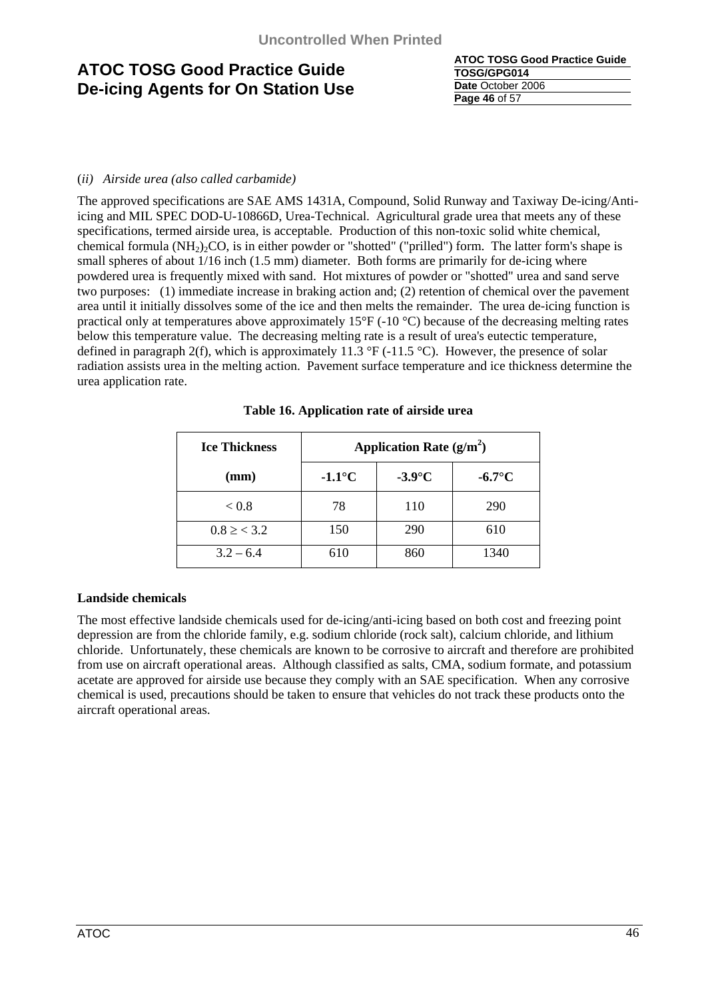| <b>ATOC TOSG Good Practice Guide</b> |
|--------------------------------------|
| TOSG/GPG014                          |
| Date October 2006                    |
| Page 46 of 57                        |

### (*ii) Airside urea (also called carbamide)*

The approved specifications are SAE AMS 1431A, Compound, Solid Runway and Taxiway De-icing/Antiicing and MIL SPEC DOD-U-10866D, Urea-Technical. Agricultural grade urea that meets any of these specifications, termed airside urea, is acceptable. Production of this non-toxic solid white chemical, chemical formula  $(NH<sub>2</sub>)<sub>2</sub>CO$ , is in either powder or "shotted" ("prilled") form. The latter form's shape is small spheres of about  $1/16$  inch  $(1.5 \text{ mm})$  diameter. Both forms are primarily for de-icing where powdered urea is frequently mixed with sand. Hot mixtures of powder or "shotted" urea and sand serve two purposes: (1) immediate increase in braking action and; (2) retention of chemical over the pavement area until it initially dissolves some of the ice and then melts the remainder. The urea de-icing function is practical only at temperatures above approximately  $15^{\circ}F$  (-10  $^{\circ}C$ ) because of the decreasing melting rates below this temperature value. The decreasing melting rate is a result of urea's eutectic temperature, defined in paragraph 2(f), which is approximately 11.3  $\degree$ F (-11.5  $\degree$ C). However, the presence of solar radiation assists urea in the melting action. Pavement surface temperature and ice thickness determine the urea application rate.

| <b>Ice Thickness</b>           | Application Rate $(g/m^2)$ |           |                 |  |  |
|--------------------------------|----------------------------|-----------|-----------------|--|--|
| (mm)                           | $-1.1^{\circ}C$            | $-3.9$ °C | $-6.7^{\circ}C$ |  |  |
| ${}_{< 0.8}$                   | 78                         | 110       | 290             |  |  |
| $0.8 \geq \langle 3.2 \rangle$ | 150                        | 290       | 610             |  |  |
| $3.2 - 6.4$                    | 610                        | 860       | 1340            |  |  |

### **Table 16. Application rate of airside urea**

### **Landside chemicals**

The most effective landside chemicals used for de-icing/anti-icing based on both cost and freezing point depression are from the chloride family, e.g. sodium chloride (rock salt), calcium chloride, and lithium chloride. Unfortunately, these chemicals are known to be corrosive to aircraft and therefore are prohibited from use on aircraft operational areas. Although classified as salts, CMA, sodium formate, and potassium acetate are approved for airside use because they comply with an SAE specification. When any corrosive chemical is used, precautions should be taken to ensure that vehicles do not track these products onto the aircraft operational areas.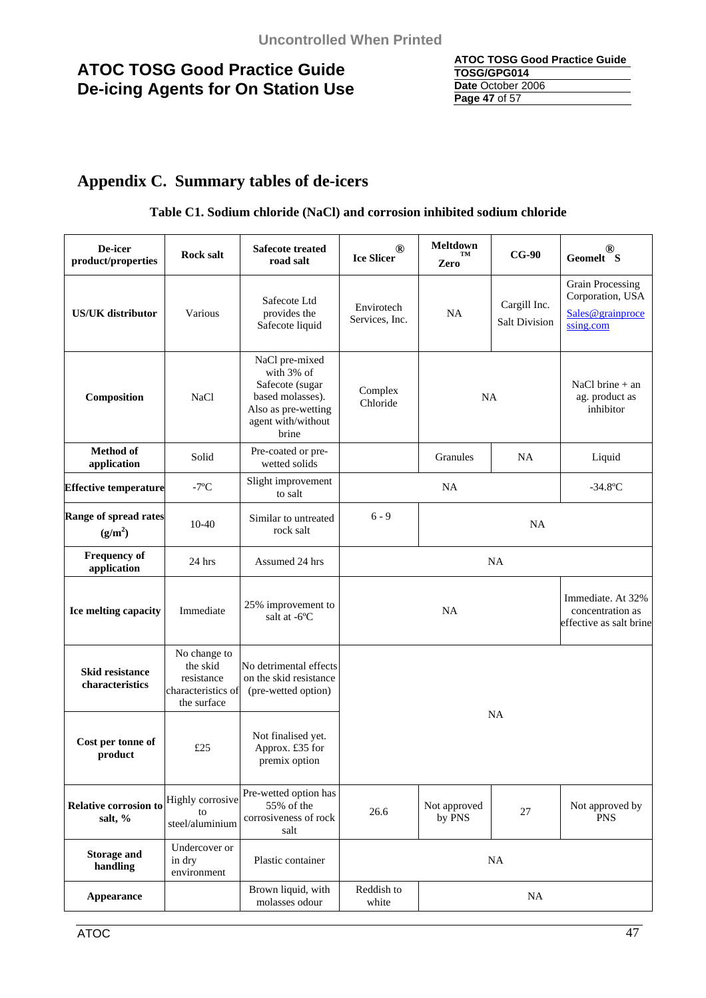| ATOC TOSG Good Practice Guide |
|-------------------------------|
| TOSG/GPG014                   |
| Date October 2006             |
| Page 47 of 57                 |

# **Appendix C. Summary tables of de-icers**

### **Table C1. Sodium chloride (NaCl) and corrosion inhibited sodium chloride**

| De-icer<br>product/properties                       | <b>Rock salt</b>                                                            | <b>Safecote treated</b><br>road salt                                                                                      | <b>Meltdown</b><br>(R)<br>TM<br><b>Ice Slicer</b><br>Zero                         |           | $CG-90$                                                                      | (R)<br>Geomelt S                                                 |
|-----------------------------------------------------|-----------------------------------------------------------------------------|---------------------------------------------------------------------------------------------------------------------------|-----------------------------------------------------------------------------------|-----------|------------------------------------------------------------------------------|------------------------------------------------------------------|
| <b>US/UK</b> distributor                            | Various                                                                     | Safecote Ltd<br>provides the<br>Safecote liquid                                                                           | Cargill Inc.<br>Envirotech<br><b>NA</b><br>Services, Inc.<br><b>Salt Division</b> |           | <b>Grain Processing</b><br>Corporation, USA<br>Sales@grainproce<br>ssing.com |                                                                  |
| Composition                                         | <b>NaCl</b>                                                                 | NaCl pre-mixed<br>with 3% of<br>Safecote (sugar<br>based molasses).<br>Also as pre-wetting<br>agent with/without<br>brine | Complex<br>Chloride                                                               | <b>NA</b> |                                                                              | NaCl brine $+$ an<br>ag. product as<br>inhibitor                 |
| <b>Method</b> of<br>application                     | Solid                                                                       | Pre-coated or pre-<br>wetted solids                                                                                       |                                                                                   | Granules  | <b>NA</b>                                                                    | Liquid                                                           |
| <b>Effective temperature</b>                        | $-7$ °C                                                                     | Slight improvement<br>to salt                                                                                             |                                                                                   | <b>NA</b> |                                                                              | $-34.8$ °C                                                       |
| <b>Range of spread rates</b><br>(g/m <sup>2</sup> ) | $10-40$                                                                     | Similar to untreated<br>rock salt                                                                                         | $6 - 9$<br>NA                                                                     |           |                                                                              |                                                                  |
| <b>Frequency of</b><br>application                  | 24 hrs                                                                      | Assumed 24 hrs                                                                                                            | <b>NA</b>                                                                         |           |                                                                              |                                                                  |
| Ice melting capacity                                | Immediate                                                                   | 25% improvement to<br>salt at -6°C                                                                                        | <b>NA</b>                                                                         |           |                                                                              | Immediate. At 32%<br>concentration as<br>effective as salt brine |
| <b>Skid resistance</b><br>characteristics           | No change to<br>the skid<br>resistance<br>characteristics of<br>the surface | No detrimental effects<br>on the skid resistance<br>(pre-wetted option)                                                   |                                                                                   |           |                                                                              |                                                                  |
| Cost per tonne of<br>product                        | £25                                                                         | Not finalised yet.<br>Approx. £35 for<br>premix option                                                                    | <b>NA</b>                                                                         |           |                                                                              |                                                                  |
| Relative corrosion to<br>salt, %                    | Highly corrosive<br>to<br>steel/aluminium                                   | Pre-wetted option has<br>55% of the<br>corrosiveness of rock<br>salt                                                      | Not approved<br>$27\,$<br>26.6<br>by PNS                                          |           |                                                                              | Not approved by<br><b>PNS</b>                                    |
| <b>Storage and</b><br>handling                      | Undercover or<br>in dry<br>environment                                      | Plastic container                                                                                                         | <b>NA</b>                                                                         |           |                                                                              |                                                                  |
| Appearance                                          |                                                                             | Brown liquid, with<br>molasses odour                                                                                      | Reddish to<br><b>NA</b><br>white                                                  |           |                                                                              |                                                                  |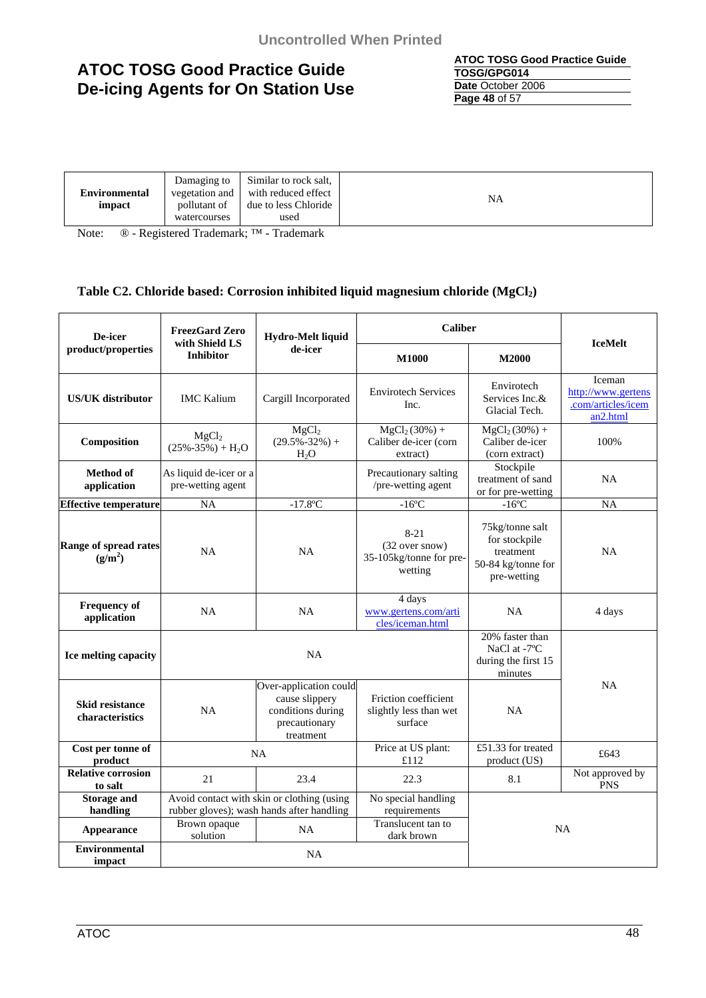**ATOC TOSG Good Practice Guide TOSG/GPG014 Date** October 2006 **Page 48** of 57

| <b>Environmental</b><br>impact | Damaging to<br>vegetation and<br>pollutant of | Similar to rock salt,<br>with reduced effect<br>due to less Chloride | <b>NA</b> |
|--------------------------------|-----------------------------------------------|----------------------------------------------------------------------|-----------|
|                                | watercourses                                  | used                                                                 |           |

Note: ® - Registered Trademark; ™ - Trademark

### Table C2. Chloride based: Corrosion inhibited liquid magnesium chloride (MgCl<sub>2</sub>)

| De-icer                                             | <b>FreezGard Zero</b><br>Hydro-Melt liquid  |                                                                                             | <b>Caliber</b>                                                   |                                                                                    |                                                                            |
|-----------------------------------------------------|---------------------------------------------|---------------------------------------------------------------------------------------------|------------------------------------------------------------------|------------------------------------------------------------------------------------|----------------------------------------------------------------------------|
| product/properties                                  | with Shield LS<br><b>Inhibitor</b>          | de-icer                                                                                     | <b>M1000</b>                                                     | <b>M2000</b>                                                                       | <b>IceMelt</b>                                                             |
| <b>US/UK</b> distributor                            | <b>IMC Kalium</b>                           | Cargill Incorporated                                                                        | <b>Envirotech Services</b><br>Inc.                               | Envirotech<br>Services Inc.&<br>Glacial Tech.                                      | Iceman<br>http://www.gertens<br>.com/articles/icem<br>an <sub>2.html</sub> |
| Composition                                         | MgCl <sub>2</sub><br>$(25\% - 35\%) + H_2O$ | MgCl <sub>2</sub><br>$(29.5\% - 32\%) +$<br>H <sub>2</sub> O                                | $MgCl2(30%) +$<br>Caliber de-icer (corn<br>extract)              | $MgCl2(30%) +$<br>Caliber de-icer<br>(corn extract)                                | 100%                                                                       |
| <b>Method of</b><br>application                     | As liquid de-icer or a<br>pre-wetting agent |                                                                                             | Precautionary salting<br>/pre-wetting agent                      | Stockpile<br>treatment of sand<br>or for pre-wetting                               | <b>NA</b>                                                                  |
| <b>Effective temperature</b>                        | <b>NA</b>                                   | $-17.8$ °C                                                                                  | $-16$ °C                                                         | $-16$ °C                                                                           | NA                                                                         |
| <b>Range of spread rates</b><br>(g/m <sup>2</sup> ) | NA                                          | NA                                                                                          | $8 - 21$<br>(32 over snow)<br>35-105kg/tonne for pre-<br>wetting | 75kg/tonne salt<br>for stockpile<br>treatment<br>50-84 kg/tonne for<br>pre-wetting | <b>NA</b>                                                                  |
| <b>Frequency of</b><br>application                  | <b>NA</b>                                   | <b>NA</b>                                                                                   | 4 days<br>www.gertens.com/arti<br>cles/iceman.html               | <b>NA</b>                                                                          | 4 days                                                                     |
| Ice melting capacity                                |                                             | <b>NA</b>                                                                                   |                                                                  | $\overline{20}$ % faster than<br>NaCl at -7°C<br>during the first 15<br>minutes    |                                                                            |
| <b>Skid resistance</b><br>characteristics           | <b>NA</b>                                   | Over-application could<br>cause slippery<br>conditions during<br>precautionary<br>treatment | Friction coefficient<br>slightly less than wet<br>surface        | <b>NA</b>                                                                          | <b>NA</b>                                                                  |
| Cost per tonne of<br>product                        | <b>NA</b>                                   |                                                                                             | Price at US plant:<br>£112                                       | £51.33 for treated<br>product (US)                                                 | £643                                                                       |
| <b>Relative corrosion</b><br>to salt                | 2.1                                         | 23.4                                                                                        | 22.3                                                             | 8.1                                                                                | Not approved by<br><b>PNS</b>                                              |
| <b>Storage and</b><br>handling                      |                                             | Avoid contact with skin or clothing (using<br>rubber gloves); wash hands after handling     | No special handling<br>requirements                              |                                                                                    |                                                                            |
| Appearance                                          | Brown opaque<br>solution                    | NA                                                                                          | Translucent tan to<br>dark brown                                 |                                                                                    | <b>NA</b>                                                                  |
| <b>Environmental</b><br>impact                      |                                             | <b>NA</b>                                                                                   |                                                                  |                                                                                    |                                                                            |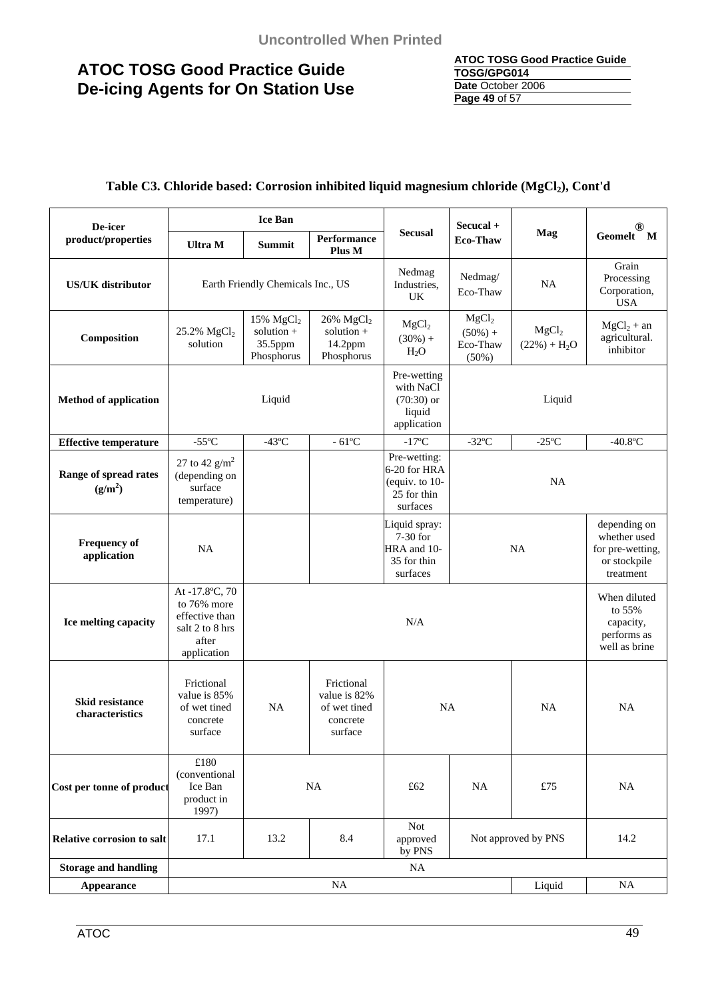| <b>ATOC TOSG Good Practice Guide</b> |
|--------------------------------------|
| TOSG/GPG014                          |
| Date October 2006                    |
| Page 49 of 57                        |

### Table C3. Chloride based: Corrosion inhibited liquid magnesium chloride (MgCl<sub>2</sub>), Cont'd

| De-icer                                      | <b>Ice Ban</b>                                                                             |                                                                             |                                                                   | Secucal +                                                                    |                                                      |                                    |                                                                               |
|----------------------------------------------|--------------------------------------------------------------------------------------------|-----------------------------------------------------------------------------|-------------------------------------------------------------------|------------------------------------------------------------------------------|------------------------------------------------------|------------------------------------|-------------------------------------------------------------------------------|
| product/properties                           | <b>Ultra M</b>                                                                             | Summit                                                                      | <b>Performance</b><br>Plus M                                      | <b>Secusal</b>                                                               | <b>Eco-Thaw</b>                                      | Mag                                | Geomelt M                                                                     |
| <b>US/UK</b> distributor                     |                                                                                            | Earth Friendly Chemicals Inc., US                                           |                                                                   | Nedmag<br>Industries,<br><b>UK</b>                                           | Nedmag/<br>Eco-Thaw                                  | <b>NA</b>                          | Grain<br>Processing<br>Corporation,<br><b>USA</b>                             |
| Composition                                  | 25.2% $MgCl2$<br>solution                                                                  | 15% $MgCl2$<br>solution $+$<br>35.5ppm<br>Phosphorus                        | $26\%$ MgCl <sub>2</sub><br>solution $+$<br>14.2ppm<br>Phosphorus | MgCl <sub>2</sub><br>$(30\%) +$<br>$H_2O$                                    | MgCl <sub>2</sub><br>$(50\%) +$<br>Eco-Thaw<br>(50%) | MgCl <sub>2</sub><br>$(22%) + H2O$ | $MgCl2 + an$<br>agricultural.<br>inhibitor                                    |
| <b>Method of application</b>                 |                                                                                            | Pre-wetting<br>with NaCl<br>$(70:30)$ or<br>Liquid<br>liquid<br>application |                                                                   |                                                                              | Liquid                                               |                                    |                                                                               |
| <b>Effective temperature</b>                 | $-55^{\circ}$ C                                                                            | $-43$ °C                                                                    | $-61^{\circ}$ C                                                   | $-17^{\circ}$ C                                                              | $-32$ °C                                             | $-25^{\circ}$ C                    | $-40.8$ °C                                                                    |
| Range of spread rates<br>(g/m <sup>2</sup> ) | 27 to 42 $g/m^2$<br>(depending on<br>surface<br>temperature)                               |                                                                             |                                                                   | Pre-wetting:<br>6-20 for HRA<br>(equiv. to $10$ -<br>25 for thin<br>surfaces | NA                                                   |                                    |                                                                               |
| <b>Frequency of</b><br>application           | <b>NA</b>                                                                                  |                                                                             |                                                                   | Liquid spray:<br>7-30 for<br>HRA and 10-<br>35 for thin<br>surfaces          |                                                      | <b>NA</b>                          | depending on<br>whether used<br>for pre-wetting,<br>or stockpile<br>treatment |
| Ice melting capacity                         | At -17.8°C, 70<br>to 76% more<br>effective than<br>salt 2 to 8 hrs<br>after<br>application |                                                                             | N/A                                                               |                                                                              |                                                      |                                    | When diluted<br>to 55%<br>capacity,<br>performs as<br>well as brine           |
| <b>Skid resistance</b><br>characteristics    | Frictional<br>value is 85%<br>of wet tined<br>concrete<br>surface                          | NA                                                                          | Frictional<br>value is 82%<br>of wet tined<br>concrete<br>surface | <b>NA</b>                                                                    |                                                      | NA                                 | <b>NA</b>                                                                     |
| Cost per tonne of product                    | $\pounds180$<br>(conventional<br>Ice Ban<br>product in<br>1997)                            |                                                                             | <b>NA</b>                                                         | £62                                                                          | <b>NA</b>                                            | £75                                | <b>NA</b>                                                                     |
| Relative corrosion to salt                   | 17.1                                                                                       | <b>Not</b><br>8.4<br>13.2<br>approved<br>Not approved by PNS<br>by PNS      |                                                                   |                                                                              |                                                      | 14.2                               |                                                                               |
| <b>Storage and handling</b>                  |                                                                                            |                                                                             |                                                                   | <b>NA</b>                                                                    |                                                      |                                    |                                                                               |
| Appearance                                   | NA<br>NA<br>Liquid                                                                         |                                                                             |                                                                   |                                                                              |                                                      |                                    |                                                                               |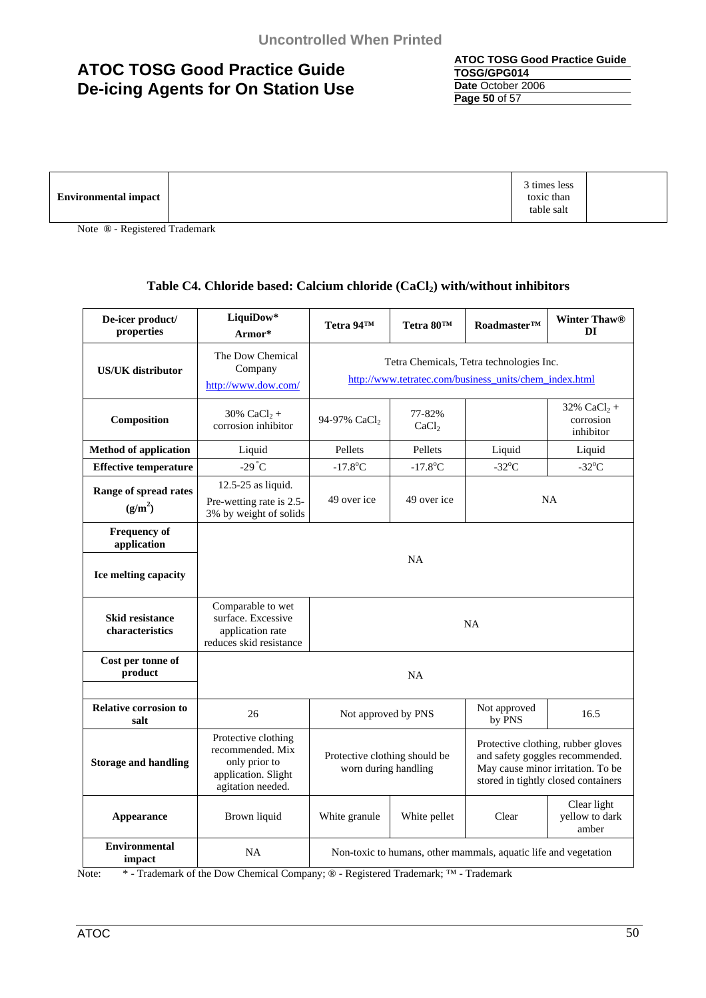**ATOC TOSG Good Practice Guide TOSG/GPG014 Date** October 2006 **Page 50** of 57

| 3 times less<br><b>Environmental impact</b><br>toxic than<br>table salt |  |
|-------------------------------------------------------------------------|--|
|-------------------------------------------------------------------------|--|

Note **®** - Registered Trademark

### Table C4. Chloride based: Calcium chloride (CaCl<sub>2</sub>) with/without inhibitors

| De-icer product/<br>properties               | LiquiDow*<br>Armor*                                                                                  | Tetra 94TM                                                                                                                                                                                                 | Tetra 80TM                  | Roadmaster™     | <b>Winter Thaw®</b><br>DI               |  |
|----------------------------------------------|------------------------------------------------------------------------------------------------------|------------------------------------------------------------------------------------------------------------------------------------------------------------------------------------------------------------|-----------------------------|-----------------|-----------------------------------------|--|
| <b>US/UK</b> distributor                     | The Dow Chemical<br>Company<br>http://www.dow.com/                                                   | Tetra Chemicals, Tetra technologies Inc.<br>http://www.tetratec.com/business_units/chem_index.html                                                                                                         |                             |                 |                                         |  |
| Composition                                  | 30% $CaCl2 +$<br>corrosion inhibitor                                                                 | 94-97% CaCl <sub>2</sub>                                                                                                                                                                                   | 77-82%<br>CaCl <sub>2</sub> |                 | 32% $CaCl2 +$<br>corrosion<br>inhibitor |  |
| <b>Method of application</b>                 | Liquid                                                                                               | Pellets                                                                                                                                                                                                    | Pellets                     | Liquid          | Liquid                                  |  |
| <b>Effective temperature</b>                 | $-29^{\circ}C$                                                                                       | $-17.8$ °C                                                                                                                                                                                                 | $-17.8$ °C                  | $-32^{\circ}$ C | $-32^{\circ}$ C                         |  |
| Range of spread rates<br>(g/m <sup>2</sup> ) | 12.5-25 as liquid.<br>Pre-wetting rate is 2.5-<br>3% by weight of solids                             | 49 over ice                                                                                                                                                                                                | 49 over ice                 |                 | NA                                      |  |
| Frequency of<br>application                  |                                                                                                      |                                                                                                                                                                                                            | <b>NA</b>                   |                 |                                         |  |
| Ice melting capacity                         |                                                                                                      |                                                                                                                                                                                                            |                             |                 |                                         |  |
| <b>Skid resistance</b><br>characteristics    | Comparable to wet<br>surface. Excessive<br><b>NA</b><br>application rate<br>reduces skid resistance  |                                                                                                                                                                                                            |                             |                 |                                         |  |
| Cost per tonne of<br>product                 |                                                                                                      | <b>NA</b>                                                                                                                                                                                                  |                             |                 |                                         |  |
| <b>Relative corrosion to</b><br>salt         | 26                                                                                                   | Not approved<br>16.5<br>Not approved by PNS<br>by PNS                                                                                                                                                      |                             |                 |                                         |  |
| <b>Storage and handling</b>                  | Protective clothing<br>recommended. Mix<br>only prior to<br>application. Slight<br>agitation needed. | Protective clothing, rubber gloves<br>and safety goggles recommended.<br>Protective clothing should be<br>worn during handling<br>May cause minor irritation. To be<br>stored in tightly closed containers |                             |                 |                                         |  |
| <b>Appearance</b>                            | Brown liquid                                                                                         | White granule                                                                                                                                                                                              | White pellet                | Clear           | Clear light<br>yellow to dark<br>amber  |  |
| <b>Environmental</b><br>impact               | <b>NA</b>                                                                                            | Non-toxic to humans, other mammals, aquatic life and vegetation                                                                                                                                            |                             |                 |                                         |  |

Note: \* - Trademark of the Dow Chemical Company; ® - Registered Trademark; ™ - Trademark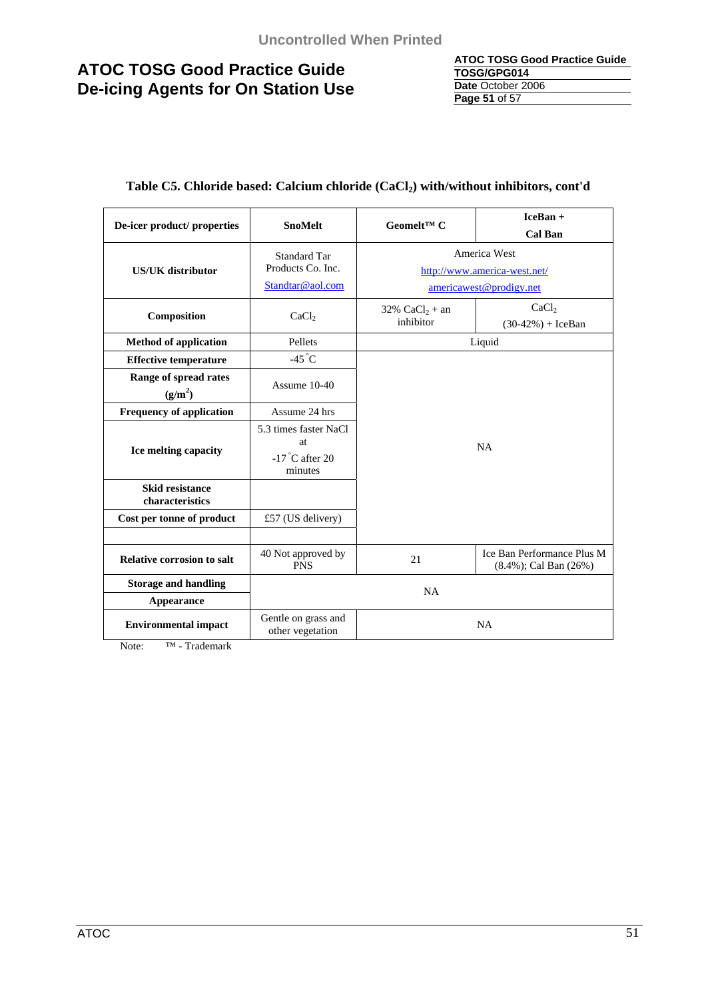| <b>ATOC TOSG Good Practice Guide</b> |
|--------------------------------------|
| TOSG/GPG014                          |
| Date October 2006                    |
| Page 51 of 57                        |

| De-icer product/ properties                  | Geomelt <sup>TM</sup> $C$<br><b>SnoMelt</b> |                                                                  | $IceBan +$                   |  |
|----------------------------------------------|---------------------------------------------|------------------------------------------------------------------|------------------------------|--|
|                                              |                                             |                                                                  | <b>Cal Ban</b>               |  |
|                                              | <b>Standard Tar</b>                         | America West                                                     |                              |  |
| <b>US/UK</b> distributor                     | Products Co. Inc.                           |                                                                  | http://www.america-west.net/ |  |
|                                              | Standtar@aol.com                            |                                                                  | americawest@prodigy.net      |  |
|                                              |                                             | 32% $CaCl_2 + an$                                                | CaCl <sub>2</sub>            |  |
| Composition                                  | CaCl <sub>2</sub>                           | inhibitor                                                        | $(30-42%) + IceBan$          |  |
| <b>Method of application</b>                 | Pellets                                     |                                                                  | Liquid                       |  |
| <b>Effective temperature</b>                 | $-45^{\circ}C$                              |                                                                  |                              |  |
| Range of spread rates<br>(g/m <sup>2</sup> ) | Assume 10-40                                |                                                                  |                              |  |
| <b>Frequency of application</b>              | Assume 24 hrs                               |                                                                  |                              |  |
|                                              | 5.3 times faster NaCl                       |                                                                  |                              |  |
| Ice melting capacity                         | at.                                         | NA                                                               |                              |  |
|                                              | $-17$ °C after 20<br>minutes                |                                                                  |                              |  |
| <b>Skid resistance</b><br>characteristics    |                                             |                                                                  |                              |  |
| Cost per tonne of product                    | £57 (US delivery)                           |                                                                  |                              |  |
|                                              |                                             |                                                                  |                              |  |
| <b>Relative corrosion to salt</b>            | 40 Not approved by<br><b>PNS</b>            | Ice Ban Performance Plus M<br>21<br>$(8.4\%)$ ; Cal Ban $(26\%)$ |                              |  |
| <b>Storage and handling</b>                  |                                             | NA                                                               |                              |  |
| Appearance                                   |                                             |                                                                  |                              |  |
| <b>Environmental impact</b>                  | Gentle on grass and<br>other vegetation     | <b>NA</b>                                                        |                              |  |

### Table C5. Chloride based: Calcium chloride (CaCl<sub>2</sub>) with/without inhibitors, cont'd

Note: T<sup>M</sup> - Trademark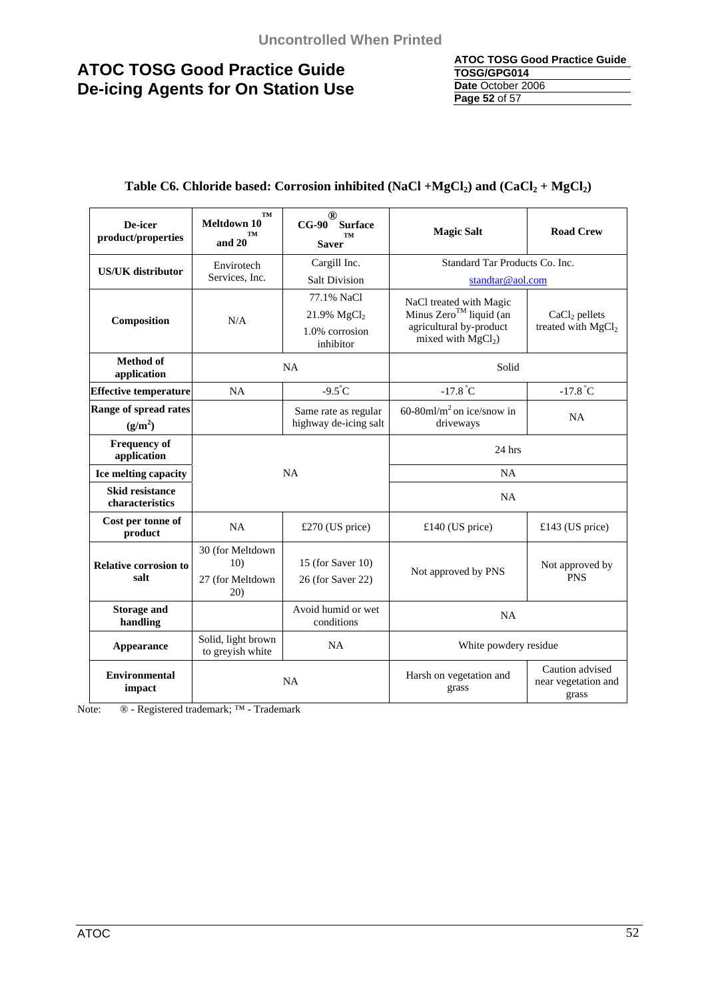| <b>ATOC TOSG Good Practice Guide</b> |
|--------------------------------------|
| TOSG/GPG014                          |
| Date October 2006                    |
| Page 52 of 57                        |

### Table C6. Chloride based: Corrosion inhibited (NaCl +MgCl<sub>2</sub>) and (CaCl<sub>2</sub> + MgCl<sub>2</sub>)

| De-icer<br>product/properties             | TM<br>Meltdown 10<br><b>TM</b><br>and 20 | ®<br><b>Surface</b><br>$CG-90$<br>TM<br><b>Saver</b> | <b>Magic Salt</b>                                                                   | <b>Road Crew</b>                                  |  |
|-------------------------------------------|------------------------------------------|------------------------------------------------------|-------------------------------------------------------------------------------------|---------------------------------------------------|--|
| <b>US/UK</b> distributor                  | Envirotech                               | Cargill Inc.                                         | Standard Tar Products Co. Inc.                                                      |                                                   |  |
|                                           | Services, Inc.                           | <b>Salt Division</b>                                 | standtar@aol.com                                                                    |                                                   |  |
|                                           |                                          | 77.1% NaCl                                           | NaCl treated with Magic                                                             | $CaCl2$ pellets<br>treated with MgCl <sub>2</sub> |  |
| Composition                               | N/A                                      | 21.9% MgCl <sub>2</sub>                              | Minus Zero™ liquid (an                                                              |                                                   |  |
|                                           |                                          | 1.0% corrosion<br>inhibitor                          | agricultural by-product<br>mixed with $MgCl2$ )                                     |                                                   |  |
| <b>Method</b> of<br>application           | NA                                       |                                                      | Solid                                                                               |                                                   |  |
| <b>Effective temperature</b>              | NA                                       | $-9.5^{\circ}C$                                      | $-17.8$ °C                                                                          | $-17.8$ °C                                        |  |
| Range of spread rates                     |                                          | Same rate as regular                                 | 60-80 $ml/m2$ on ice/snow in                                                        | NA                                                |  |
| (g/m <sup>2</sup> )                       |                                          | highway de-icing salt                                | driveways                                                                           |                                                   |  |
| <b>Frequency of</b><br>application        |                                          |                                                      | $24$ hrs                                                                            |                                                   |  |
| Ice melting capacity                      | NA                                       |                                                      | NA                                                                                  |                                                   |  |
| <b>Skid resistance</b><br>characteristics |                                          |                                                      | NA                                                                                  |                                                   |  |
| Cost per tonne of<br>product              | <b>NA</b>                                | £270 (US price)                                      | £140 (US price)                                                                     | £143 (US price)                                   |  |
| <b>Relative corrosion to</b>              | 30 (for Meltdown<br>10)                  | 15 (for Saver $10$ )                                 |                                                                                     | Not approved by<br><b>PNS</b>                     |  |
| salt                                      | 27 (for Meltdown<br>20)                  | 26 (for Saver 22)                                    | Not approved by PNS                                                                 |                                                   |  |
| <b>Storage and</b><br>handling            |                                          | Avoid humid or wet<br>conditions                     | <b>NA</b>                                                                           |                                                   |  |
| Appearance                                | Solid, light brown<br>to greyish white   | NA                                                   | White powdery residue                                                               |                                                   |  |
| <b>Environmental</b><br>impact            |                                          | <b>NA</b>                                            | Caution advised<br>Harsh on vegetation and<br>near vegetation and<br>grass<br>grass |                                                   |  |

Note: ® - Registered trademark; ™ - Trademark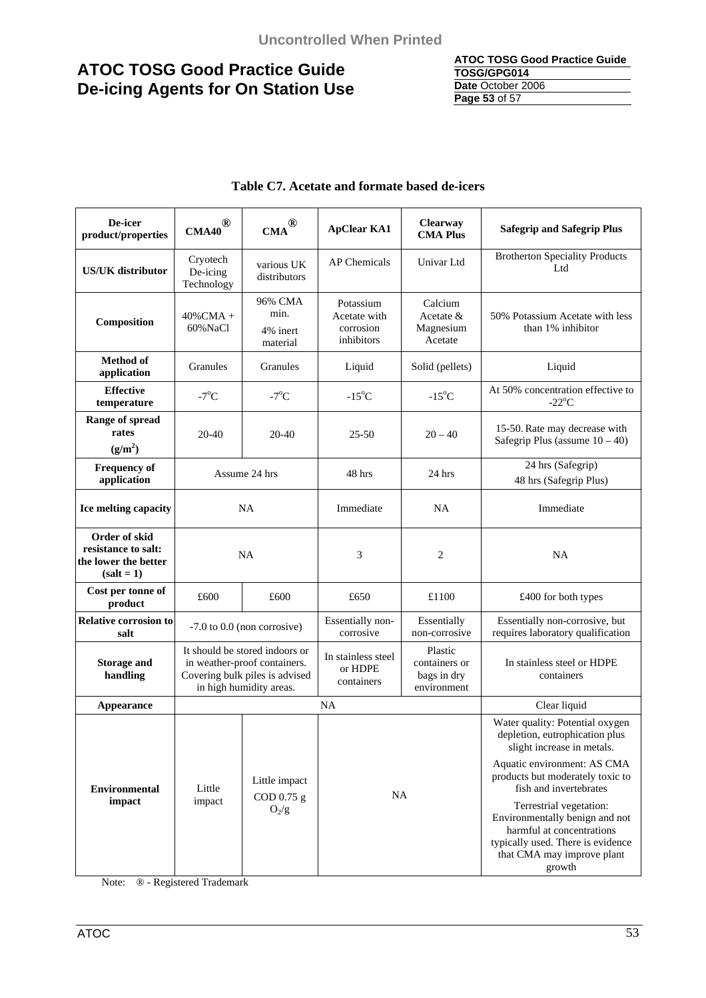#### **ATOC TOSG Good Practice Guide TOSG/GPG014 Date** October 2006 **Page 53** of 57

| De-icer<br>product/properties                                                | ®<br><b>CMA40</b>                                                                                                           | ®<br><b>CMA</b>                         | <b>ApClear KA1</b>                                   | Clearway<br><b>CMA Plus</b>                                                                                                                                                                                                                            | <b>Safegrip and Safegrip Plus</b>                                   |
|------------------------------------------------------------------------------|-----------------------------------------------------------------------------------------------------------------------------|-----------------------------------------|------------------------------------------------------|--------------------------------------------------------------------------------------------------------------------------------------------------------------------------------------------------------------------------------------------------------|---------------------------------------------------------------------|
| <b>US/UK</b> distributor                                                     | Cryotech<br>De-icing<br>Technology                                                                                          | various UK<br>distributors              | AP Chemicals                                         | Univar Ltd                                                                                                                                                                                                                                             | <b>Brotherton Speciality Products</b><br>Ltd                        |
| Composition                                                                  | $40\%$ CMA +<br>60% NaCl                                                                                                    | 96% CMA<br>min.<br>4% inert<br>material | Potassium<br>Acetate with<br>corrosion<br>inhibitors | Calcium<br>Acetate &<br>Magnesium<br>Acetate                                                                                                                                                                                                           | 50% Potassium Acetate with less<br>than 1% inhibitor                |
| <b>Method of</b><br>application                                              | Granules                                                                                                                    | Granules                                | Liquid                                               | Solid (pellets)                                                                                                                                                                                                                                        | Liquid                                                              |
| <b>Effective</b><br>temperature                                              | $-7^{\circ}$ C                                                                                                              | $-7^{\circ}$ C                          | $-15^{\circ}$ C                                      | $-15^{\circ}$ C                                                                                                                                                                                                                                        | At 50% concentration effective to<br>$-22^{\circ}C$                 |
| Range of spread<br>rates<br>(g/m <sup>2</sup> )                              | 20-40                                                                                                                       | 20-40                                   | $25 - 50$                                            | $20 - 40$                                                                                                                                                                                                                                              | 15-50. Rate may decrease with<br>Safegrip Plus (assume $10 - 40$ )  |
| <b>Frequency of</b><br>application                                           | Assume 24 hrs                                                                                                               |                                         | 48 hrs                                               | $24$ hrs                                                                                                                                                                                                                                               | 24 hrs (Safegrip)<br>48 hrs (Safegrip Plus)                         |
| Ice melting capacity                                                         | NA                                                                                                                          |                                         | Immediate                                            | NA                                                                                                                                                                                                                                                     | Immediate                                                           |
| Order of skid<br>resistance to salt:<br>the lower the better<br>$(salt = 1)$ | NA                                                                                                                          |                                         | 3                                                    | 2                                                                                                                                                                                                                                                      | <b>NA</b>                                                           |
| Cost per tonne of<br>product                                                 | £600                                                                                                                        | £600                                    | £650                                                 | £1100                                                                                                                                                                                                                                                  | £400 for both types                                                 |
| <b>Relative corrosion to</b><br>salt                                         |                                                                                                                             | $-7.0$ to $0.0$ (non corrosive)         | Essentially non-<br>corrosive                        | Essentially<br>non-corrosive                                                                                                                                                                                                                           | Essentially non-corrosive, but<br>requires laboratory qualification |
| <b>Storage and</b><br>handling                                               | It should be stored indoors or<br>in weather-proof containers.<br>Covering bulk piles is advised<br>in high humidity areas. |                                         | In stainless steel<br>or HDPE<br>containers          | Plastic<br>containers or<br>bags in dry<br>environment                                                                                                                                                                                                 | In stainless steel or HDPE<br>containers                            |
| Appearance                                                                   |                                                                                                                             |                                         | <b>NA</b>                                            |                                                                                                                                                                                                                                                        | Clear liquid                                                        |
|                                                                              | Little impact<br><b>Environmental</b><br>Little<br><b>NA</b><br>COD 0.75 g<br>impact<br>impact<br>$O_2/g$                   |                                         |                                                      | Water quality: Potential oxygen<br>depletion, eutrophication plus<br>slight increase in metals.                                                                                                                                                        |                                                                     |
|                                                                              |                                                                                                                             |                                         |                                                      | Aquatic environment: AS CMA<br>products but moderately toxic to<br>fish and invertebrates<br>Terrestrial vegetation:<br>Environmentally benign and not<br>harmful at concentrations<br>typically used. There is evidence<br>that CMA may improve plant |                                                                     |
|                                                                              |                                                                                                                             |                                         |                                                      |                                                                                                                                                                                                                                                        | growth                                                              |

### **Table C7. Acetate and formate based de-icers**

Note: ® - Registered Trademark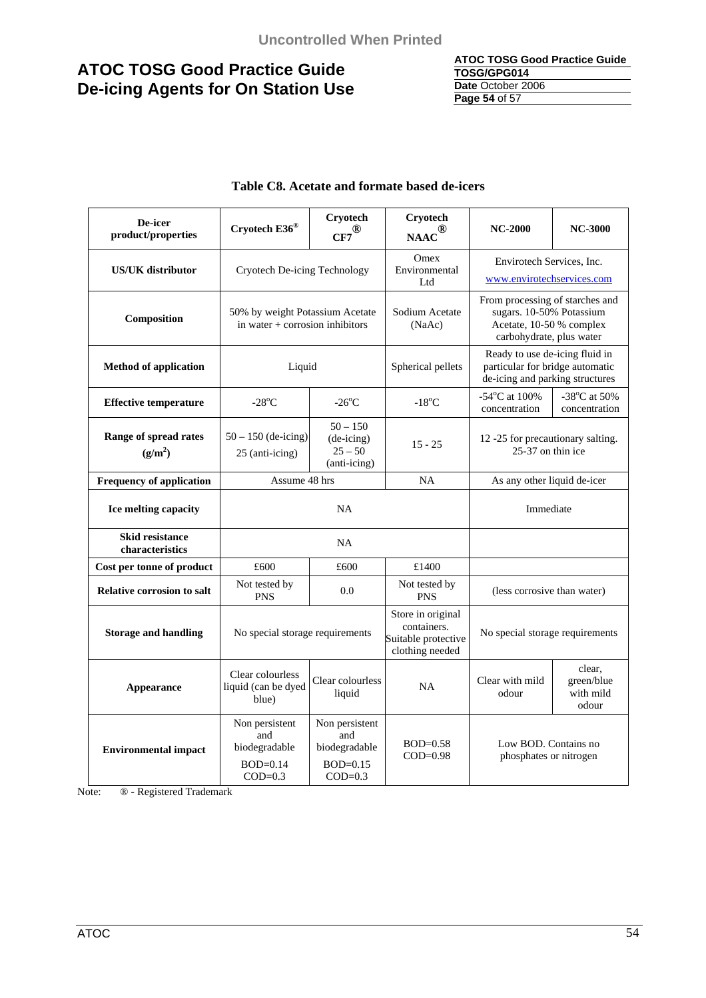#### **ATOC TOSG Good Practice Guide TOSG/GPG014 Date** October 2006 **Page 54** of 57

| De-icer<br>product/properties             | Cryotech E36®                                                        | Cryotech<br>$\overline{\text{CF7}}^{\textcircled{\tiny{\textregistered}}}$ | Cryotech<br>$\text{NAAC}^{\textcircled{\tiny{\textregistered}}}$           | <b>NC-2000</b>                                                                                                      | <b>NC-3000</b>                             |
|-------------------------------------------|----------------------------------------------------------------------|----------------------------------------------------------------------------|----------------------------------------------------------------------------|---------------------------------------------------------------------------------------------------------------------|--------------------------------------------|
| <b>US/UK</b> distributor                  | Cryotech De-icing Technology                                         |                                                                            | Omex<br>Environmental<br>Ltd                                               | Envirotech Services, Inc.<br>www.envirotechservices.com                                                             |                                            |
| Composition                               | 50% by weight Potassium Acetate<br>in water $+$ corrosion inhibitors |                                                                            | Sodium Acetate<br>(NaAc)                                                   | From processing of starches and<br>sugars. 10-50% Potassium<br>Acetate, 10-50 % complex<br>carbohydrate, plus water |                                            |
| <b>Method of application</b>              | Liquid                                                               |                                                                            | Spherical pellets                                                          | Ready to use de-icing fluid in<br>particular for bridge automatic<br>de-icing and parking structures                |                                            |
| <b>Effective temperature</b>              | $-28^{\circ}$ C                                                      | $-26^{\circ}$ C                                                            | $-18^{\circ}$ C                                                            | -54°C at 100%<br>concentration                                                                                      | -38°C at 50%<br>concentration              |
| Range of spread rates<br>$(g/m^2)$        | $50 - 150$ (de-icing)<br>25 (anti-icing)                             | $50 - 150$<br>(de-icing)<br>$25 - 50$<br>(anti-icing)                      | $15 - 25$                                                                  | 12 -25 for precautionary salting.<br>25-37 on thin ice                                                              |                                            |
| <b>Frequency of application</b>           | Assume 48 hrs<br><b>NA</b>                                           |                                                                            |                                                                            | As any other liquid de-icer                                                                                         |                                            |
| Ice melting capacity                      | <b>NA</b>                                                            |                                                                            |                                                                            | Immediate                                                                                                           |                                            |
| <b>Skid resistance</b><br>characteristics | <b>NA</b>                                                            |                                                                            |                                                                            |                                                                                                                     |                                            |
| Cost per tonne of product                 | £600                                                                 | £600                                                                       | £1400                                                                      |                                                                                                                     |                                            |
| <b>Relative corrosion to salt</b>         | Not tested by<br><b>PNS</b>                                          | 0.0                                                                        | Not tested by<br><b>PNS</b>                                                | (less corrosive than water)                                                                                         |                                            |
| <b>Storage and handling</b>               | No special storage requirements                                      |                                                                            | Store in original<br>containers.<br>Suitable protective<br>clothing needed | No special storage requirements                                                                                     |                                            |
| Appearance                                | Clear colourless<br>liquid (can be dyed<br>blue)                     | Clear colourless<br>liquid                                                 | <b>NA</b>                                                                  | Clear with mild<br>odour                                                                                            | clear.<br>green/blue<br>with mild<br>odour |
| <b>Environmental impact</b>               | Non persistent<br>and<br>biodegradable<br>$BOD=0.14$<br>$COD=0.3$    | Non persistent<br>and<br>biodegradable<br>$BOD=0.15$<br>$COD=0.3$          | $BOD=0.58$<br>$COD=0.98$                                                   | Low BOD. Contains no<br>phosphates or nitrogen                                                                      |                                            |

### **Table C8. Acetate and formate based de-icers**

Note: ® - Registered Trademark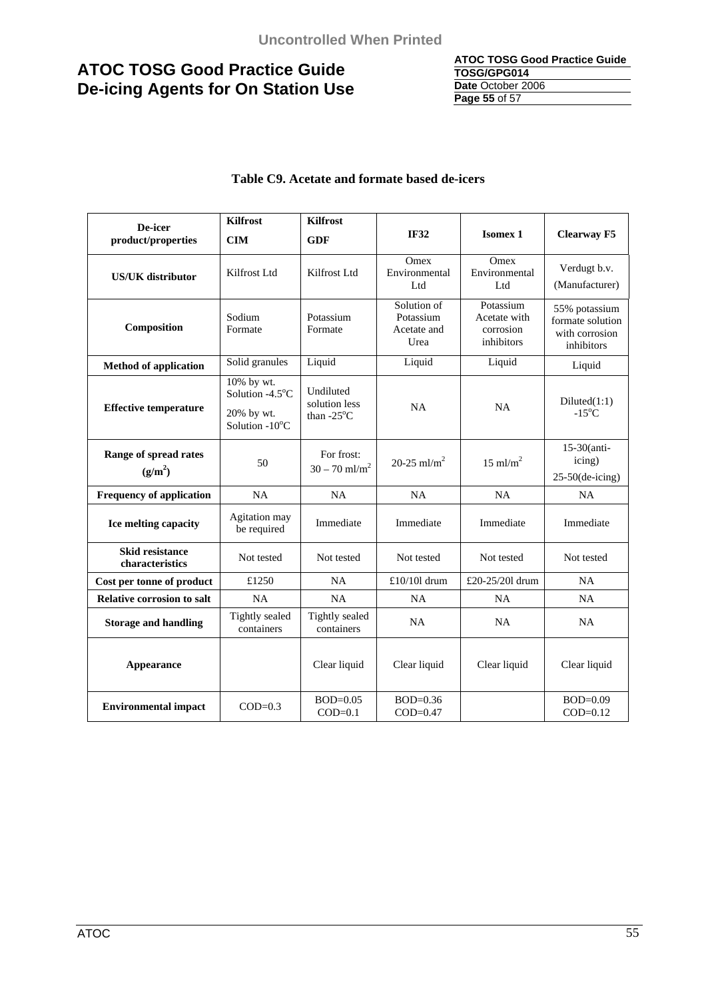#### **ATOC TOSG Good Practice Guide TOSG/GPG014 Date** October 2006 **Page 55** of 57

### **Table C9. Acetate and formate based de-icers**

| De-icer                                      | <b>Kilfrost</b>               | <b>Kilfrost</b>                                    |                                                 |                                                      |                                                                   |
|----------------------------------------------|-------------------------------|----------------------------------------------------|-------------------------------------------------|------------------------------------------------------|-------------------------------------------------------------------|
| product/properties                           | <b>CIM</b>                    | <b>GDF</b>                                         | <b>IF32</b>                                     | <b>Isomex 1</b>                                      | <b>Clearway F5</b>                                                |
| <b>US/UK</b> distributor                     | Kilfrost Ltd                  | Kilfrost Ltd                                       | Omex<br>Environmental<br>Ltd                    | Omex<br>Environmental<br>Ltd                         | Verdugt b.v.<br>(Manufacturer)                                    |
| Composition                                  | Sodium<br>Formate             | Potassium<br>Formate                               | Solution of<br>Potassium<br>Acetate and<br>Urea | Potassium<br>Acetate with<br>corrosion<br>inhibitors | 55% potassium<br>formate solution<br>with corrosion<br>inhibitors |
| <b>Method of application</b>                 | Solid granules                | Liquid                                             | Liquid                                          | Liquid                                               | Liquid                                                            |
|                                              | 10% by wt.<br>Solution -4.5°C | Undiluted<br>solution less<br>than $-25^{\circ}$ C | NA                                              | <b>NA</b>                                            | Diluted(1:1)<br>$-15^{\circ}$ C                                   |
| <b>Effective temperature</b>                 | 20% by wt.<br>Solution -10°C  |                                                    |                                                 |                                                      |                                                                   |
| Range of spread rates<br>(g/m <sup>2</sup> ) | 50                            | For frost:<br>$30 - 70$ ml/m <sup>2</sup>          | 20-25 ml/m <sup>2</sup>                         | $15 \text{ ml/m}^2$                                  | $15-30$ (anti-<br>icing)                                          |
|                                              |                               |                                                    |                                                 |                                                      | $25-50$ (de-icing)                                                |
| <b>Frequency of application</b>              | NA                            | NA                                                 | NA                                              | NA                                                   | NA                                                                |
| Ice melting capacity                         | Agitation may<br>be required  | Immediate                                          | Immediate                                       | Immediate                                            | Immediate                                                         |
| <b>Skid resistance</b><br>characteristics    | Not tested                    | Not tested                                         | Not tested                                      | Not tested                                           | Not tested                                                        |
| Cost per tonne of product                    | £1250                         | <b>NA</b>                                          | £10/101 drum                                    | £20-25/201 drum                                      | NA                                                                |
| <b>Relative corrosion to salt</b>            | NA                            | NA                                                 | NA                                              | NA                                                   | NA                                                                |
| <b>Storage and handling</b>                  | Tightly sealed<br>containers  | Tightly sealed<br>containers                       | NA                                              | NA                                                   | NA                                                                |
| Appearance                                   |                               | Clear liquid                                       | Clear liquid                                    | Clear liquid                                         | Clear liquid                                                      |
| <b>Environmental impact</b>                  | $COD=0.3$                     | $BOD=0.05$<br>$COD=0.1$                            | $BOD=0.36$<br>$COD=0.47$                        |                                                      | $BOD=0.09$<br>$COD=0.12$                                          |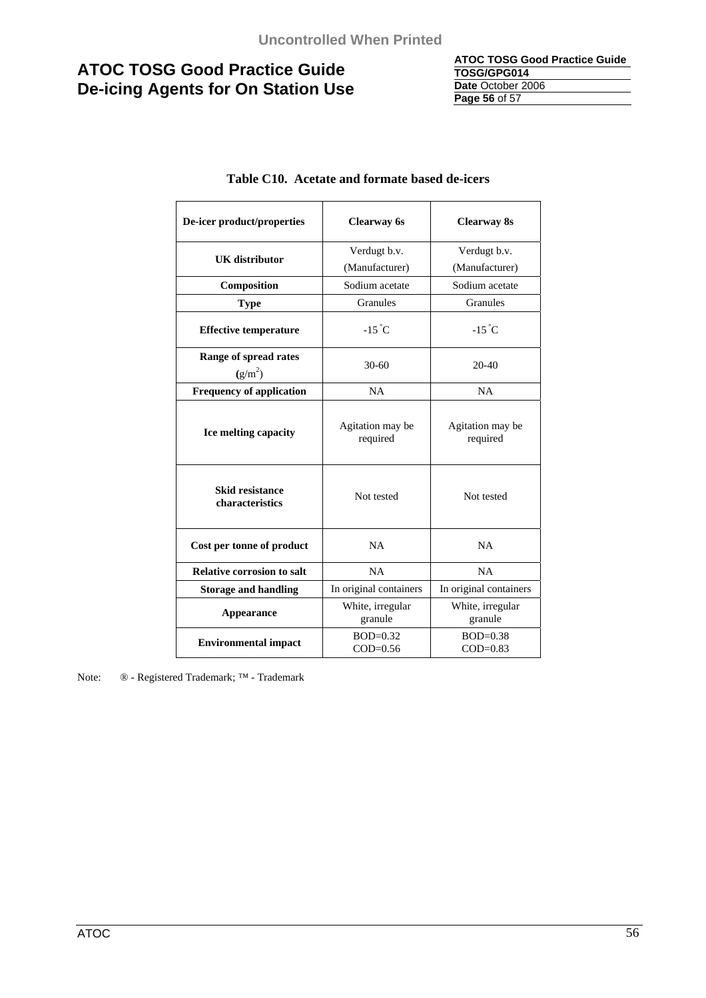**ATOC TOSG Good Practice Guide TOSG/GPG014 Date** October 2006 **Page 56** of 57

| De-icer product/properties                | <b>Clearway</b> 6s           | <b>Clearway 8s</b>           |  |
|-------------------------------------------|------------------------------|------------------------------|--|
| <b>UK</b> distributor                     | Verdugt b.v.                 | Verdugt b.v.                 |  |
|                                           | (Manufacturer)               | (Manufacturer)               |  |
| Composition                               | Sodium acetate               | Sodium acetate               |  |
| <b>Type</b>                               | Granules                     | Granules                     |  |
| <b>Effective temperature</b>              | $-15^{\circ}$ C              | $-15^{\circ}$ C              |  |
| Range of spread rates<br>$(g/m^2)$        | $30 - 60$                    | $20 - 40$                    |  |
| <b>Frequency of application</b>           | <b>NA</b>                    | <b>NA</b>                    |  |
| Ice melting capacity                      | Agitation may be<br>required | Agitation may be<br>required |  |
| <b>Skid resistance</b><br>characteristics | Not tested                   | Not tested                   |  |
| Cost per tonne of product                 | NA                           | NA                           |  |
| <b>Relative corrosion to salt</b>         | NA                           | NA                           |  |
| <b>Storage and handling</b>               | In original containers       | In original containers       |  |
| Appearance                                | White, irregular<br>granule  | White, irregular<br>granule  |  |
| <b>Environmental impact</b>               | $BOD=0.32$<br>$COD=0.56$     | $BOD=0.38$<br>$COD=0.83$     |  |

### **Table C10. Acetate and formate based de-icers**

Note: ® - Registered Trademark; ™ - Trademark